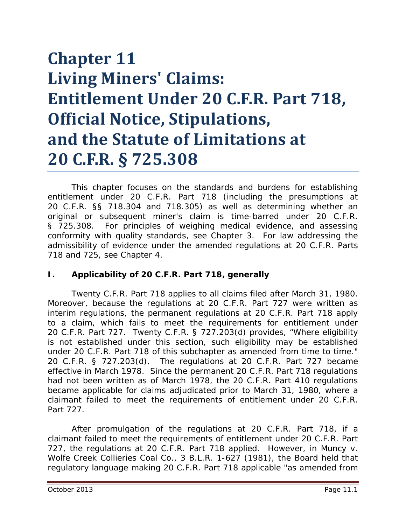# **Chapter 11 Living Miners' Claims: Entitlement Under 20 C.F.R. Part 718, Official Notice, Stipulations, and the Statute of Limitations at 20 C.F.R. § 725.308**

This chapter focuses on the standards and burdens for establishing entitlement under 20 C.F.R. Part 718 (including the presumptions at 20 C.F.R. §§ 718.304 and 718.305) as well as determining whether an original or subsequent miner's claim is time-barred under 20 C.F.R. § 725.308. For principles of weighing medical evidence, and assessing conformity with quality standards, *see* Chapter 3. For law addressing the admissibility of evidence under the amended regulations at 20 C.F.R. Parts 718 and 725, *see* Chapter 4.

## **I. Applicability of 20 C.F.R. Part 718, generally**

Twenty C.F.R. Part 718 applies to all claims filed after March 31, 1980. Moreover, because the regulations at 20 C.F.R. Part 727 were written as interim regulations, the permanent regulations at 20 C.F.R. Part 718 apply to a claim, which fails to meet the requirements for entitlement under 20 C.F.R. Part 727. Twenty C.F.R. § 727.203(d) provides, "Where eligibility is not established under this section, such eligibility may be established under 20 C.F.R. Part 718 of this subchapter as amended from time to time." 20 C.F.R. § 727.203(d). The regulations at 20 C.F.R. Part 727 became effective in March 1978. Since the permanent 20 C.F.R. Part 718 regulations had not been written as of March 1978, the 20 C.F.R. Part 410 regulations became applicable for claims adjudicated prior to March 31, 1980, where a claimant failed to meet the requirements of entitlement under 20 C.F.R. Part 727.

After promulgation of the regulations at 20 C.F.R. Part 718, if a claimant failed to meet the requirements of entitlement under 20 C.F.R. Part 727, the regulations at 20 C.F.R. Part 718 applied. However, in *Muncy v. Wolfe Creek Collieries Coal Co.*, 3 B.L.R. 1-627 (1981), the Board held that regulatory language making 20 C.F.R. Part 718 applicable "as amended from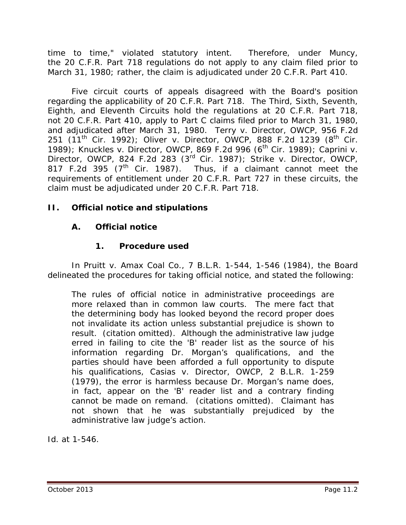time to time," violated statutory intent. Therefore, under *Muncy*, the 20 C.F.R. Part 718 regulations do not apply to any claim filed prior to March 31, 1980; rather, the claim is adjudicated under 20 C.F.R. Part 410.

Five circuit courts of appeals disagreed with the Board's position regarding the applicability of 20 C.F.R. Part 718. The Third, Sixth, Seventh, Eighth, and Eleventh Circuits hold the regulations at 20 C.F.R. Part 718, not 20 C.F.R. Part 410, apply to Part C claims filed prior to March 31, 1980, and adjudicated after March 31, 1980. *Terry v. Director, OWCP*, 956 F.2d 251  $(11^{th}$  Cir. 1992); Oliver v. Director, OWCP, 888 F.2d 1239  $(8^{th}$  Cir. 1989); *Knuckles v. Director, OWCP*, 869 F.2d 996 (6<sup>th</sup> Cir. 1989); *Caprini v. Director, OWCP*, 824 F.2d 283 (3rd Cir. 1987); *Strike v. Director, OWCP*, 817 F.2d 395  $(7<sup>th</sup>$  Cir. 1987). Thus, if a claimant cannot meet the requirements of entitlement under 20 C.F.R. Part 727 in these circuits, the claim must be adjudicated under 20 C.F.R. Part 718.

# **II. Official notice and stipulations**

# **A. Official notice**

# **1. Procedure used**

In *Pruitt v. Amax Coal Co.*, 7 B.L.R. 1-544, 1-546 (1984), the Board delineated the procedures for taking official notice, and stated the following:

The rules of official notice in administrative proceedings are more relaxed than in common law courts. The mere fact that the determining body has looked beyond the record proper does not invalidate its action unless substantial prejudice is shown to result. (citation omitted). Although the administrative law judge erred in failing to cite the 'B' reader list as the source of his information regarding Dr. Morgan's qualifications, and the parties should have been afforded a full opportunity to dispute his qualifications, *Casias v. Director, OWCP*, 2 B.L.R. 1-259 (1979), the error is harmless because Dr. Morgan's name does, in fact, appear on the 'B' reader list and a contrary finding cannot be made on remand. (citations omitted). Claimant has not shown that he was substantially prejudiced by the administrative law judge's action.

*Id.* at 1-546.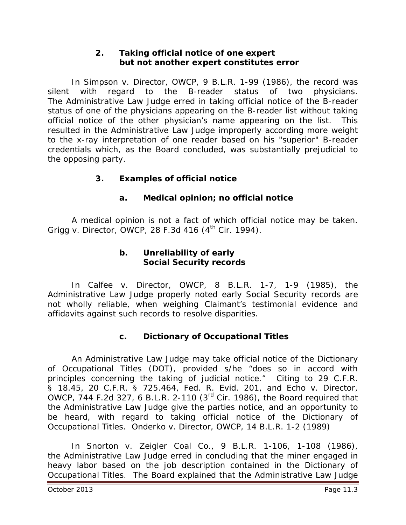## **2. Taking official notice of one expert but not another expert constitutes error**

In *Simpson v. Director, OWCP*, 9 B.L.R. 1-99 (1986), the record was silent with regard to the B-reader status of two physicians. The Administrative Law Judge erred in taking official notice of the B-reader status of one of the physicians appearing on the B-reader list without taking official notice of the other physician's name appearing on the list. This resulted in the Administrative Law Judge improperly according more weight to the x-ray interpretation of one reader based on his "superior" B-reader credentials which, as the Board concluded, was substantially prejudicial to the opposing party.

# **3. Examples of official notice**

# **a. Medical opinion; no official notice**

A medical opinion is not a fact of which official notice may be taken. *Grigg v. Director, OWCP*, 28 F.3d 416 (4<sup>th</sup> Cir. 1994).

## **b. Unreliability of early Social Security records**

In *Calfee v. Director, OWCP*, 8 B.L.R. 1-7, 1-9 (1985), the Administrative Law Judge properly noted early Social Security records are not wholly reliable, when weighing Claimant's testimonial evidence and affidavits against such records to resolve disparities.

# **c. Dictionary of Occupational Titles**

An Administrative Law Judge may take official notice of the Dictionary of Occupational Titles (DOT), provided s/he "does so in accord with principles concerning the taking of judicial notice." Citing to 29 C.F.R. § 18.45, 20 C.F.R. § 725.464, Fed. R. Evid. 201, and *Echo v. Director, OWCP*, 744 F.2d 327, 6 B.L.R. 2-110 (3rd Cir. 1986), the Board required that the Administrative Law Judge give the parties notice, and an opportunity to be heard, with regard to taking official notice of the *Dictionary of Occupational Titles*. *Onderko v. Director, OWCP*, 14 B.L.R. 1-2 (1989)

In *Snorton v. Zeigler Coal Co.*, 9 B.L.R. 1-106, 1-108 (1986), the Administrative Law Judge erred in concluding that the miner engaged in heavy labor based on the job description contained in the *Dictionary of Occupational Titles*. The Board explained that the Administrative Law Judge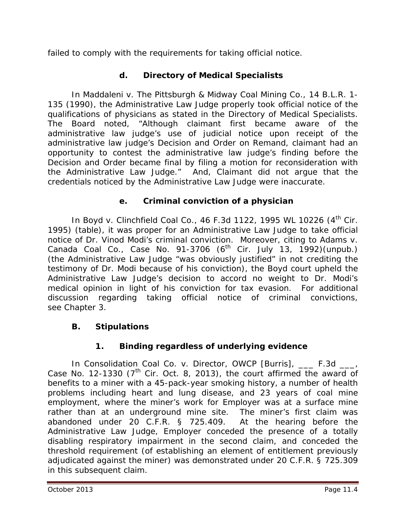failed to comply with the requirements for taking official notice.

# **d. Directory of Medical Specialists**

In *Maddaleni v. The Pittsburgh & Midway Coal Mining Co.*, 14 B.L.R. 1- 135 (1990), the Administrative Law Judge properly took official notice of the qualifications of physicians as stated in the *Directory of Medical Specialists.* The Board noted, "Although claimant first became aware of the administrative law judge's use of judicial notice upon receipt of the administrative law judge's Decision and Order on Remand, claimant had an opportunity to contest the administrative law judge's finding before the Decision and Order became final by filing a motion for reconsideration with the Administrative Law Judge." And, Claimant did not argue that the credentials noticed by the Administrative Law Judge were inaccurate.

# **e. Criminal conviction of a physician**

In *Boyd v. Clinchfield Coal Co.*, 46 F.3d 1122, 1995 WL 10226 (4th Cir. 1995) (table), it was proper for an Administrative Law Judge to take official notice of Dr. Vinod Modi's criminal conviction. Moreover, citing to *Adams v. Canada Coal Co.*, Case No. 91-3706 (6<sup>th</sup> Cir. July 13, 1992)(unpub.) (the Administrative Law Judge "was obviously justified" in not crediting the testimony of Dr. Modi because of his conviction), the *Boyd* court upheld the Administrative Law Judge's decision to accord no weight to Dr. Modi's medical opinion in light of his conviction for tax evasion. For additional discussion regarding taking official notice of criminal convictions, *see* Chapter 3.

# **B. Stipulations**

# **1. Binding regardless of underlying evidence**

In *Consolidation Coal Co. v. Director, OWCP [Burris]*, \_\_\_ F.3d \_\_\_, Case No. 12-1330 ( $7<sup>th</sup>$  Cir. Oct. 8, 2013), the court affirmed the award of benefits to a miner with a 45-pack-year smoking history, a number of health problems including heart and lung disease, and 23 years of coal mine employment, where the miner's work for Employer was at a surface mine rather than at an underground mine site. The miner's first claim was abandoned under 20 C.F.R. § 725.409. At the hearing before the Administrative Law Judge, Employer conceded the presence of a totally disabling respiratory impairment in the second claim, and conceded the threshold requirement (of establishing an element of entitlement previously adjudicated against the miner) was demonstrated under 20 C.F.R. § 725.309 in this subsequent claim.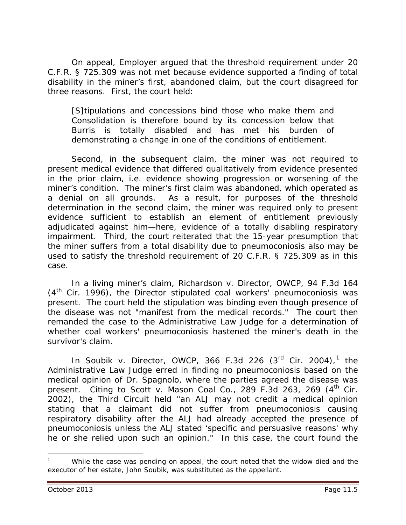On appeal, Employer argued that the threshold requirement under 20 C.F.R. § 725.309 was not met because evidence supported a finding of total disability in the miner's first, abandoned claim, but the court disagreed for three reasons. First, the court held:

[S]tipulations and concessions bind those who make them and Consolidation is therefore bound by its concession below that Burris is totally disabled and has met his burden of demonstrating a change in one of the conditions of entitlement.

Second, in the subsequent claim, the miner was not required to present medical evidence that differed qualitatively from evidence presented in the prior claim, *i.e.* evidence showing progression or worsening of the miner's condition. The miner's first claim was abandoned, which operated as a denial on all grounds. As a result, for purposes of the threshold determination in the second claim, the miner was required only to present evidence sufficient to establish an element of entitlement previously adjudicated against him—here, evidence of a totally disabling respiratory impairment. Third, the court reiterated that the 15-year presumption that the miner suffers from a total disability due to pneumoconiosis also may be used to satisfy the threshold requirement of 20 C.F.R. § 725.309 as in this case.

In a living miner's claim, *Richardson v. Director, OWCP*, 94 F.3d 164  $(4<sup>th</sup>$  Cir. 1996), the Director stipulated coal workers' pneumoconiosis was present. The court held the stipulation was binding even though presence of the disease was not "manifest from the medical records." The court then remanded the case to the Administrative Law Judge for a determination of whether coal workers' pneumoconiosis hastened the miner's death in the survivor's claim.

In *Soubik v. Director, OWCP*, 366 F.3d 226 (3rd Cir. 2004), [1](#page-4-0) the Administrative Law Judge erred in finding no pneumoconiosis based on the medical opinion of Dr. Spagnolo, where the parties agreed the disease was present. Citing to *Scott v. Mason Coal Co.*, 289 F.3d 263, 269 (4<sup>th</sup> Cir. 2002), the Third Circuit held "an ALJ may not credit a medical opinion stating that a claimant did not suffer from pneumoconiosis causing respiratory disability after the ALJ had already accepted the presence of pneumoconiosis unless the ALJ stated 'specific and persuasive reasons' why he or she relied upon such an opinion." In this case, the court found the

<span id="page-4-0"></span>While the case was pending on appeal, the court noted that the widow died and the executor of her estate, John Soubik, was substituted as the appellant.  $\overline{a}$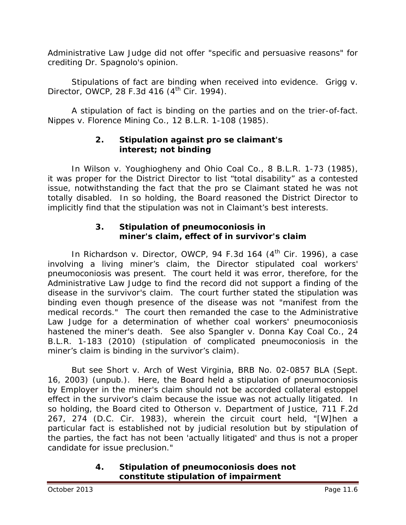Administrative Law Judge did not offer "specific and persuasive reasons" for crediting Dr. Spagnolo's opinion.

Stipulations of fact are binding when received into evidence. *Grigg v. Director, OWCP*, 28 F.3d 416 (4<sup>th</sup> Cir. 1994).

A stipulation of fact is binding on the parties and on the trier-of-fact. *Nippes v. Florence Mining Co.*, 12 B.L.R. 1-108 (1985).

# **2. Stipulation against** *pro se* **claimant's interest; not binding**

In *Wilson v. Youghiogheny and Ohio Coal Co.*, 8 B.L.R. 1-73 (1985), it was proper for the District Director to list "total disability" as a contested issue, notwithstanding the fact that the *pro se* Claimant stated he was not totally disabled. In so holding, the Board reasoned the District Director to implicitly find that the stipulation was not in Claimant's best interests.

# **3. Stipulation of pneumoconiosis in miner's claim, effect of in survivor's claim**

In *Richardson v. Director, OWCP*, 94 F.3d 164 (4<sup>th</sup> Cir. 1996), a case involving a living miner's claim, the Director stipulated coal workers' pneumoconiosis was present. The court held it was error, therefore, for the Administrative Law Judge to find the record did not support a finding of the disease in the survivor's claim. The court further stated the stipulation was binding even though presence of the disease was not "manifest from the medical records." The court then remanded the case to the Administrative Law Judge for a determination of whether coal workers' pneumoconiosis hastened the miner's death. *See also Spangler v. Donna Kay Coal Co.*, 24 B.L.R. 1-183 (2010) (stipulation of complicated pneumoconiosis in the miner's claim is binding in the survivor's claim).

*But see Short v. Arch of West Virginia*, BRB No. 02-0857 BLA (Sept. 16, 2003) (unpub.). Here, the Board held a stipulation of pneumoconiosis by Employer in the miner's claim should not be accorded collateral estoppel effect in the survivor's claim because the issue was not actually litigated. In so holding, the Board cited to *Otherson v. Department of Justice,* 711 F.2d 267, 274 (D.C. Cir. 1983), wherein the circuit court held, "[W]hen a particular fact is established not by judicial resolution but by stipulation of the parties, the fact has not been 'actually litigated' and thus is not a proper candidate for issue preclusion."

#### **4. Stipulation of pneumoconiosis does not constitute stipulation of impairment**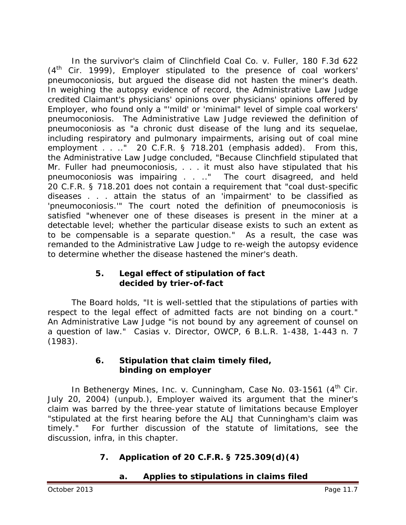In the survivor's claim of *Clinchfield Coal Co. v. Fuller*, 180 F.3d 622 (4<sup>th</sup> Cir. 1999), Employer stipulated to the presence of coal workers' pneumoconiosis, but argued the disease did not hasten the miner's death. In weighing the autopsy evidence of record, the Administrative Law Judge credited Claimant's physicians' opinions over physicians' opinions offered by Employer, who found only a "'mild' or 'minimal" level of simple coal workers' pneumoconiosis. The Administrative Law Judge reviewed the definition of pneumoconiosis as "a chronic dust disease of the lung and its sequelae, *including respiratory and pulmonary impairments*, arising out of coal mine employment . . .." 20 C.F.R. § 718.201 (emphasis added). From this, the Administrative Law Judge concluded, "Because Clinchfield stipulated that Mr. Fuller had pneumoconiosis, . . . it must also have stipulated that his pneumoconiosis was impairing . . .." The court disagreed, and held 20 C.F.R. § 718.201 does not contain a requirement that "coal dust-specific diseases . . . attain the status of an 'impairment' to be classified as 'pneumoconiosis.'" The court noted the definition of pneumoconiosis is satisfied "whenever one of these diseases is present in the miner at a detectable level; whether the particular disease exists to such an extent as to be compensable is a separate question." As a result, the case was remanded to the Administrative Law Judge to re-weigh the autopsy evidence to determine whether the disease hastened the miner's death.

# **5. Legal effect of stipulation of fact decided by trier-of-fact**

The Board holds, "It is well-settled that the stipulations of parties with respect to the legal effect of admitted facts are not binding on a court." An Administrative Law Judge "is not bound by any agreement of counsel on a question of law." *Casias v. Director, OWCP*, 6 B.L.R. 1-438, 1-443 n. 7 (1983).

# **6. Stipulation that claim timely filed, binding on employer**

In *Bethenergy Mines, Inc. v. Cunningham*, Case No. 03-1561 (4<sup>th</sup> Cir. July 20, 2004) (unpub.), Employer waived its argument that the miner's claim was barred by the three-year statute of limitations because Employer "stipulated at the first hearing before the ALJ that Cunningham's claim was timely." For further discussion of the statute of limitations, see the discussion, *infra*, in this chapter.

# **7. Application of 20 C.F.R. § 725.309(d)(4)**

# **a. Applies to stipulations in claims filed**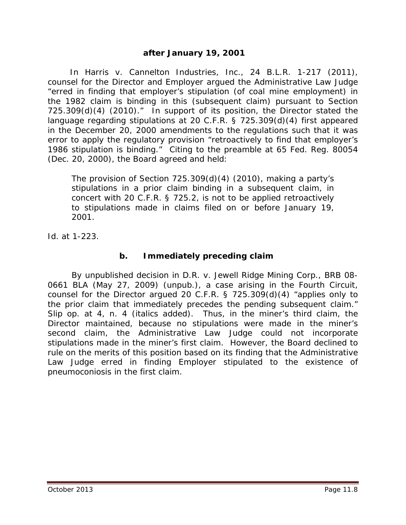## **after January 19, 2001**

 In *Harris v. Cannelton Industries, Inc.*, 24 B.L.R. 1-217 (2011), counsel for the Director and Employer argued the Administrative Law Judge "erred in finding that employer's stipulation (of coal mine employment) in the 1982 claim is binding in this (subsequent claim) pursuant to Section 725.309(d)(4) (2010)." In support of its position, the Director stated the language regarding stipulations at 20 C.F.R. § 725.309(d)(4) first appeared in the December 20, 2000 amendments to the regulations such that it was error to apply the regulatory provision "retroactively to find that employer's 1986 stipulation is binding." Citing to the preamble at 65 Fed. Reg. 80054 (Dec. 20, 2000), the Board agreed and held:

The provision of Section 725.309(d)(4) (2010), making a party's stipulations in a prior claim binding in a subsequent claim, in concert with 20 C.F.R. § 725.2, is not to be applied retroactively to stipulations made in claims filed on or before January 19, 2001.

*Id.* at 1-223.

#### **b. Immediately preceding claim**

By unpublished decision in *D.R. v. Jewell Ridge Mining Corp.*, BRB 08- 0661 BLA (May 27, 2009) (unpub.), a case arising in the Fourth Circuit, counsel for the Director argued 20 C.F.R. § 725.309(d)(4) "applies only to the prior claim that *immediately precedes* the pending subsequent claim." *Slip op*. at 4, n. 4 (italics added). Thus, in the miner's third claim, the Director maintained, because no stipulations were made in the miner's second claim, the Administrative Law Judge could not incorporate stipulations made in the miner's first claim. However, the Board declined to rule on the merits of this position based on its finding that the Administrative Law Judge erred in finding Employer stipulated to the existence of pneumoconiosis in the first claim.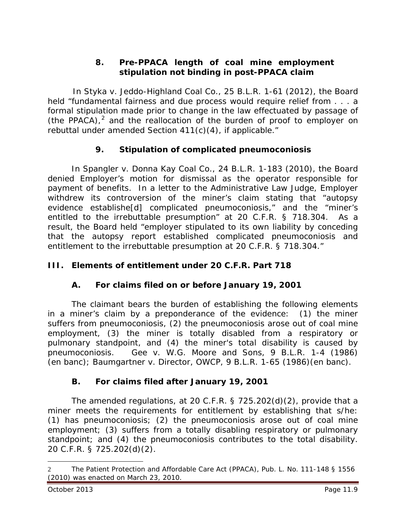# **8. Pre-PPACA length of coal mine employment stipulation not binding in post-PPACA claim**

 In *Styka v. Jeddo-Highland Coal Co.*, 25 B.L.R. 1-61 (2012), the Board held "fundamental fairness and due process would require relief from . . . a formal stipulation made prior to change in the law effectuated by passage of (the PPACA), [2](#page-8-0) and the reallocation of the burden of proof to employer on rebuttal under amended Section 411(c)(4), if applicable."

# **9. Stipulation of complicated pneumoconiosis**

In *Spangler v. Donna Kay Coal Co.*, 24 B.L.R. 1-183 (2010), the Board denied Employer's motion for dismissal as the operator responsible for payment of benefits. In a letter to the Administrative Law Judge, Employer withdrew its controversion of the miner's claim stating that "autopsy evidence establishe[d] complicated pneumoconiosis," and the "miner's entitled to the irrebuttable presumption" at 20 C.F.R. § 718.304. As a result, the Board held "employer stipulated to its own liability by conceding that the autopsy report established complicated pneumoconiosis and entitlement to the irrebuttable presumption at 20 C.F.R. § 718.304."

# **III. Elements of entitlement under 20 C.F.R. Part 718**

# **A. For claims filed on or before January 19, 2001**

The claimant bears the burden of establishing the following elements in a miner's claim by a preponderance of the evidence: (1) the miner suffers from pneumoconiosis, (2) the pneumoconiosis arose out of coal mine employment, (3) the miner is totally disabled from a respiratory or pulmonary standpoint, and (4) the miner's total disability is caused by pneumoconiosis. *Gee v. W.G. Moore and Sons*, 9 B.L.R. 1-4 (1986) (en banc*)*; *Baumgartner v. Director, OWCP*, 9 B.L.R. 1-65 (1986)(en banc*)*.

# **B. For claims filed after January 19, 2001**

The amended regulations, at 20 C.F.R. § 725.202(d)(2), provide that a miner meets the requirements for entitlement by establishing that s/he: (1) has pneumoconiosis; (2) the pneumoconiosis arose out of coal mine employment; (3) suffers from a totally disabling respiratory or pulmonary standpoint; and (4) the pneumoconiosis contributes to the total disability. 20 C.F.R. § 725.202(d)(2).

<span id="page-8-0"></span><sup>2</sup> The Patient Protection and Affordable Care Act (PPACA), Pub. L. No. 111-148 § 1556 (2010) was enacted on March 23, 2010.  $\overline{a}$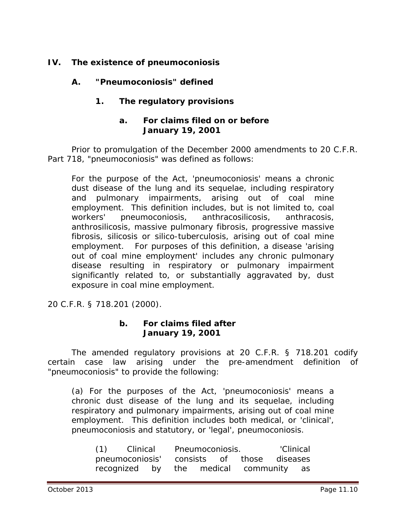# **IV. The existence of pneumoconiosis**

# **A. "Pneumoconiosis" defined**

# **1. The regulatory provisions**

## **a. For claims filed on or before January 19, 2001**

Prior to promulgation of the December 2000 amendments to 20 C.F.R. Part 718, "pneumoconiosis" was defined as follows:

For the purpose of the Act, 'pneumoconiosis' means a chronic dust disease of the lung and its sequelae, including respiratory and pulmonary impairments, arising out of coal mine employment. This definition includes, but is not limited to, coal workers' pneumoconiosis, anthracosilicosis, anthracosis, anthrosilicosis, massive pulmonary fibrosis, progressive massive fibrosis, silicosis or silico-tuberculosis, arising out of coal mine employment. For purposes of this definition, a disease 'arising out of coal mine employment' includes any chronic pulmonary disease resulting in respiratory or pulmonary impairment significantly related to, or substantially aggravated by, dust exposure in coal mine employment.

20 C.F.R. § 718.201 (2000).

#### **b. For claims filed after January 19, 2001**

The amended regulatory provisions at 20 C.F.R. § 718.201 codify certain case law arising under the pre-amendment definition of "pneumoconiosis" to provide the following:

(a) For the purposes of the Act, 'pneumoconiosis' means a chronic dust disease of the lung and its sequelae, including respiratory and pulmonary impairments, arising out of coal mine employment. This definition includes both medical, or 'clinical', pneumoconiosis and statutory, or 'legal', pneumoconiosis.

| (1) Clinical    |  |  | Pneumoconiosis. |  |  | 'Clinical                              |  |  |
|-----------------|--|--|-----------------|--|--|----------------------------------------|--|--|
| pneumoconiosis' |  |  |                 |  |  | consists of those diseases             |  |  |
|                 |  |  |                 |  |  | recognized by the medical community as |  |  |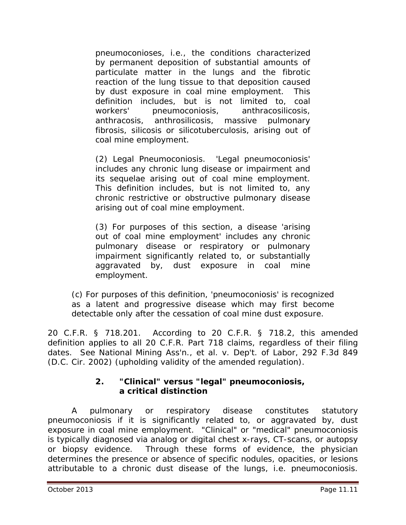pneumoconioses, *i.e*., the conditions characterized by permanent deposition of substantial amounts of particulate matter in the lungs and the fibrotic reaction of the lung tissue to that deposition caused by dust exposure in coal mine employment. This definition includes, but is not limited to, coal workers' pneumoconiosis, anthracosilicosis, anthracosis, anthrosilicosis, massive pulmonary fibrosis, silicosis or silicotuberculosis, arising out of coal mine employment.

(2) Legal Pneumoconiosis. 'Legal pneumoconiosis' includes any chronic lung disease or impairment and its sequelae arising out of coal mine employment. This definition includes, but is not limited to, any chronic restrictive or obstructive pulmonary disease arising out of coal mine employment.

(3) For purposes of this section, a disease 'arising out of coal mine employment' includes any chronic pulmonary disease or respiratory or pulmonary impairment significantly related to, or substantially aggravated by, dust exposure in coal mine employment.

(c) For purposes of this definition, 'pneumoconiosis' is recognized as a latent and progressive disease which may first become detectable only after the cessation of coal mine dust exposure.

20 C.F.R. § 718.201. According to 20 C.F.R. § 718.2, this amended definition applies to all 20 C.F.R. Part 718 claims, regardless of their filing dates. *See National Mining Ass'n., et al. v. Dep't. of Labor*, 292 F.3d 849 (D.C. Cir. 2002) (upholding validity of the amended regulation).

# **2. "Clinical" versus "legal" pneumoconiosis, a critical distinction**

A pulmonary or respiratory disease constitutes statutory pneumoconiosis if it is significantly related to, or aggravated by, dust exposure in coal mine employment. "Clinical" or "medical" pneumoconiosis is typically diagnosed via analog or digital chest x-rays, CT-scans, or autopsy or biopsy evidence. Through these forms of evidence, the physician determines the presence or absence of specific nodules, opacities, or lesions attributable to a chronic dust disease of the lungs, *i.e.* pneumoconiosis.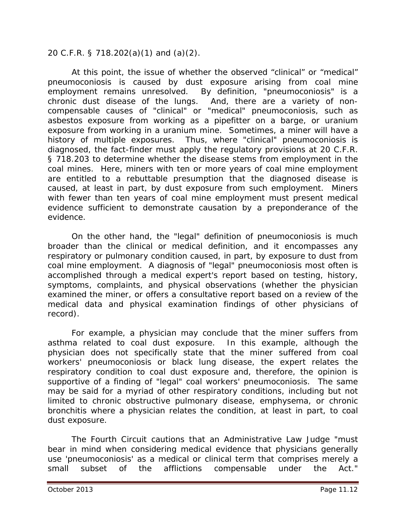## 20 C.F.R. § 718.202(a)(1) and (a)(2).

At this point, the issue of whether the observed "clinical" or "medical" pneumoconiosis is caused by dust exposure arising from coal mine employment remains unresolved. By definition, "pneumoconiosis" is a chronic dust disease of the lungs. And, there are a variety of noncompensable causes of "clinical" or "medical" pneumoconiosis, such as asbestos exposure from working as a pipefitter on a barge, or uranium exposure from working in a uranium mine. Sometimes, a miner will have a history of multiple exposures. Thus, where "clinical" pneumoconiosis is diagnosed, the fact-finder must apply the regulatory provisions at 20 C.F.R. § 718.203 to determine whether the disease stems from employment in the coal mines. Here, miners with ten or more years of coal mine employment are entitled to a rebuttable presumption that the diagnosed disease is caused, at least in part, by dust exposure from such employment. Miners with fewer than ten years of coal mine employment must present medical evidence sufficient to demonstrate causation by a preponderance of the evidence.

On the other hand, the "legal" definition of pneumoconiosis is much broader than the clinical or medical definition, and it encompasses any respiratory or pulmonary condition caused, in part, by exposure to dust from coal mine employment. A diagnosis of "legal" pneumoconiosis most often is accomplished through a medical expert's report based on testing, history, symptoms, complaints, and physical observations (whether the physician examined the miner, or offers a consultative report based on a review of the medical data and physical examination findings of other physicians of record).

For example, a physician may conclude that the miner suffers from asthma related to coal dust exposure. In this example, although the physician does not specifically state that the miner suffered from coal workers' pneumoconiosis or black lung disease, the expert relates the respiratory condition to coal dust exposure and, therefore, the opinion is supportive of a finding of "legal" coal workers' pneumoconiosis. The same may be said for a myriad of other respiratory conditions, including but not limited to chronic obstructive pulmonary disease, emphysema, or chronic bronchitis where a physician relates the condition, at least in part, to coal dust exposure.

The Fourth Circuit cautions that an Administrative Law Judge "must bear in mind when considering medical evidence that physicians generally use 'pneumoconiosis' as a *medical or clinical* term that comprises merely a small subset of the afflictions compensable under the Act."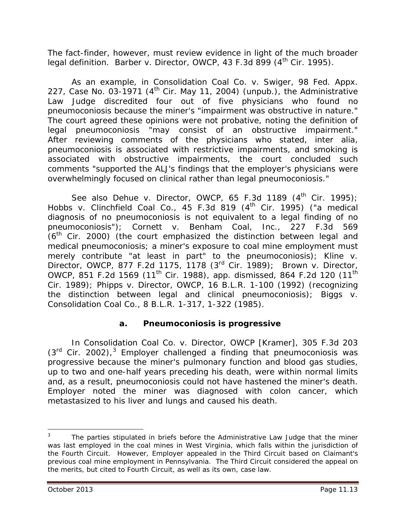The fact-finder, however, must review evidence in light of the much broader legal definition. *Barber v. Director, OWCP*, 43 F.3d 899 (4<sup>th</sup> Cir. 1995).

As an example, in *Consolidation Coal Co. v. Swiger*, 98 Fed. Appx. 227, Case No. 03-1971 ( $4<sup>th</sup>$  Cir. May 11, 2004) (unpub.), the Administrative Law Judge discredited four out of five physicians who found no pneumoconiosis because the miner's "impairment was obstructive in nature." The court agreed these opinions were not probative, noting the definition of *legal* pneumoconiosis "may consist of an obstructive impairment." After reviewing comments of the physicians who stated, *inter alia*, pneumoconiosis is associated with restrictive impairments, and smoking is associated with obstructive impairments, the court concluded such comments "supported the ALJ's findings that the employer's physicians were overwhelmingly focused on clinical rather than legal pneumoconiosis."

See also Dehue v. Director, OWCP, 65 F.3d 1189 (4<sup>th</sup> Cir. 1995); *Hobbs v. Clinchfield Coal Co.*, 45 F.3d 819 (4<sup>th</sup> Cir. 1995) ("a medical diagnosis of no pneumoconiosis is not equivalent to a legal finding of no pneumoconiosis"); *Cornett v. Benham Coal, Inc.*, 227 F.3d 569  $(6<sup>th</sup>$  Cir. 2000) (the court emphasized the distinction between legal and medical pneumoconiosis; a miner's exposure to coal mine employment must merely contribute "at least in part" to the pneumoconiosis); *Kline v. Director, OWCP*, 877 F.2d 1175, 1178 (3rd Cir. 1989); *Brown v. Director, OWCP*, 851 F.2d 1569 (11th Cir. 1988), *app. dismissed*, 864 F.2d 120 (11th Cir. 1989); *Phipps v. Director, OWCP*, 16 B.L.R. 1-100 (1992) (recognizing the distinction between legal and clinical pneumoconiosis); *Biggs v. Consolidation Coal Co.*, 8 B.L.R. 1-317, 1-322 (1985).

## **a. Pneumoconiosis is progressive**

In *Consolidation Coal Co. v. Director, OWCP [Kramer],* 305 F.3d 203  $(3<sup>rd</sup>$  $(3<sup>rd</sup>$  $(3<sup>rd</sup>$  Cir. 2002),<sup>3</sup> Employer challenged a finding that pneumoconiosis was progressive because the miner's pulmonary function and blood gas studies, up to two and one-half years preceding his death, were within normal limits and, as a result, pneumoconiosis could not have hastened the miner's death. Employer noted the miner was diagnosed with colon cancer, which metastasized to his liver and lungs and caused his death.

 $\overline{a}$ 

<span id="page-12-0"></span><sup>3</sup> The parties stipulated in briefs before the Administrative Law Judge that the miner was last employed in the coal mines in West Virginia, which falls within the jurisdiction of the Fourth Circuit. However, Employer appealed in the Third Circuit based on Claimant's previous coal mine employment in Pennsylvania. The Third Circuit considered the appeal on the merits, but cited to Fourth Circuit, as well as its own, case law.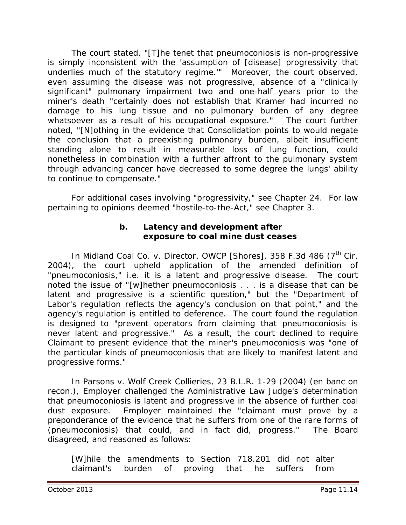The court stated, "[T]he tenet that pneumoconiosis is non-progressive is simply inconsistent with the 'assumption of [disease] progressivity that underlies much of the statutory regime.'" Moreover, the court observed, even assuming the disease was not progressive, absence of a "clinically significant" pulmonary impairment two and one-half years prior to the miner's death "certainly does not establish that Kramer had incurred no damage to his lung tissue and no pulmonary burden of any degree whatsoever as a result of his occupational exposure." The court further noted, "[N]othing in the evidence that Consolidation points to would negate the conclusion that a preexisting pulmonary burden, albeit insufficient standing alone to result in measurable loss of lung function, could nonetheless in combination with a further affront to the pulmonary system through advancing cancer have decreased to some degree the lungs' ability to continue to compensate."

For additional cases involving "progressivity," *see* Chapter 24. For law pertaining to opinions deemed "hostile-to-the-Act," *see* Chapter 3.

## **b. Latency and development after exposure to coal mine dust ceases**

In *Midland Coal Co. v. Director, OWCP [Shores]*, 358 F.3d 486 (7<sup>th</sup> Cir. 2004), the court upheld application of the amended definition of "pneumoconiosis," *i.e.* it is a latent and progressive disease. The court noted the issue of "[w]hether pneumoconiosis . . . is a disease that can be latent and progressive is a scientific question," but the "Department of Labor's regulation reflects the agency's conclusion on that point," and the agency's regulation is entitled to deference. The court found the regulation is designed to "prevent operators from claiming that pneumoconiosis is *never* latent and progressive." As a result, the court declined to require Claimant to present evidence that the miner's pneumoconiosis was "one of the particular kinds of pneumoconiosis that are likely to manifest latent and progressive forms."

In *Parsons v. Wolf Creek Collieries*, 23 B.L.R. 1-29 (2004) (en banc on recon.), Employer challenged the Administrative Law Judge's determination that pneumoconiosis is latent and progressive in the absence of further coal dust exposure. Employer maintained the "claimant must prove by a preponderance of the evidence that he suffers from one of the rare forms of (pneumoconiosis) that could, and in fact did, progress." The Board disagreed, and reasoned as follows:

[W]hile the amendments to Section 718.201 did not alter claimant's burden of proving that he suffers from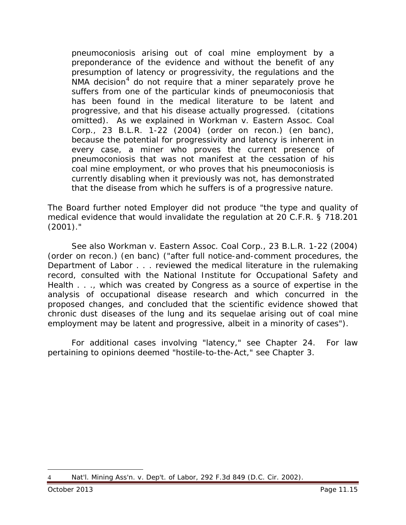pneumoconiosis arising out of coal mine employment by a preponderance of the evidence and without the benefit of any presumption of latency or progressivity, the regulations and the *NMA* decision<sup>[4](#page-14-0)</sup> do not require that a miner separately prove he suffers from one of the particular kinds of pneumoconiosis that has been found in the medical literature to be latent and progressive, and that his disease actually progressed. (citations omitted). As we explained in *Workman v. Eastern Assoc. Coal Corp.*, 23 B.L.R. 1-22 (2004) (order on recon.) (en banc), because the potential for progressivity and latency is inherent in every case, a miner who proves the current presence of pneumoconiosis that was not manifest at the cessation of his coal mine employment, or who proves that his pneumoconiosis is currently disabling when it previously was not, has demonstrated that the disease from which he suffers is of a progressive nature.

The Board further noted Employer did not produce "the type and quality of medical evidence that would invalidate the regulation at 20 C.F.R. § 718.201 (2001)."

*See also Workman v. Eastern Assoc. Coal Corp.*, 23 B.L.R. 1-22 (2004) (order on recon.) (en banc) ("after full notice-and-comment procedures, the Department of Labor . . . reviewed the medical literature in the rulemaking record, consulted with the National Institute for Occupational Safety and Health . . ., which was created by Congress as a source of expertise in the analysis of occupational disease research and which concurred in the proposed changes, and concluded that the scientific evidence showed that chronic dust diseases of the lung and its sequelae arising out of coal mine employment *may* be latent and progressive, albeit in a minority of cases").

For additional cases involving "latency," *see* Chapter 24. For law pertaining to opinions deemed "hostile-to-the-Act," *see* Chapter 3.

<span id="page-14-0"></span><sup>4</sup> *Nat'l. Mining Ass'n. v. Dep't. of Labor*, 292 F.3d 849 (D.C. Cir. 2002).  $\overline{a}$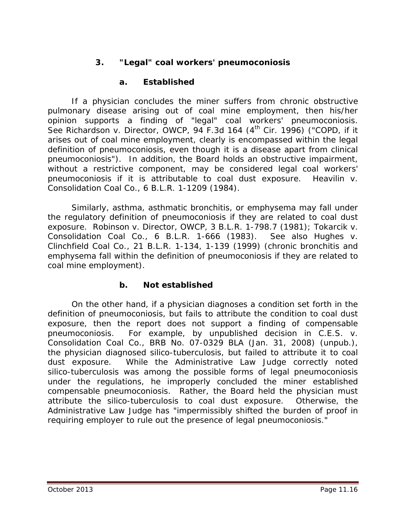# **3. "Legal" coal workers' pneumoconiosis**

# **a. Established**

If a physician concludes the miner suffers from chronic obstructive pulmonary disease arising out of coal mine employment, then his/her opinion supports a finding of "legal" coal workers' pneumoconiosis. See Richardson v. Director, OWCP, 94 F.3d 164 (4<sup>th</sup> Cir. 1996) ("COPD, if it arises out of coal mine employment, clearly is encompassed within the legal definition of pneumoconiosis, even though it is a disease apart from clinical pneumoconiosis"). In addition, the Board holds an obstructive impairment, without a restrictive component, may be considered legal coal workers' pneumoconiosis if it is attributable to coal dust exposure. *Heavilin v. Consolidation Coal Co.*, 6 B.L.R. 1-1209 (1984).

Similarly, asthma, asthmatic bronchitis, or emphysema may fall under the regulatory definition of pneumoconiosis if they are related to coal dust exposure. *Robinson v. Director, OWCP*, 3 B.L.R. 1-798.7 (1981); *Tokarcik v. Consolidation Coal Co.*, 6 B.L.R. 1-666 (1983). *See also Hughes v. Clinchfield Coal Co.*, 21 B.L.R. 1-134, 1-139 (1999) (chronic bronchitis and emphysema fall within the definition of pneumoconiosis if they are related to coal mine employment).

## **b. Not established**

On the other hand, if a physician diagnoses a condition set forth in the definition of pneumoconiosis, but fails to attribute the condition to coal dust exposure, then the report does not support a finding of compensable pneumoconiosis. For example, by unpublished decision in *C.E.S. v. Consolidation Coal Co.*, BRB No. 07-0329 BLA (Jan. 31, 2008) (unpub.), the physician diagnosed silico-tuberculosis, but failed to attribute it to coal dust exposure. While the Administrative Law Judge correctly noted silico-tuberculosis was among the possible forms of legal pneumoconiosis under the regulations, he improperly concluded the miner established compensable pneumoconiosis. Rather, the Board held the physician must attribute the silico-tuberculosis to coal dust exposure. Otherwise, the Administrative Law Judge has "impermissibly shifted the burden of proof in requiring employer to rule out the presence of legal pneumoconiosis."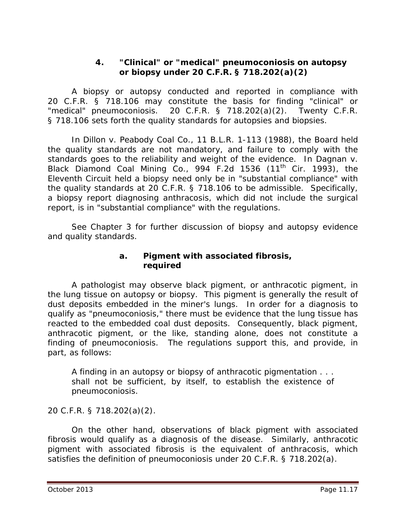## **4. "Clinical" or "medical" pneumoconiosis on autopsy or biopsy under 20 C.F.R. § 718.202(a)(2)**

A biopsy or autopsy conducted and reported in compliance with 20 C.F.R. § 718.106 may constitute the basis for finding "clinical" or "medical" pneumoconiosis. 20 C.F.R. § 718.202(a)(2). Twenty C.F.R. § 718.106 sets forth the quality standards for autopsies and biopsies.

In *Dillon v. Peabody Coal Co.*, 11 B.L.R. 1-113 (1988), the Board held the quality standards are not mandatory, and failure to comply with the standards goes to the reliability and weight of the evidence. In *Dagnan v. Black Diamond Coal Mining Co.*, 994 F.2d 1536 (11th Cir. 1993), the Eleventh Circuit held a biopsy need only be in "substantial compliance" with the quality standards at 20 C.F.R. § 718.106 to be admissible. Specifically, a biopsy report diagnosing anthracosis, which did not include the surgical report, is in "substantial compliance" with the regulations.

*See* Chapter 3 for further discussion of biopsy and autopsy evidence and quality standards.

## **a. Pigment with associated fibrosis, required**

A pathologist may observe black pigment, or anthracotic pigment, in the lung tissue on autopsy or biopsy. This pigment is generally the result of dust deposits embedded in the miner's lungs. In order for a diagnosis to qualify as "pneumoconiosis," there must be evidence that the lung tissue has reacted to the embedded coal dust deposits. Consequently, black pigment, anthracotic pigment, or the like, standing alone, does not constitute a finding of pneumoconiosis. The regulations support this, and provide, in part, as follows:

A finding in an autopsy or biopsy of anthracotic pigmentation . . . shall not be sufficient, by itself, to establish the existence of pneumoconiosis.

20 C.F.R. § 718.202(a)(2).

On the other hand, observations of black pigment *with associated fibrosis* would qualify as a diagnosis of the disease. Similarly, anthracotic pigment with associated fibrosis is the equivalent of anthracosis, which satisfies the definition of pneumoconiosis under 20 C.F.R. § 718.202(a).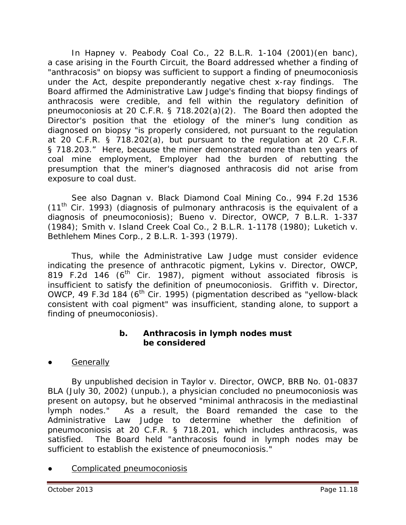In *Hapney v. Peabody Coal Co.*, 22 B.L.R. 1-104 (2001)(en banc), a case arising in the Fourth Circuit, the Board addressed whether a finding of "anthracosis" on biopsy was sufficient to support a finding of pneumoconiosis under the Act, despite preponderantly negative chest x-ray findings. The Board affirmed the Administrative Law Judge's finding that biopsy findings of anthracosis were credible, and fell within the regulatory definition of pneumoconiosis at 20 C.F.R. § 718.202(a)(2). The Board then adopted the Director's position that the etiology of the miner's lung condition as diagnosed on biopsy "is properly considered, not pursuant to the regulation at 20 C.F.R. § 718.202(a), but pursuant to the regulation at 20 C.F.R. § 718.203." Here, because the miner demonstrated more than ten years of coal mine employment, Employer had the burden of rebutting the presumption that the miner's diagnosed anthracosis did not arise from exposure to coal dust.

*See also Dagnan v. Black Diamond Coal Mining Co.*, 994 F.2d 1536  $(11<sup>th</sup>$  Cir. 1993) (diagnosis of pulmonary anthracosis is the equivalent of a diagnosis of pneumoconiosis); *Bueno v. Director*, OWCP, 7 B.L.R. 1-337 (1984); *Smith v. Island Creek Coal Co.*, 2 B.L.R. 1-1178 (1980); *Luketich v. Bethlehem Mines Corp.*, 2 B.L.R. 1-393 (1979).

Thus, while the Administrative Law Judge must consider evidence indicating the presence of anthracotic pigment, *Lykins v. Director, OWCP*, 819 F.2d 146 ( $6<sup>th</sup>$  Cir. 1987), pigment without associated fibrosis is insufficient to satisfy the definition of pneumoconiosis. *Griffith v. Director, OWCP*, 49 F.3d 184 (6<sup>th</sup> Cir. 1995) (pigmentation described as "yellow-black consistent with coal pigment" was insufficient, standing alone, to support a finding of pneumoconiosis).

## **b. Anthracosis in lymph nodes must be considered**

**Generally** 

By unpublished decision in *Taylor v. Director, OWCP*, BRB No. 01-0837 BLA (July 30, 2002) (unpub.), a physician concluded no pneumoconiosis was present on autopsy, but he observed "minimal anthracosis in the mediastinal lymph nodes." As a result, the Board remanded the case to the Administrative Law Judge to determine whether the definition of pneumoconiosis at 20 C.F.R. § 718.201, which includes anthracosis, was satisfied. The Board held "anthracosis found in lymph nodes may be sufficient to establish the existence of pneumoconiosis."

Complicated pneumoconiosis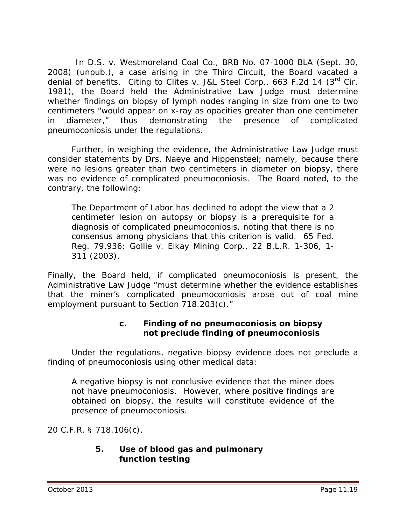In *D.S. v. Westmoreland Coal Co.*, BRB No. 07-1000 BLA (Sept. 30, 2008) (unpub.), a case arising in the Third Circuit, the Board vacated a denial of benefits. Citing to *Clites v. J&L Steel Corp.,* 663 F.2d 14 (3rd Cir. 1981), the Board held the Administrative Law Judge must determine whether findings on biopsy of lymph nodes ranging in size from one to two centimeters "would appear on x-ray as opacities greater than one centimeter in diameter," thus demonstrating the presence of complicated pneumoconiosis under the regulations.

Further, in weighing the evidence, the Administrative Law Judge must consider statements by Drs. Naeye and Hippensteel; namely, because there were no lesions greater than two centimeters in diameter on biopsy, there was no evidence of complicated pneumoconiosis. The Board noted, to the contrary, the following:

The Department of Labor has declined to adopt the view that a 2 centimeter lesion on autopsy or biopsy is a prerequisite for a diagnosis of complicated pneumoconiosis, noting that there is no consensus among physicians that this criterion is valid. 65 Fed. Reg. 79,936; *Gollie v. Elkay Mining Corp.*, 22 B.L.R. 1-306, 1- 311 (2003).

Finally, the Board held, if complicated pneumoconiosis is present, the Administrative Law Judge "must determine whether the evidence establishes that the miner's complicated pneumoconiosis arose out of coal mine employment pursuant to Section 718.203(c)."

# **c. Finding of no pneumoconiosis on biopsy not preclude finding of pneumoconiosis**

Under the regulations, negative biopsy evidence does not preclude a finding of pneumoconiosis using other medical data:

A negative biopsy is not conclusive evidence that the miner does not have pneumoconiosis. However, where positive findings are obtained on biopsy, the results will constitute evidence of the presence of pneumoconiosis.

20 C.F.R. § 718.106(c).

# **5. Use of blood gas and pulmonary function testing**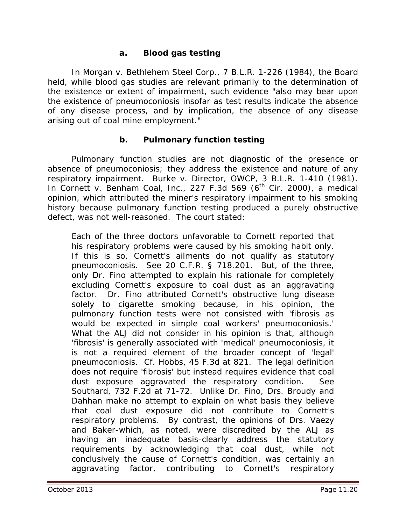#### **a. Blood gas testing**

In *Morgan v. Bethlehem Steel Corp*., 7 B.L.R. 1-226 (1984), the Board held, while blood gas studies are relevant primarily to the determination of the existence or extent of impairment, such evidence "also may bear upon the existence of pneumoconiosis insofar as test results indicate the absence of any disease process, and by implication, the absence of any disease arising out of coal mine employment."

#### **b. Pulmonary function testing**

Pulmonary function studies are not diagnostic of the presence or absence of pneumoconiosis; they address the existence and nature of any respiratory impairment. *Burke v. Director, OWCP*, 3 B.L.R. 1-410 (1981). In *Cornett v. Benham Coal, Inc.*, 227 F.3d 569 (6<sup>th</sup> Cir. 2000), a medical opinion, which attributed the miner's respiratory impairment to his smoking history because pulmonary function testing produced a purely obstructive defect, was not well-reasoned. The court stated:

Each of the three doctors unfavorable to Cornett reported that his respiratory problems were caused by his smoking habit *only*. If this is so, Cornett's ailments do not qualify as statutory pneumoconiosis. *See* 20 C.F.R. § 718.201. But, of the three, only Dr. Fino attempted to explain his rationale for completely excluding Cornett's exposure to coal dust as an aggravating factor. Dr. Fino attributed Cornett's obstructive lung disease solely to cigarette smoking because, in his opinion, the pulmonary function tests were not consisted with 'fibrosis as would be expected in simple coal workers' pneumoconiosis.' What the ALJ did not consider in his opinion is that, although 'fibrosis' is generally associated with 'medical' pneumoconiosis, it is not a required element of the broader concept of 'legal' pneumoconiosis. *Cf. Hobbs*, 45 F.3d at 821. The legal definition does not require 'fibrosis' but instead requires evidence that coal dust exposure aggravated the respiratory condition. *See Southard*, 732 F.2d at 71-72. Unlike Dr. Fino, Drs. Broudy and Dahhan make no attempt to explain on what basis they believe that coal dust exposure did not contribute to Cornett's respiratory problems. By contrast, the opinions of Drs. Vaezy and Baker-which, as noted, were discredited by the ALJ as having an inadequate basis-clearly address the statutory requirements by acknowledging that coal dust, while not conclusively the cause of Cornett's condition, was certainly an aggravating factor, contributing to Cornett's respiratory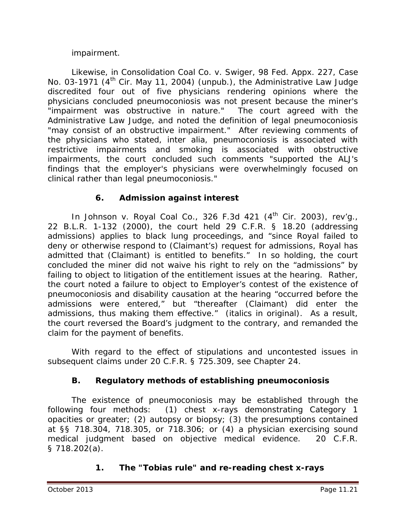## impairment.

Likewise, in *Consolidation Coal Co. v. Swiger*, 98 Fed. Appx. 227, Case No. 03-1971 (4<sup>th</sup> Cir. May 11, 2004) (unpub.), the Administrative Law Judge discredited four out of five physicians rendering opinions where the physicians concluded pneumoconiosis was not present because the miner's "impairment was obstructive in nature." The court agreed with the Administrative Law Judge, and noted the definition of *legal* pneumoconiosis "may consist of an obstructive impairment." After reviewing comments of the physicians who stated, *inter alia*, pneumoconiosis is associated with restrictive impairments and smoking is associated with obstructive impairments, the court concluded such comments "supported the ALJ's findings that the employer's physicians were overwhelmingly focused on clinical rather than legal pneumoconiosis."

# **6. Admission against interest**

In *Johnson v. Royal Coal Co.*, 326 F.3d 421 (4<sup>th</sup> Cir. 2003), *rev'g.*, 22 B.L.R. 1-132 (2000), the court held 29 C.F.R. § 18.20 (addressing admissions) applies to black lung proceedings, and "since Royal failed to deny or otherwise respond to (Claimant's) request for admissions, Royal has admitted that (Claimant) is entitled to benefits." In so holding, the court concluded the miner did not waive his right to rely on the "admissions" by failing to object to litigation of the entitlement issues at the hearing. Rather, the court noted a failure to object to Employer's contest of the existence of pneumoconiosis and disability causation at the hearing "occurred before the admissions were entered," but "thereafter (Claimant) *did* enter the admissions, thus making them effective." (italics in original). As a result, the court reversed the Board's judgment to the contrary, and remanded the claim for the payment of benefits.

With regard to the effect of stipulations and uncontested issues in subsequent claims under 20 C.F.R. § 725.309, *see* Chapter 24.

# **B. Regulatory methods of establishing pneumoconiosis**

The existence of pneumoconiosis may be established through the following four methods: (1) chest x-rays demonstrating Category 1 opacities or greater; (2) autopsy or biopsy; (3) the presumptions contained at §§ 718.304, 718.305, or 718.306; or (4) a physician exercising sound medical judgment based on objective medical evidence. 20 C.F.R. § 718.202(a).

# **1. The "Tobias rule" and re-reading chest x-rays**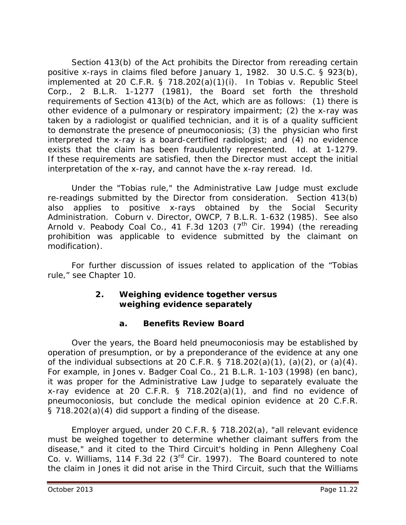Section 413(b) of the Act prohibits the Director from rereading certain positive x-rays in claims filed before January 1, 1982. 30 U.S.C. § 923(b), implemented at 20 C.F.R. § 718.202(a)(1)(i). In *Tobias v. Republic Steel Corp.*, 2 B.L.R. 1-1277 (1981), the Board set forth the threshold requirements of Section 413(b) of the Act, which are as follows: (1) there is other evidence of a pulmonary or respiratory impairment; (2) the x-ray was taken by a radiologist or qualified technician, and it is of a quality sufficient to demonstrate the presence of pneumoconiosis; (3) the physician who first interpreted the x-ray is a board-certified radiologist; and (4) no evidence exists that the claim has been fraudulently represented. *Id*. at 1-1279. If these requirements are satisfied, then the Director must accept the initial interpretation of the x-ray, and cannot have the x-ray reread. *Id*.

Under the "Tobias rule," the Administrative Law Judge must exclude re-readings submitted by the Director from consideration. Section 413(b) also applies to positive x-rays obtained by the Social Security Administration. *Coburn v. Director, OWCP*, 7 B.L.R. 1-632 (1985). *See also* Arnold v. Peabody Coal Co., 41 F.3d 1203 (7<sup>th</sup> Cir. 1994) (the rereading prohibition was applicable to evidence submitted by the claimant on modification).

For further discussion of issues related to application of the "Tobias rule," see Chapter 10.

# **2. Weighing evidence together versus weighing evidence separately**

# **a. Benefits Review Board**

Over the years, the Board held pneumoconiosis may be established by operation of presumption, or by a preponderance of the evidence at any one of the individual subsections at 20 C.F.R. § 718.202(a)(1), (a)(2), or (a)(4). For example, in *Jones v. Badger Coal Co.*, 21 B.L.R. 1-103 (1998) (*en banc*), it was proper for the Administrative Law Judge to separately evaluate the x-ray evidence at 20 C.F.R. § 718.202(a)(1), and find no evidence of pneumoconiosis, but conclude the medical opinion evidence at 20 C.F.R. § 718.202(a)(4) did support a finding of the disease.

Employer argued, under 20 C.F.R. § 718.202(a), "all relevant evidence must be weighed together to determine whether claimant suffers from the disease," and it cited to the Third Circuit's holding in *Penn Allegheny Coal Co. v. Williams*, 114 F.3d 22 (3rd Cir. 1997). The Board countered to note the claim in *Jones* it did not arise in the Third Circuit, such that the *Williams*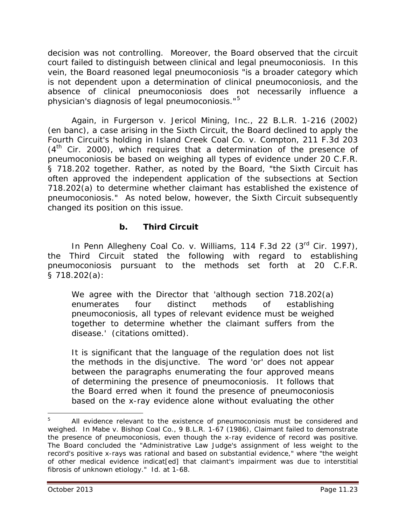decision was not controlling. Moreover, the Board observed that the circuit court failed to distinguish between clinical and legal pneumoconiosis. In this vein, the Board reasoned legal pneumoconiosis "is a broader category which is not dependent upon a determination of clinical pneumoconiosis, and the absence of clinical pneumoconiosis does not necessarily influence a physician's diagnosis of legal pneumoconiosis."[5](#page-22-0)

Again, in *Furgerson v. Jericol Mining, Inc.*, 22 B.L.R. 1-216 (2002) (en banc), a case arising in the Sixth Circuit, the Board declined to apply the Fourth Circuit's holding in *Island Creek Coal Co. v. Compton*, 211 F.3d 203  $(4<sup>th</sup>$  Cir. 2000), which requires that a determination of the presence of pneumoconiosis be based on weighing all types of evidence under 20 C.F.R. § 718.202 together. Rather, as noted by the Board, "the Sixth Circuit has often approved the independent application of the subsections at Section 718.202(a) to determine whether claimant has established the existence of pneumoconiosis." As noted below, however, the Sixth Circuit subsequently changed its position on this issue.

# **b. Third Circuit**

In *Penn Allegheny Coal Co. v. Williams*, 114 F.3d 22 (3rd Cir. 1997), the Third Circuit stated the following with regard to establishing pneumoconiosis pursuant to the methods set forth at 20 C.F.R. § 718.202(a):

We agree with the Director that 'although section 718.202(a) enumerates four distinct methods of establishing pneumoconiosis, all types of relevant evidence must be weighed together to determine whether the claimant suffers from the disease.' (citations omitted).

It is significant that the language of the regulation does not list the methods in the disjunctive. The word 'or' does not appear between the paragraphs enumerating the four approved means of determining the presence of pneumoconiosis. It follows that the Board erred when it found the presence of pneumoconiosis based on the x-ray evidence alone without evaluating the other

 $\overline{a}$ 

<span id="page-22-0"></span><sup>5</sup> All evidence relevant to the existence of pneumoconiosis must be considered and weighed. In *Mabe v. Bishop Coal Co.*, 9 B.L.R. 1-67 (1986), Claimant failed to demonstrate the presence of pneumoconiosis, even though the x-ray evidence of record was positive. The Board concluded the "Administrative Law Judge's assignment of less weight to the record's positive x-rays was rational and based on substantial evidence," where "the weight of other medical evidence indicat[ed] that claimant's impairment was due to interstitial fibrosis of unknown etiology." *Id*. at 1-68.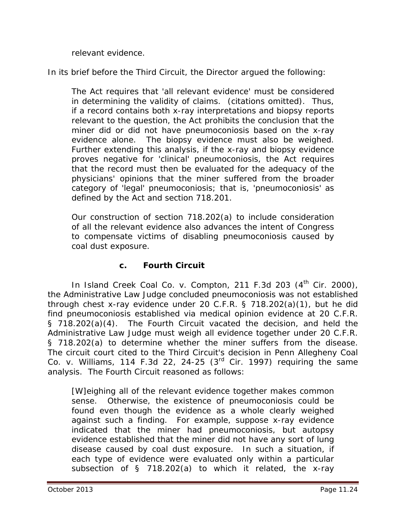relevant evidence.

In its brief before the Third Circuit, the Director argued the following:

The Act requires that 'all relevant evidence' must be considered in determining the validity of claims. (citations omitted). Thus, if a record contains both x-ray interpretations and biopsy reports relevant to the question, the Act prohibits the conclusion that the miner did or did not have pneumoconiosis based on the x-ray evidence alone. The biopsy evidence must also be weighed. Further extending this analysis, if the x-ray and biopsy evidence proves negative for 'clinical' pneumoconiosis, the Act requires that the record must then be evaluated for the adequacy of the physicians' opinions that the miner suffered from the broader category of 'legal' pneumoconiosis; that is, 'pneumoconiosis' as defined by the Act and section 718.201.

Our construction of section 718.202(a) to include consideration of all the relevant evidence also advances the intent of Congress to compensate victims of disabling pneumoconiosis caused by coal dust exposure.

## **c. Fourth Circuit**

In *Island Creek Coal Co. v. Compton*, 211 F.3d 203 (4<sup>th</sup> Cir. 2000), the Administrative Law Judge concluded pneumoconiosis was not established through chest x-ray evidence under 20 C.F.R. § 718.202(a)(1), but he did find pneumoconiosis established via medical opinion evidence at 20 C.F.R. § 718.202(a)(4). The Fourth Circuit vacated the decision, and held the Administrative Law Judge must weigh all evidence together under 20 C.F.R. § 718.202(a) to determine whether the miner suffers from the disease. The circuit court cited to the Third Circuit's decision in *Penn Allegheny Coal Co. v. Williams*, 114 F.3d 22, 24-25 (3rd Cir. 1997) requiring the same analysis. The Fourth Circuit reasoned as follows:

[W]eighing all of the relevant evidence together makes common sense. Otherwise, the existence of pneumoconiosis could be found even though the evidence as a whole clearly weighed against such a finding. For example, suppose x-ray evidence indicated that the miner had pneumoconiosis, but autopsy evidence established that the miner did not have any sort of lung disease caused by coal dust exposure. In such a situation, if each type of evidence were evaluated only within a particular subsection of § 718.202(a) to which it related, the x-ray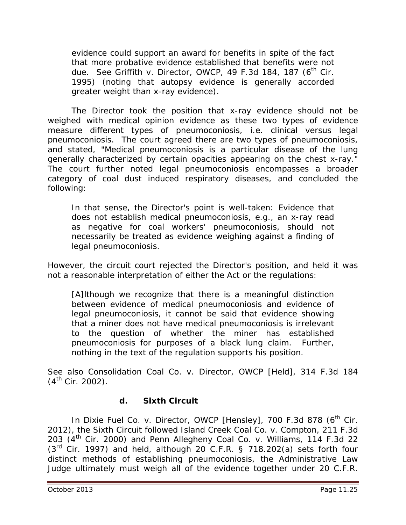evidence could support an award for benefits in spite of the fact that more probative evidence established that benefits were not due. *See Griffith v. Director, OWCP*, 49 F.3d 184, 187 (6<sup>th</sup> Cir. 1995) (noting that autopsy evidence is generally accorded greater weight than x-ray evidence).

The Director took the position that x-ray evidence should not be weighed with medical opinion evidence as these two types of evidence measure different types of pneumoconiosis, *i.e.* clinical versus legal pneumoconiosis. The court agreed there are two types of pneumoconiosis, and stated, "Medical pneumoconiosis is a particular disease of the lung generally characterized by certain opacities appearing on the chest x-ray." The court further noted legal pneumoconiosis encompasses a broader category of coal dust induced respiratory diseases, and concluded the following:

In that sense, the Director's point is well-taken: Evidence that does not establish medical pneumoconiosis, *e.g.*, an x-ray read as negative for coal workers' pneumoconiosis, should not necessarily be treated as evidence weighing against a finding of legal pneumoconiosis.

However, the circuit court rejected the Director's position, and held it was not a reasonable interpretation of either the Act or the regulations:

[A]lthough we recognize that there is a meaningful distinction between evidence of medical pneumoconiosis and evidence of legal pneumoconiosis, it cannot be said that evidence showing that a miner does not have medical pneumoconiosis is irrelevant to the question of whether the miner has established pneumoconiosis for purposes of a black lung claim. Further, nothing in the text of the regulation supports his position.

*See also Consolidation Coal Co. v. Director, OWCP [Held]*, 314 F.3d 184  $(4^{th}$  Cir. 2002).

# **d. Sixth Circuit**

In *Dixie Fuel Co. v. Director, OWCP [Hensley]*, 700 F.3d 878 (6<sup>th</sup> Cir. 2012), the Sixth Circuit followed *Island Creek Coal Co. v. Compton*, 211 F.3d 203 (4th Cir. 2000) and *Penn Allegheny Coal Co. v. Williams*, 114 F.3d 22  $(3<sup>rd</sup>$  Cir. 1997) and held, although 20 C.F.R. § 718.202(a) sets forth four distinct methods of establishing pneumoconiosis, the Administrative Law Judge ultimately must weigh all of the evidence together under 20 C.F.R.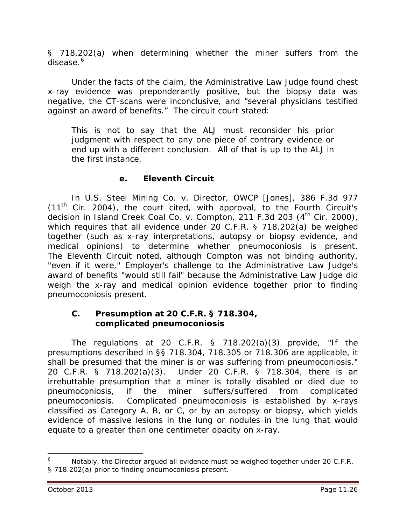§ 718.202(a) when determining whether the miner suffers from the disease.<sup>[6](#page-25-0)</sup>

Under the facts of the claim, the Administrative Law Judge found chest x-ray evidence was preponderantly positive, but the biopsy data was negative, the CT-scans were inconclusive, and "several physicians testified against an award of benefits." The circuit court stated:

This is not to say that the ALJ must reconsider his prior judgment with respect to any one piece of contrary evidence or end up with a different conclusion. All of that is up to the ALJ in the first instance.

# **e. Eleventh Circuit**

In *U.S. Steel Mining Co. v. Director, OWCP [Jones]*, 386 F.3d 977  $(11<sup>th</sup>$  Cir. 2004), the court cited, with approval, to the Fourth Circuit's decision in *Island Creek Coal Co. v. Compton*, 211 F.3d 203 (4<sup>th</sup> Cir. 2000), which requires that all evidence under 20 C.F.R. § 718.202(a) be weighed together (such as x-ray interpretations, autopsy or biopsy evidence, and medical opinions) to determine whether pneumoconiosis is present. The Eleventh Circuit noted, although *Compton* was not binding authority, "even if it were," Employer's challenge to the Administrative Law Judge's award of benefits "would still fail" because the Administrative Law Judge did weigh the x-ray and medical opinion evidence together prior to finding pneumoconiosis present.

#### **C. Presumption at 20 C.F.R. § 718.304, complicated pneumoconiosis**

The regulations at 20 C.F.R. § 718.202(a)(3) provide, "If the presumptions described in §§ 718.304, 718.305 or 718.306 are applicable, it shall be presumed that the miner is or was suffering from pneumoconiosis." 20 C.F.R. § 718.202(a)(3). Under 20 C.F.R. § 718.304, there is an irrebuttable presumption that a miner is totally disabled or died due to pneumoconiosis, if the miner suffers/suffered from complicated pneumoconiosis. Complicated pneumoconiosis is established by x-rays classified as Category A, B, or C, or by an autopsy or biopsy, which yields evidence of massive lesions in the lung or nodules in the lung that would equate to a greater than one centimeter opacity on x-ray.

 $\overline{a}$ 

<span id="page-25-0"></span>Notably, the Director argued all evidence must be weighed together under 20 C.F.R. § 718.202(a) prior to finding pneumoconiosis present.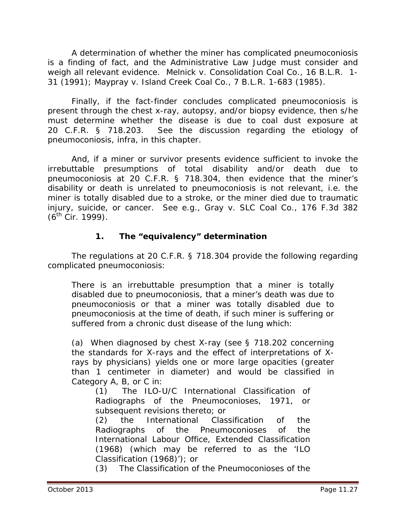A determination of whether the miner has complicated pneumoconiosis is a finding of fact, and the Administrative Law Judge must consider and weigh all relevant evidence. *Melnick v. Consolidation Coal Co.,* 16 B.L.R. 1- 31 (1991); *Maypray v. Island Creek Coal Co.*, 7 B.L.R. 1-683 (1985).

Finally, if the fact-finder concludes complicated pneumoconiosis is present through the chest x-ray, autopsy, and/or biopsy evidence, then s/he must determine whether the disease is due to coal dust exposure at 20 C.F.R. § 718.203. *See* the discussion regarding the etiology of pneumoconiosis, *infra*, in this chapter.

And, if a miner or survivor presents evidence sufficient to invoke the irrebuttable presumptions of total disability and/or death due to pneumoconiosis at 20 C.F.R. § 718.304, then evidence that the miner's disability or death is unrelated to pneumoconiosis is not relevant, *i.e.* the miner is totally disabled due to a stroke, or the miner died due to traumatic injury, suicide, or cancer. *See e.g., Gray v. SLC Coal Co.*, 176 F.3d 382  $(6^{th}$  Cir. 1999).

# **1. The "equivalency" determination**

The regulations at 20 C.F.R. § 718.304 provide the following regarding complicated pneumoconiosis:

There is an irrebuttable presumption that a miner is totally disabled due to pneumoconiosis, that a miner's death was due to pneumoconiosis or that a miner was totally disabled due to pneumoconiosis at the time of death, if such miner is suffering or suffered from a chronic dust disease of the lung which:

(a) When diagnosed by chest X-ray (see § 718.202 concerning the standards for X-rays and the effect of interpretations of Xrays by physicians) yields one or more large opacities (greater than 1 centimeter in diameter) and would be classified in Category A, B, or C in:

(1) The ILO-U/C International Classification of Radiographs of the Pneumoconioses, 1971, or subsequent revisions thereto; or

(2) the International Classification of the Radiographs of the Pneumoconioses of the International Labour Office, Extended Classification (1968) (which may be referred to as the 'ILO Classification (1968)'); or

(3) The Classification of the Pneumoconioses of the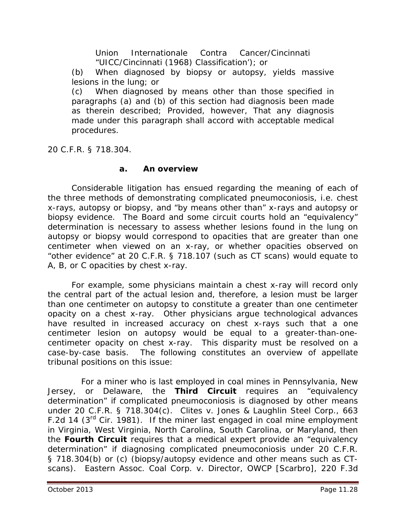Union Internationale Contra Cancer/Cincinnati "UICC/Cincinnati (1968) Classification'); or

(b) When diagnosed by biopsy or autopsy, yields massive lesions in the lung; or

(c) When diagnosed by means other than those specified in paragraphs (a) and (b) of this section had diagnosis been made as therein described; *Provided, however*, That any diagnosis made under this paragraph shall accord with acceptable medical procedures.

20 C.F.R. § 718.304.

## **a. An overview**

Considerable litigation has ensued regarding the meaning of each of the three methods of demonstrating complicated pneumoconiosis, *i.e.* chest x-rays, autopsy or biopsy, and "by means other than" x-rays and autopsy or biopsy evidence. The Board and some circuit courts hold an "equivalency" determination is necessary to assess whether lesions found in the lung on autopsy or biopsy would correspond to opacities that are greater than one centimeter when viewed on an x-ray, or whether opacities observed on "other evidence" at 20 C.F.R. § 718.107 (such as CT scans) would equate to A, B, or C opacities by chest x-ray.

For example, some physicians maintain a chest x-ray will record only the central part of the actual lesion and, therefore, a lesion must be larger than one centimeter on autopsy to constitute a greater than one centimeter opacity on a chest x-ray. Other physicians argue technological advances have resulted in increased accuracy on chest x-rays such that a one centimeter lesion on autopsy would be equal to a greater-than-onecentimeter opacity on chest x-ray. This disparity must be resolved on a case-by-case basis. The following constitutes an overview of appellate tribunal positions on this issue:

 For a miner who is last employed in coal mines in Pennsylvania, New Jersey, or Delaware, the **Third Circuit** requires an "equivalency determination" if complicated pneumoconiosis is diagnosed by other means under 20 C.F.R. § 718.304(c). *Clites v. Jones & Laughlin Steel Corp.*, 663 F.2d 14 ( $3<sup>rd</sup>$  Cir. 1981). If the miner last engaged in coal mine employment in Virginia, West Virginia, North Carolina, South Carolina, or Maryland, then the **Fourth Circuit** requires that a medical expert provide an "equivalency determination" if diagnosing complicated pneumoconiosis under 20 C.F.R. § 718.304(b) or (c) (biopsy/autopsy evidence and other means such as CTscans). *Eastern Assoc. Coal Corp. v. Director, OWCP [Scarbro]*, 220 F.3d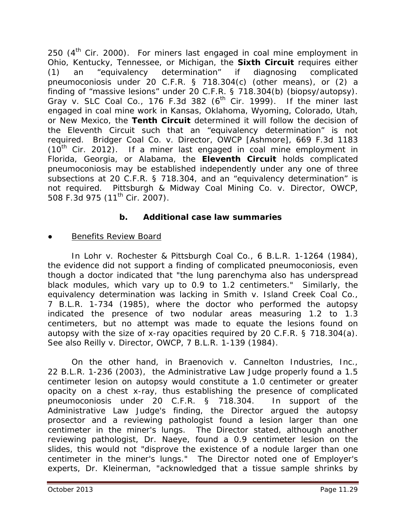250  $(4<sup>th</sup>$  Cir. 2000). For miners last engaged in coal mine employment in Ohio, Kentucky, Tennessee, or Michigan, the **Sixth Circuit** requires either (1) an "equivalency determination" if diagnosing complicated pneumoconiosis under 20 C.F.R. § 718.304(c) (other means), or (2) a finding of "massive lesions" under 20 C.F.R. § 718.304(b) (biopsy/autopsy). *Gray v. SLC Coal Co.*, 176 F.3d 382 (6<sup>th</sup> Cir. 1999). If the miner last engaged in coal mine work in Kansas, Oklahoma, Wyoming, Colorado, Utah, or New Mexico, the **Tenth Circuit** determined it will follow the decision of the Eleventh Circuit such that an "equivalency determination" is not required. *Bridger Coal Co. v. Director, OWCP [Ashmore]*, 669 F.3d 1183  $(10<sup>th</sup>$  Cir. 2012). If a miner last engaged in coal mine employment in Florida, Georgia, or Alabama, the **Eleventh Circuit** holds complicated pneumoconiosis may be established independently under any one of three subsections at 20 C.F.R. § 718.304, and an "equivalency determination" is not required. *Pittsburgh & Midway Coal Mining Co. v. Director, OWCP*, 508 F.3d 975 (11<sup>th</sup> Cir. 2007).

# **b. Additional case law summaries**

# Benefits Review Board

In *Lohr v. Rochester & Pittsburgh Coal Co.*, 6 B.L.R. 1-1264 (1984), the evidence did not support a finding of complicated pneumoconiosis, even though a doctor indicated that "the lung parenchyma also has underspread black modules, which vary up to 0.9 to 1.2 centimeters." Similarly, the equivalency determination was lacking in *Smith v. Island Creek Coal Co.*, 7 B.L.R. 1-734 (1985), where the doctor who performed the autopsy indicated the presence of two nodular areas measuring 1.2 to 1.3 centimeters, but no attempt was made to equate the lesions found on autopsy with the size of x-ray opacities required by 20 C.F.R. § 718.304(a). *See also Reilly v. Director, OWCP*, 7 B.L.R. 1-139 (1984).

On the other hand, in *Braenovich v. Cannelton Industries, Inc.*, 22 B.L.R. 1-236 (2003), the Administrative Law Judge properly found a 1.5 centimeter lesion on autopsy would constitute a 1.0 centimeter or greater opacity on a chest x-ray, thus establishing the presence of complicated pneumoconiosis under 20 C.F.R. § 718.304. In support of the Administrative Law Judge's finding, the Director argued the autopsy prosector and a reviewing pathologist found a lesion larger than one centimeter in the miner's lungs. The Director stated, although another reviewing pathologist, Dr. Naeye, found a 0.9 centimeter lesion on the slides, this would not "disprove the existence of a nodule larger than one centimeter in the miner's lungs." The Director noted one of Employer's experts, Dr. Kleinerman, "acknowledged that a tissue sample shrinks by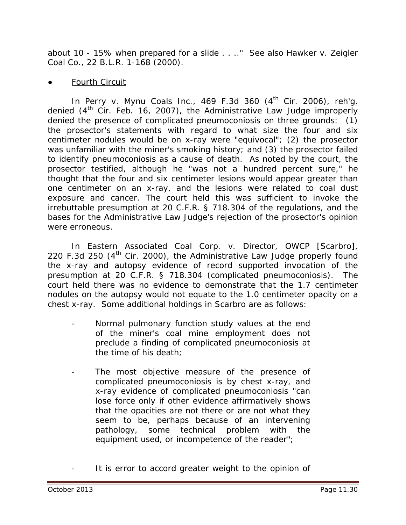about 10 - 15% when prepared for a slide . . .." *See also Hawker v. Zeigler Coal Co.*, 22 B.L.R. 1-168 (2000).

#### Fourth Circuit

In *Perry v. Mynu Coals Inc.*, 469 F.3d 360 (4<sup>th</sup> Cir. 2006), *reh'g.* denied (4<sup>th</sup> Cir. Feb. 16, 2007), the Administrative Law Judge improperly denied the presence of complicated pneumoconiosis on three grounds: (1) the prosector's statements with regard to what size the four and six centimeter nodules would be on x-ray were "equivocal"; (2) the prosector was unfamiliar with the miner's smoking history; and (3) the prosector failed to identify pneumoconiosis as a cause of death. As noted by the court, the prosector testified, although he "was not a hundred percent sure," he thought that the four and six centimeter lesions would appear greater than one centimeter on an x-ray, and the lesions were related to coal dust exposure and cancer. The court held this was sufficient to invoke the irrebuttable presumption at 20 C.F.R. § 718.304 of the regulations, and the bases for the Administrative Law Judge's rejection of the prosector's opinion were erroneous.

In *Eastern Associated Coal Corp. v. Director, OWCP [Scarbro]*, 220 F.3d 250  $(4<sup>th</sup>$  Cir. 2000), the Administrative Law Judge properly found the x-ray and autopsy evidence of record supported invocation of the presumption at 20 C.F.R. § 718.304 (complicated pneumoconiosis). The court held there was no evidence to demonstrate that the 1.7 centimeter nodules on the autopsy would not equate to the 1.0 centimeter opacity on a chest x-ray. Some additional holdings in *Scarbro* are as follows:

- Normal pulmonary function study values at the end of the miner's coal mine employment does not preclude a finding of complicated pneumoconiosis at the time of his death;
- The most objective measure of the presence of complicated pneumoconiosis is by chest x-ray, and x-ray evidence of complicated pneumoconiosis "can lose force only if other evidence affirmatively shows that the opacities are not there or are not what they seem to be, perhaps because of an intervening pathology, some technical problem with the equipment used, or incompetence of the reader";
- It is error to accord greater weight to the opinion of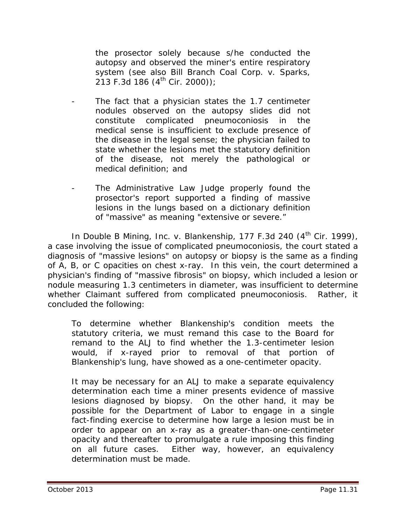the prosector solely because s/he conducted the autopsy and observed the miner's entire respiratory system (*see also Bill Branch Coal Corp. v. Sparks*,  $213$  F.3d 186 (4<sup>th</sup> Cir. 2000));

- The fact that a physician states the 1.7 centimeter nodules observed on the autopsy slides did not constitute complicated pneumoconiosis in the medical sense is insufficient to exclude presence of the disease in the legal sense; the physician failed to state whether the lesions met the statutory definition of the disease, not merely the pathological or medical definition; and
- The Administrative Law Judge properly found the prosector's report supported a finding of massive lesions in the lungs based on a dictionary definition of "massive" as meaning "extensive or severe."

In *Double B Mining, Inc. v. Blankenship*, 177 F.3d 240 (4<sup>th</sup> Cir. 1999), a case involving the issue of complicated pneumoconiosis, the court stated a diagnosis of "massive lesions" on autopsy or biopsy is the same as a finding of A, B, or C opacities on chest x-ray. In this vein, the court determined a physician's finding of "massive fibrosis" on biopsy, which included a lesion or nodule measuring 1.3 centimeters in diameter, was insufficient to determine whether Claimant suffered from complicated pneumoconiosis. Rather, it concluded the following:

To determine whether Blankenship's condition meets the statutory criteria, we must remand this case to the Board for remand to the ALJ to find whether the 1.3-centimeter lesion would, if x-rayed prior to removal of that portion of Blankenship's lung, have showed as a one-centimeter opacity.

It may be necessary for an ALJ to make a separate equivalency determination each time a miner presents evidence of massive lesions diagnosed by biopsy. On the other hand, it may be possible for the Department of Labor to engage in a single fact-finding exercise to determine how large a lesion must be in order to appear on an x-ray as a greater-than-one-centimeter opacity and thereafter to promulgate a rule imposing this finding on all future cases. Either way, however, an equivalency determination must be made.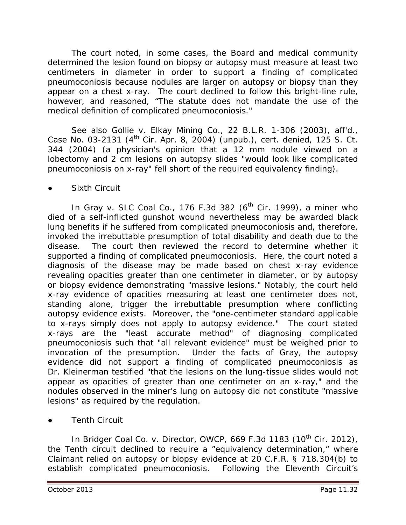The court noted, in some cases, the Board and medical community determined the lesion found on biopsy or autopsy must measure at least two centimeters in diameter in order to support a finding of complicated pneumoconiosis because nodules are larger on autopsy or biopsy than they appear on a chest x-ray. The court declined to follow this bright-line rule, however, and reasoned, "The statute does not mandate the use of the medical definition of complicated pneumoconiosis."

*See also Gollie v. Elkay Mining Co.*, 22 B.L.R. 1-306 (2003), *aff'd.*, Case No. 03-2131 (4th Cir. Apr. 8, 2004) (unpub.), *cert. denied*, 125 S. Ct. 344 (2004) (a physician's opinion that a 12 mm nodule viewed on a lobectomy and 2 cm lesions on autopsy slides "would look like complicated pneumoconiosis on x-ray" fell short of the required equivalency finding).

# **Sixth Circuit**

In *Gray v. SLC Coal Co.*, 176 F.3d 382 (6<sup>th</sup> Cir. 1999), a miner who died of a self-inflicted gunshot wound nevertheless may be awarded black lung benefits if he suffered from complicated pneumoconiosis and, therefore, invoked the irrebuttable presumption of total disability and death due to the disease. The court then reviewed the record to determine whether it supported a finding of complicated pneumoconiosis. Here, the court noted a diagnosis of the disease may be made based on chest x-ray evidence revealing opacities greater than one centimeter in diameter, or by autopsy or biopsy evidence demonstrating "massive lesions." Notably, the court held x-ray evidence of opacities measuring at least one centimeter does not, standing alone, trigger the irrebuttable presumption where conflicting autopsy evidence exists. Moreover, the "one-centimeter standard applicable to x-rays simply does not apply to autopsy evidence." The court stated x-rays are the "least accurate method" of diagnosing complicated pneumoconiosis such that "all relevant evidence" must be weighed prior to invocation of the presumption. Under the facts of *Gray*, the autopsy evidence did not support a finding of complicated pneumoconiosis as Dr. Kleinerman testified "that the lesions on the lung-tissue slides would not appear as opacities of greater than one centimeter on an x-ray," and the nodules observed in the miner's lung on autopsy did not constitute "massive lesions" as required by the regulation.

**Tenth Circuit** 

In *Bridger Coal Co. v. Director, OWCP*, 669 F.3d 1183 (10<sup>th</sup> Cir. 2012), the Tenth circuit declined to require a "equivalency determination," where Claimant relied on autopsy or biopsy evidence at 20 C.F.R. § 718.304(b) to establish complicated pneumoconiosis. Following the Eleventh Circuit's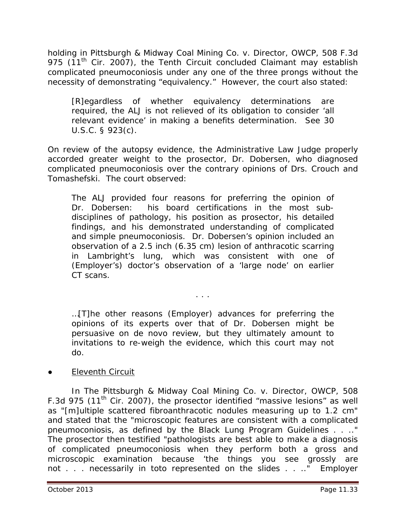holding in *Pittsburgh & Midway Coal Mining Co. v. Director, OWCP*, 508 F.3d 975 (11<sup>th</sup> Cir. 2007), the Tenth Circuit concluded Claimant may establish complicated pneumoconiosis under any one of the three prongs without the necessity of demonstrating "equivalency." However, the court also stated:

[R]egardless of whether equivalency determinations are required, the ALJ is not relieved of its obligation to consider 'all relevant evidence' in making a benefits determination. *See* 30 U.S.C. § 923(c).

On review of the autopsy evidence, the Administrative Law Judge properly accorded greater weight to the prosector, Dr. Dobersen, who diagnosed complicated pneumoconiosis over the contrary opinions of Drs. Crouch and Tomashefski. The court observed:

The ALJ provided four reasons for preferring the opinion of Dr. Dobersen: his board certifications in the most subdisciplines of pathology, his position as prosector, his detailed findings, and his demonstrated understanding of complicated and simple pneumoconiosis. Dr. Dobersen's opinion included an observation of a 2.5 inch (6.35 cm) lesion of anthracotic scarring in Lambright's lung, which was consistent with one of (Employer's) doctor's observation of a 'large node' on earlier CT scans.

. . .

…[T]he other reasons (Employer) advances for preferring the opinions of its experts over that of Dr. Dobersen might be persuasive on *de novo* review, but they ultimately amount to invitations to re-weigh the evidence, which this court may not do.

## **Eleventh Circuit**

In *The Pittsburgh & Midway Coal Mining Co. v. Director, OWCP*, 508 F.3d 975 (11<sup>th</sup> Cir. 2007), the prosector identified "massive lesions" as well as "[m]ultiple scattered fibroanthracotic nodules measuring up to 1.2 cm" and stated that the "microscopic features are consistent with a complicated pneumoconiosis, as defined by the Black Lung Program Guidelines . . .." The prosector then testified "pathologists are best able to make a diagnosis of complicated pneumoconiosis when they perform both a gross and microscopic examination because 'the things you see grossly are not . . . necessarily in toto represented on the slides . . .." Employer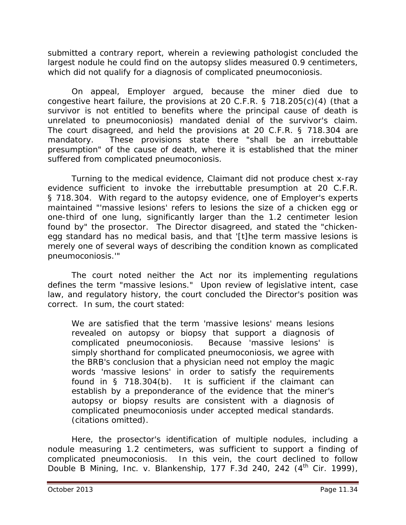submitted a contrary report, wherein a reviewing pathologist concluded the largest nodule he could find on the autopsy slides measured 0.9 centimeters, which did not qualify for a diagnosis of complicated pneumoconiosis.

On appeal, Employer argued, because the miner died due to congestive heart failure, the provisions at 20 C.F.R. § 718.205(c)(4) (that a survivor is not entitled to benefits where the principal cause of death is unrelated to pneumoconiosis) mandated denial of the survivor's claim. The court disagreed, and held the provisions at 20 C.F.R. § 718.304 are mandatory. These provisions state there "*shall* be an *irrebuttable*  presumption" of the cause of death, where it is established that the miner suffered from complicated pneumoconiosis.

Turning to the medical evidence, Claimant did not produce chest x-ray evidence sufficient to invoke the irrebuttable presumption at 20 C.F.R. § 718.304. With regard to the autopsy evidence, one of Employer's experts maintained "'massive lesions' refers to lesions the size of a chicken egg or one-third of one lung, significantly larger than the 1.2 centimeter lesion found by" the prosector. The Director disagreed, and stated the "chickenegg standard has no medical basis, and that '[t]he term massive lesions is merely one of several ways of describing the condition known as complicated pneumoconiosis.'"

The court noted neither the Act nor its implementing regulations defines the term "massive lesions." Upon review of legislative intent, case law, and regulatory history, the court concluded the Director's position was correct. In sum, the court stated:

We are satisfied that the term 'massive lesions' means lesions revealed on autopsy or biopsy that support a diagnosis of complicated pneumoconiosis. Because 'massive lesions' is simply shorthand for complicated pneumoconiosis, we agree with the BRB's conclusion that a physician need not employ the magic words 'massive lesions' in order to satisfy the requirements found in § 718.304(b). It is sufficient if the claimant can establish by a preponderance of the evidence that the miner's autopsy or biopsy results are consistent with a diagnosis of complicated pneumoconiosis under accepted medical standards. (citations omitted).

Here, the prosector's identification of multiple nodules, including a nodule measuring 1.2 centimeters, was sufficient to support a finding of complicated pneumoconiosis. In this vein, the court declined to follow *Double B Mining, Inc. v. Blankenship*, 177 F.3d 240, 242 (4<sup>th</sup> Cir. 1999),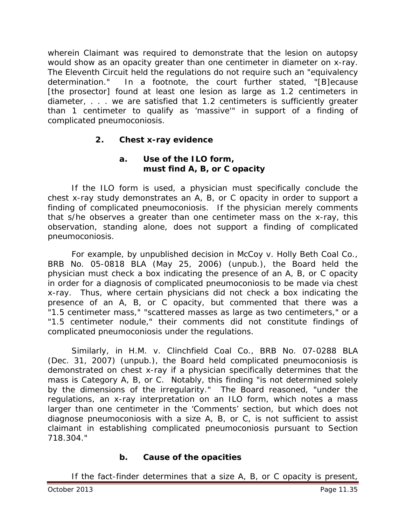wherein Claimant was required to demonstrate that the lesion on autopsy would show as an opacity greater than one centimeter in diameter on x-ray. The Eleventh Circuit held the regulations do not require such an "equivalency determination." In a footnote, the court further stated, "[B]ecause [the prosector] found at least one lesion as large as 1.2 centimeters in diameter, . . . we are satisfied that 1.2 centimeters is sufficiently greater than 1 centimeter to qualify as 'massive'" in support of a finding of complicated pneumoconiosis.

# **2. Chest x-ray evidence**

# **a. Use of the ILO form, must find A, B, or C opacity**

If the ILO form is used, a physician must specifically conclude the chest x-ray study demonstrates an A, B, or C opacity in order to support a finding of complicated pneumoconiosis. If the physician merely comments that s/he observes a greater than one centimeter mass on the x-ray, this observation, standing alone, does not support a finding of complicated pneumoconiosis.

For example, by unpublished decision in *McCoy v. Holly Beth Coal Co.*, BRB No. 05-0818 BLA (May 25, 2006) (unpub.), the Board held the physician must check a box indicating the presence of an A, B, or C opacity in order for a diagnosis of complicated pneumoconiosis to be made via chest x-ray. Thus, where certain physicians did not check a box indicating the presence of an A, B, or C opacity, but commented that there was a "1.5 centimeter mass," "scattered masses as large as two centimeters," or a "1.5 centimeter nodule," their comments did not constitute findings of complicated pneumoconiosis under the regulations.

Similarly, in *H.M. v. Clinchfield Coal Co.*, BRB No. 07-0288 BLA (Dec. 31, 2007) (unpub.), the Board held complicated pneumoconiosis is demonstrated on chest x-ray if a physician specifically determines that the mass is Category A, B, or C. Notably, this finding "is not determined solely by the dimensions of the irregularity." The Board reasoned, "under the regulations, an x-ray interpretation on an ILO form, which notes a mass larger than one centimeter in the 'Comments' section, but which does not diagnose pneumoconiosis with a size A, B, or C, is not sufficient to assist claimant in establishing complicated pneumoconiosis pursuant to Section 718.304."

# **b. Cause of the opacities**

If the fact-finder determines that a size A, B, or C opacity is present,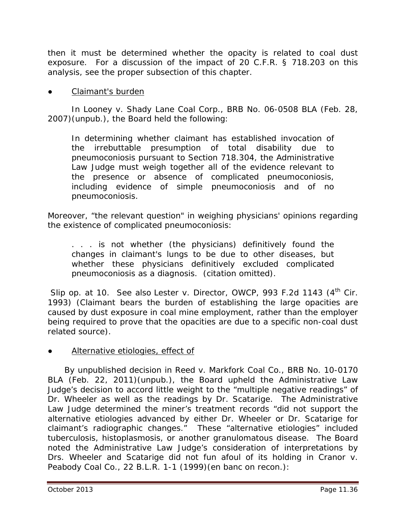then it must be determined whether the opacity is related to coal dust exposure. For a discussion of the impact of 20 C.F.R. § 718.203 on this analysis, see the proper subsection of this chapter.

#### Claimant's burden

In *Looney v. Shady Lane Coal Corp.*, BRB No. 06-0508 BLA (Feb. 28, 2007)(unpub.), the Board held the following:

In determining whether claimant has established invocation of the irrebuttable presumption of total disability due to pneumoconiosis pursuant to Section 718.304, the Administrative Law Judge must weigh together all of the evidence relevant to the presence or absence of complicated pneumoconiosis, including evidence of simple pneumoconiosis and of no pneumoconiosis.

Moreover, "the relevant question" in weighing physicians' opinions regarding the existence of complicated pneumoconiosis:

. . . is not whether (the physicians) definitively found the changes in claimant's lungs to be due to other diseases, but whether these physicians definitively excluded complicated pneumoconiosis as a diagnosis. (citation omitted).

*Slip op.* at 10. *See also Lester v. Director, OWCP*, 993 F.2d 1143 (4<sup>th</sup> Cir. 1993) (Claimant bears the burden of establishing the large opacities are caused by dust exposure in coal mine employment, rather than the employer being required to prove that the opacities are due to a specific non-coal dust related source).

Alternative etiologies, effect of

 By unpublished decision in *Reed v. Markfork Coal Co.*, BRB No. 10-0170 BLA (Feb. 22, 2011)(unpub.), the Board upheld the Administrative Law Judge's decision to accord little weight to the "multiple negative readings" of Dr. Wheeler as well as the readings by Dr. Scatarige. The Administrative Law Judge determined the miner's treatment records "did not support the alternative etiologies advanced by either Dr. Wheeler or Dr. Scatarige for claimant's radiographic changes." These "alternative etiologies" included tuberculosis, histoplasmosis, or another granulomatous disease. The Board noted the Administrative Law Judge's consideration of interpretations by Drs. Wheeler and Scatarige did not fun afoul of its holding in *Cranor v. Peabody Coal Co.*, 22 B.L.R. 1-1 (1999)(en banc on recon.):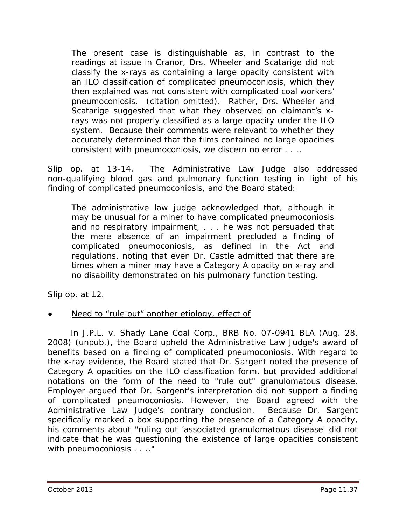The present case is distinguishable as, in contrast to the readings at issue in *Cranor*, Drs. Wheeler and Scatarige did not classify the x-rays as containing a large opacity consistent with an ILO classification of complicated pneumoconiosis, which they then explained was not consistent with complicated coal workers' pneumoconiosis. (citation omitted). Rather, Drs. Wheeler and Scatarige suggested that what they observed on claimant's xrays was not properly classified as a large opacity under the ILO system. Because their comments were relevant to whether they accurately determined that the films contained no large opacities consistent with pneumoconiosis, we discern no error . . ..

*Slip op.* at 13-14. The Administrative Law Judge also addressed non-qualifying blood gas and pulmonary function testing in light of his finding of complicated pneumoconiosis, and the Board stated:

The administrative law judge acknowledged that, although it may be unusual for a miner to have complicated pneumoconiosis and no respiratory impairment, . . . he was not persuaded that the mere absence of an impairment precluded a finding of complicated pneumoconiosis, as defined in the Act and regulations, noting that even Dr. Castle admitted that there are times when a miner may have a Category A opacity on x-ray and no disability demonstrated on his pulmonary function testing.

*Slip op.* at 12.

Need to "rule out" another etiology, effect of

 In *J.P.L. v. Shady Lane Coal Corp.*, BRB No. 07-0941 BLA (Aug. 28, 2008) (unpub.), the Board upheld the Administrative Law Judge's award of benefits based on a finding of complicated pneumoconiosis. With regard to the x-ray evidence, the Board stated that Dr. Sargent noted the presence of Category A opacities on the ILO classification form, but provided additional notations on the form of the need to "rule out" granulomatous disease. Employer argued that Dr. Sargent's interpretation did not support a finding of complicated pneumoconiosis. However, the Board agreed with the Administrative Law Judge's contrary conclusion. Because Dr. Sargent specifically marked a box supporting the presence of a Category A opacity, his comments about "ruling out 'associated granulomatous disease' did not indicate that he was questioning the existence of large opacities consistent with pneumoconiosis . . . . "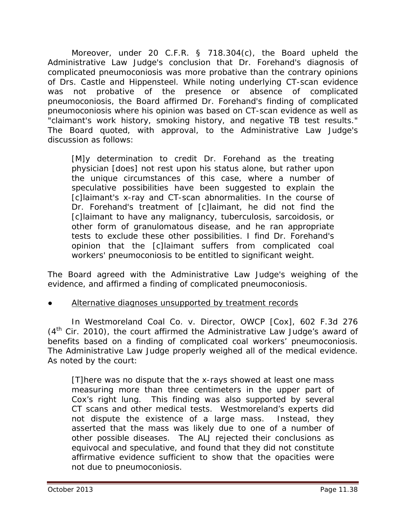Moreover, under 20 C.F.R. § 718.304(c), the Board upheld the Administrative Law Judge's conclusion that Dr. Forehand's diagnosis of complicated pneumoconiosis was more probative than the contrary opinions of Drs. Castle and Hippensteel. While noting underlying CT-scan evidence was not probative of the presence or absence of complicated pneumoconiosis, the Board affirmed Dr. Forehand's finding of complicated pneumoconiosis where his opinion was based on CT-scan evidence as well as "claimant's work history, smoking history, and negative TB test results." The Board quoted, with approval, to the Administrative Law Judge's discussion as follows:

[M]y determination to credit Dr. Forehand as the treating physician [does] not rest upon his status alone, but rather upon the unique circumstances of this case, where a number of speculative possibilities have been suggested to explain the [c]laimant's x-ray and CT-scan abnormalities. In the course of Dr. Forehand's treatment of [c]laimant, he did not find the [c]laimant to have any malignancy, tuberculosis, sarcoidosis, or other form of granulomatous disease, and he ran appropriate tests to exclude these other possibilities. I find Dr. Forehand's opinion that the [c]laimant suffers from complicated coal workers' pneumoconiosis to be entitled to significant weight.

The Board agreed with the Administrative Law Judge's weighing of the evidence, and affirmed a finding of complicated pneumoconiosis.

### Alternative diagnoses unsupported by treatment records

In *Westmoreland Coal Co. v. Director, OWCP [Cox]*, 602 F.3d 276  $(4<sup>th</sup>$  Cir. 2010), the court affirmed the Administrative Law Judge's award of benefits based on a finding of complicated coal workers' pneumoconiosis. The Administrative Law Judge properly weighed all of the medical evidence. As noted by the court:

[T]here was no dispute that the x-rays showed at least one mass measuring more than three centimeters in the upper part of Cox's right lung. This finding was also supported by several CT scans and other medical tests. Westmoreland's experts did not dispute the existence of a large mass. Instead, they asserted that the mass was likely due to one of a number of other possible diseases. The ALJ rejected their conclusions as equivocal and speculative, and found that they did not constitute affirmative evidence sufficient to show that the opacities were not due to pneumoconiosis.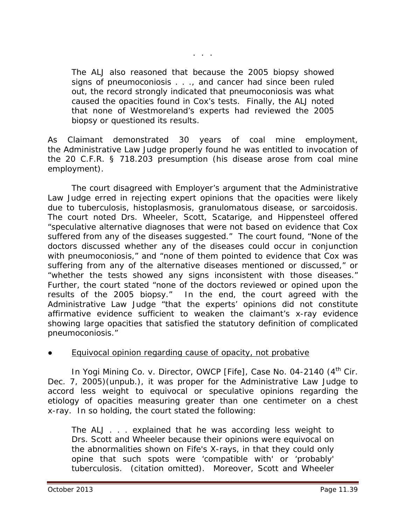. . .

The ALJ also reasoned that because the 2005 biopsy showed signs of pneumoconiosis . . ., and cancer had since been ruled out, the record strongly indicated that pneumoconiosis was what caused the opacities found in Cox's tests. Finally, the ALJ noted that none of Westmoreland's experts had reviewed the 2005 biopsy or questioned its results.

As Claimant demonstrated 30 years of coal mine employment, the Administrative Law Judge properly found he was entitled to invocation of the 20 C.F.R. § 718.203 presumption (his disease arose from coal mine employment).

The court disagreed with Employer's argument that the Administrative Law Judge erred in rejecting expert opinions that the opacities were likely due to tuberculosis, histoplasmosis, granulomatous disease, or sarcoidosis. The court noted Drs. Wheeler, Scott, Scatarige, and Hippensteel offered "speculative alternative diagnoses that were not based on evidence that Cox suffered from any of the diseases suggested." The court found, "None of the doctors discussed whether any of the diseases could occur in conjunction with pneumoconiosis," and "none of them pointed to evidence that Cox was suffering from any of the alternative diseases mentioned or discussed," or "whether the tests showed any signs inconsistent with those diseases." Further, the court stated "none of the doctors reviewed or opined upon the results of the 2005 biopsy." In the end, the court agreed with the Administrative Law Judge "that the experts' opinions did not constitute affirmative evidence sufficient to weaken the claimant's x-ray evidence showing large opacities that satisfied the statutory definition of complicated pneumoconiosis."

#### Equivocal opinion regarding cause of opacity, not probative

In *Yogi Mining Co. v. Director, OWCP [Fife]*, Case No. 04-2140 (4<sup>th</sup> Cir. Dec. 7, 2005)(unpub.), it was proper for the Administrative Law Judge to accord less weight to equivocal or speculative opinions regarding the etiology of opacities measuring greater than one centimeter on a chest x-ray. In so holding, the court stated the following:

The ALJ . . . explained that he was according less weight to Drs. Scott and Wheeler because their opinions were equivocal on the abnormalities shown on Fife's X-rays, in that they could only opine that such spots were 'compatible with' or 'probably' tuberculosis. (citation omitted). Moreover, Scott and Wheeler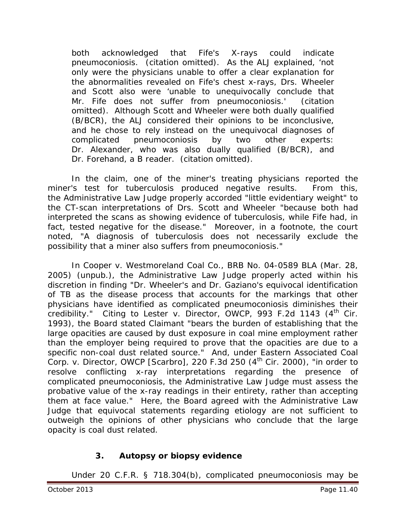both acknowledged that Fife's X-rays could indicate pneumoconiosis. (citation omitted). As the ALJ explained, 'not only were the physicians unable to offer a clear explanation for the abnormalities revealed on Fife's chest x-rays, Drs. Wheeler and Scott also were 'unable to unequivocally conclude that Mr. Fife does not suffer from pneumoconiosis.' (citation omitted). Although Scott and Wheeler were both dually qualified (B/BCR), the ALJ considered their opinions to be inconclusive, and he chose to rely instead on the unequivocal diagnoses of complicated pneumoconiosis by two other experts: Dr. Alexander, who was also dually qualified (B/BCR), and Dr. Forehand, a B reader. (citation omitted).

In the claim, one of the miner's treating physicians reported the miner's test for tuberculosis produced negative results. From this, the Administrative Law Judge properly accorded "little evidentiary weight" to the CT-scan interpretations of Drs. Scott and Wheeler "because both had interpreted the scans as showing evidence of tuberculosis, while Fife had, in fact, tested negative for the disease." Moreover, in a footnote, the court noted, "A diagnosis of tuberculosis does not necessarily exclude the possibility that a miner also suffers from pneumoconiosis."

In *Cooper v. Westmoreland Coal Co.,* BRB No. 04-0589 BLA (Mar. 28, 2005) (unpub.), the Administrative Law Judge properly acted within his discretion in finding "Dr. Wheeler's and Dr. Gaziano's equivocal identification of TB as the disease process that accounts for the markings that other physicians have identified as complicated pneumoconiosis diminishes their credibility." Citing to *Lester v. Director, OWCP*, 993 F.2d 1143 (4<sup>th</sup> Cir. 1993), the Board stated Claimant "bears the burden of establishing that the large opacities are caused by dust exposure in coal mine employment rather than the employer being required to prove that the opacities are due to a specific non-coal dust related source." And, under *Eastern Associated Coal Corp. v. Director, OWCP [Scarbro],* 220 F.3d 250 (4<sup>th</sup> Cir. 2000), "in order to resolve conflicting x-ray interpretations regarding the presence of complicated pneumoconiosis, the Administrative Law Judge must assess the probative value of the x-ray readings in their entirety, rather than accepting them at face value." Here, the Board agreed with the Administrative Law Judge that equivocal statements regarding etiology are not sufficient to outweigh the opinions of other physicians who conclude that the large opacity is coal dust related.

### **3. Autopsy or biopsy evidence**

Under 20 C.F.R. § 718.304(b), complicated pneumoconiosis may be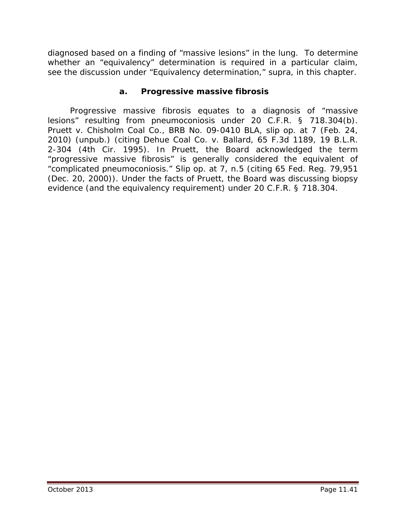diagnosed based on a finding of "massive lesions" in the lung. To determine whether an "equivalency" determination is required in a particular claim, *see* the discussion under "Equivalency determination," *supra*, in this chapter.

#### **a. Progressive massive fibrosis**

 Progressive massive fibrosis equates to a diagnosis of "massive lesions" resulting from pneumoconiosis under 20 C.F.R. § 718.304(b). *Pruett v. Chisholm Coal Co*., BRB No. 09-0410 BLA, slip op. at 7 (Feb. 24, 2010) (unpub.) (*citing Dehue Coal Co. v. Ballard*, 65 F.3d 1189, 19 B.L.R. 2-304 (4th Cir. 1995). In *Pruett*, the Board acknowledged the term "progressive massive fibrosis" is generally considered the equivalent of "complicated pneumoconiosis." *Slip op.* at 7, n.5 (*citing* 65 Fed. Reg. 79,951 (Dec. 20, 2000)). Under the facts of *Pruett, t*he Board was discussing biopsy evidence (and the equivalency requirement) under 20 C.F.R. § 718.304.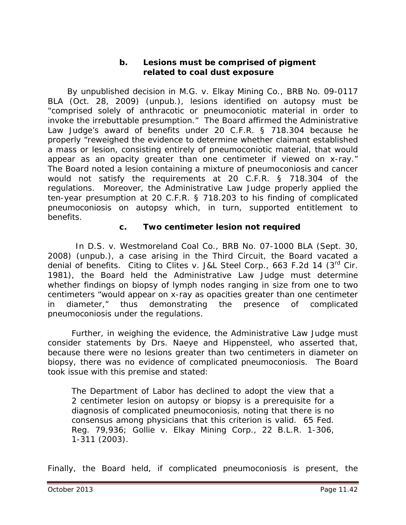#### **b. Lesions must be comprised of pigment related to coal dust exposure**

 By unpublished decision in *M.G. v. Elkay Mining Co.*, BRB No. 09-0117 BLA (Oct. 28, 2009) (unpub.), lesions identified on autopsy must be "comprised solely of anthracotic or pneumoconiotic material in order to invoke the irrebuttable presumption." The Board affirmed the Administrative Law Judge's award of benefits under 20 C.F.R. § 718.304 because he properly "reweighed the evidence to determine whether claimant established a mass or lesion, consisting entirely of pneumoconiotic material, that would appear as an opacity greater than one centimeter if viewed on x-ray." The Board noted a lesion containing a mixture of pneumoconiosis and cancer would not satisfy the requirements at 20 C.F.R. § 718.304 of the regulations. Moreover, the Administrative Law Judge properly applied the ten-year presumption at 20 C.F.R. § 718.203 to his finding of complicated pneumoconiosis on autopsy which, in turn, supported entitlement to benefits.

#### **c. Two centimeter lesion not required**

 In *D.S. v. Westmoreland Coal Co.*, BRB No. 07-1000 BLA (Sept. 30, 2008) (unpub.), a case arising in the Third Circuit, the Board vacated a denial of benefits. Citing to *Clites v. J&L Steel Corp.*, 663 F.2d 14 (3<sup>rd</sup> Cir. 1981), the Board held the Administrative Law Judge must determine whether findings on biopsy of lymph nodes ranging in size from one to two centimeters "would appear on x-ray as opacities greater than one centimeter in diameter," thus demonstrating the presence of complicated pneumoconiosis under the regulations.

Further, in weighing the evidence, the Administrative Law Judge must consider statements by Drs. Naeye and Hippensteel, who asserted that, because there were no lesions greater than two centimeters in diameter on biopsy, there was no evidence of complicated pneumoconiosis. The Board took issue with this premise and stated:

The Department of Labor has declined to adopt the view that a 2 centimeter lesion on autopsy or biopsy is a prerequisite for a diagnosis of complicated pneumoconiosis, noting that there is no consensus among physicians that this criterion is valid. 65 Fed. Reg. 79,936; *Gollie v. Elkay Mining Corp.*, 22 B.L.R. 1-306, 1-311 (2003).

Finally, the Board held, if complicated pneumoconiosis is present, the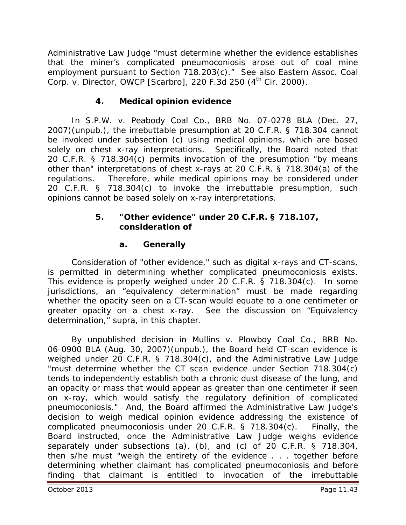Administrative Law Judge "must determine whether the evidence establishes that the miner's complicated pneumoconiosis arose out of coal mine employment pursuant to Section 718.203(c)." *See also Eastern Assoc. Coal Corp. v. Director, OWCP [Scarbro]*, 220 F.3d 250 (4th Cir. 2000).

### **4. Medical opinion evidence**

In *S.P.W. v. Peabody Coal Co.*, BRB No. 07-0278 BLA (Dec. 27, 2007)(unpub.), the irrebuttable presumption at 20 C.F.R. § 718.304 cannot be invoked under subsection (c) using medical opinions, which are based solely on chest x-ray interpretations. Specifically, the Board noted that 20 C.F.R. § 718.304(c) permits invocation of the presumption "*by means other than*" interpretations of chest x-rays at 20 C.F.R. § 718.304(a) of the regulations. Therefore, while medical opinions may be considered under 20 C.F.R. § 718.304(c) to invoke the irrebuttable presumption, such opinions cannot be based solely on x-ray interpretations.

#### **5. "Other evidence" under 20 C.F.R. § 718.107, consideration of**

### **a. Generally**

Consideration of "other evidence," such as digital x-rays and CT-scans, is permitted in determining whether complicated pneumoconiosis exists. This evidence is properly weighed under 20 C.F.R. § 718.304(c). In some jurisdictions, an "equivalency determination" must be made regarding whether the opacity seen on a CT-scan would equate to a one centimeter or greater opacity on a chest x-ray. *See* the discussion on "Equivalency determination," *supra*, in this chapter.

By unpublished decision in *Mullins v. Plowboy Coal Co.*, BRB No. 06-0900 BLA (Aug. 30, 2007)(unpub.), the Board held CT-scan evidence is weighed under 20 C.F.R. § 718.304(c), and the Administrative Law Judge "must determine whether the CT scan evidence under Section 718.304(c) tends to independently establish both a chronic dust disease of the lung, and an opacity or mass that would appear as greater than one centimeter if seen on x-ray, which would satisfy the regulatory definition of complicated pneumoconiosis." And, the Board affirmed the Administrative Law Judge's decision to weigh medical opinion evidence addressing the existence of complicated pneumoconiosis under 20 C.F.R. § 718.304(c). Finally, the Board instructed, once the Administrative Law Judge weighs evidence separately under subsections (a), (b), and (c) of 20 C.F.R. § 718.304, then s/he must "weigh the entirety of the evidence . . . together before determining whether claimant has complicated pneumoconiosis and before finding that claimant is entitled to invocation of the irrebuttable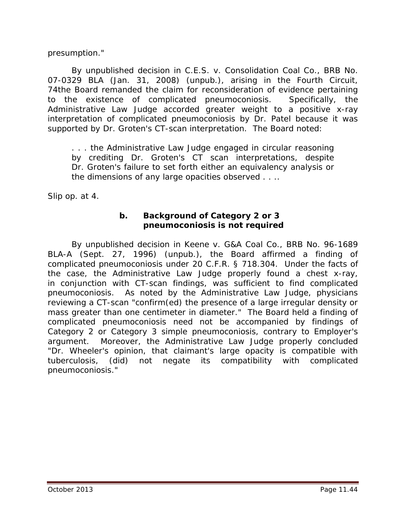presumption."

By unpublished decision in *C.E.S. v. Consolidation Coal Co.*, BRB No. 07-0329 BLA (Jan. 31, 2008) (unpub.), arising in the Fourth Circuit, 74the Board remanded the claim for reconsideration of evidence pertaining to the existence of complicated pneumoconiosis. Specifically, the Administrative Law Judge accorded greater weight to a positive x-ray interpretation of complicated pneumoconiosis by Dr. Patel because it was supported by Dr. Groten's CT-scan interpretation. The Board noted:

. . . the Administrative Law Judge engaged in circular reasoning by crediting Dr. Groten's CT scan interpretations, despite Dr. Groten's failure to set forth either an equivalency analysis or the dimensions of any large opacities observed . . ..

*Slip op.* at 4.

### **b. Background of Category 2 or 3 pneumoconiosis is not required**

By unpublished decision in *Keene v. G&A Coal Co.*, BRB No. 96-1689 BLA-A (Sept. 27, 1996) (unpub.), the Board affirmed a finding of complicated pneumoconiosis under 20 C.F.R. § 718.304. Under the facts of the case, the Administrative Law Judge properly found a chest x-ray, in conjunction with CT-scan findings, was sufficient to find complicated pneumoconiosis. As noted by the Administrative Law Judge, physicians reviewing a CT-scan "confirm(ed) the presence of a large irregular density or mass greater than one centimeter in diameter." The Board held a finding of complicated pneumoconiosis need not be accompanied by findings of Category 2 or Category 3 simple pneumoconiosis, contrary to Employer's argument. Moreover, the Administrative Law Judge properly concluded "Dr. Wheeler's opinion, that claimant's large opacity is compatible with tuberculosis, (did) not negate its compatibility with complicated pneumoconiosis."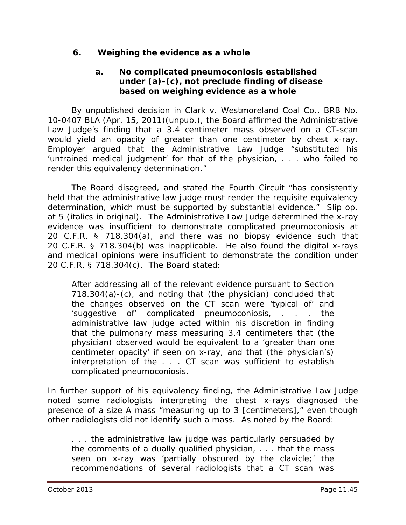### **6. Weighing the evidence as a whole**

### **a. No complicated pneumoconiosis established under (a)-(c), not preclude finding of disease based on weighing evidence as a whole**

By unpublished decision in *Clark v. Westmoreland Coal Co.*, BRB No. 10-0407 BLA (Apr. 15, 2011)(unpub.), the Board affirmed the Administrative Law Judge's finding that a 3.4 centimeter mass observed on a CT-scan would yield an opacity of greater than one centimeter by chest x-ray. Employer argued that the Administrative Law Judge "substituted his 'untrained medical judgment' for that of the physician, . . . who failed to render this equivalency determination."

The Board disagreed, and stated the Fourth Circuit "has consistently held that *the administrative law judge* must render the requisite equivalency determination, which must be supported by substantial evidence." *Slip op.*  at 5 (italics in original). The Administrative Law Judge determined the x-ray evidence was insufficient to demonstrate complicated pneumoconiosis at 20 C.F.R. § 718.304(a), and there was no biopsy evidence such that 20 C.F.R. § 718.304(b) was inapplicable. He also found the digital x-rays and medical opinions were insufficient to demonstrate the condition under 20 C.F.R. § 718.304(c). The Board stated:

After addressing all of the relevant evidence pursuant to Section 718.304(a)-(c), and noting that (the physician) concluded that the changes observed on the CT scan were 'typical of' and 'suggestive of' complicated pneumoconiosis, . . . the administrative law judge acted within his discretion in finding that the pulmonary mass measuring 3.4 centimeters that (the physician) observed would be equivalent to a 'greater than one centimeter opacity' if seen on x-ray, and that (the physician's) interpretation of the . . . CT scan was sufficient to establish complicated pneumoconiosis.

In further support of his equivalency finding, the Administrative Law Judge noted some radiologists interpreting the chest x-rays diagnosed the presence of a size A mass "measuring up to 3 [centimeters]," even though other radiologists did not identify such a mass. As noted by the Board:

. . . the administrative law judge was particularly persuaded by the comments of a dually qualified physician, . . . that the mass seen on x-ray was 'partially obscured by the clavicle;' the recommendations of several radiologists that a CT scan was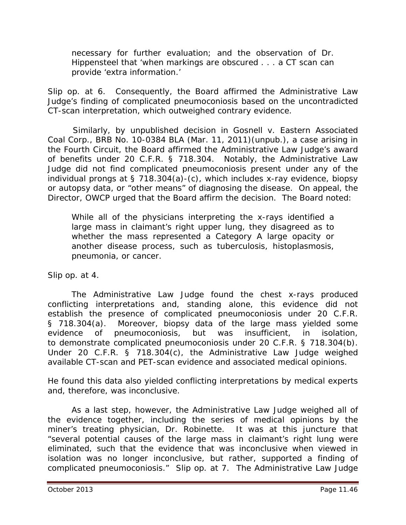necessary for further evaluation; and the observation of Dr. Hippensteel that 'when markings are obscured . . . a CT scan can provide 'extra information.'

*Slip op.* at 6. Consequently, the Board affirmed the Administrative Law Judge's finding of complicated pneumoconiosis based on the uncontradicted CT-scan interpretation, which outweighed contrary evidence.

 Similarly, by unpublished decision in *Gosnell v. Eastern Associated Coal Corp.*, BRB No. 10-0384 BLA (Mar. 11, 2011)(unpub.), a case arising in the Fourth Circuit, the Board affirmed the Administrative Law Judge's award of benefits under 20 C.F.R. § 718.304. Notably, the Administrative Law Judge did not find complicated pneumoconiosis present under any of the individual prongs at § 718.304(a)-(c), which includes x-ray evidence, biopsy or autopsy data, or "other means" of diagnosing the disease. On appeal, the Director, OWCP urged that the Board affirm the decision. The Board noted:

While all of the physicians interpreting the x-rays identified a large mass in claimant's right upper lung, they disagreed as to whether the mass represented a Category A large opacity or another disease process, such as tuberculosis, histoplasmosis, pneumonia, or cancer.

*Slip op.* at 4.

The Administrative Law Judge found the chest x-rays produced conflicting interpretations and, standing alone, this evidence did not establish the presence of complicated pneumoconiosis under 20 C.F.R. § 718.304(a). Moreover, biopsy data of the large mass yielded some evidence of pneumoconiosis, but was insufficient, in isolation, to demonstrate complicated pneumoconiosis under 20 C.F.R. § 718.304(b). Under 20 C.F.R. § 718.304(c), the Administrative Law Judge weighed available CT-scan and PET-scan evidence and associated medical opinions.

He found this data also yielded conflicting interpretations by medical experts and, therefore, was inconclusive.

As a last step, however, the Administrative Law Judge weighed all of the evidence together, including the series of medical opinions by the miner's treating physician, Dr. Robinette. It was at this juncture that "several potential causes of the large mass in claimant's right lung were eliminated, such that the evidence that was inconclusive when viewed in isolation was no longer inconclusive, but rather, supported a finding of complicated pneumoconiosis." *Slip op.* at 7. The Administrative Law Judge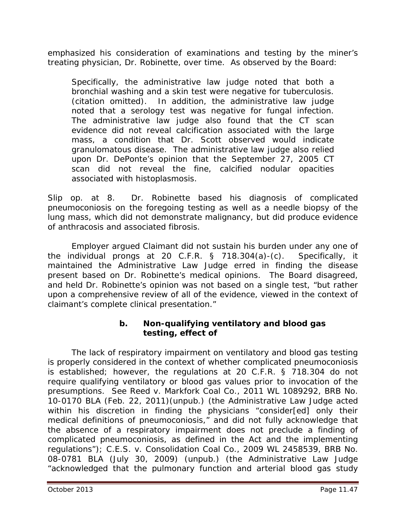emphasized his consideration of examinations and testing by the miner's treating physician, Dr. Robinette, over time. As observed by the Board:

Specifically, the administrative law judge noted that both a bronchial washing and a skin test were negative for tuberculosis. (citation omitted). In addition, the administrative law judge noted that a serology test was negative for fungal infection. The administrative law judge also found that the CT scan evidence did not reveal calcification associated with the large mass, a condition that Dr. Scott observed would indicate granulomatous disease. The administrative law judge also relied upon Dr. DePonte's opinion that the September 27, 2005 CT scan did not reveal the fine, calcified nodular opacities associated with histoplasmosis.

*Slip op.* at 8. Dr. Robinette based his diagnosis of complicated pneumoconiosis on the foregoing testing as well as a needle biopsy of the lung mass, which did not demonstrate malignancy, but did produce evidence of anthracosis and associated fibrosis.

Employer argued Claimant did not sustain his burden under any one of the individual prongs at 20 C.F.R. § 718.304(a)-(c). Specifically, it maintained the Administrative Law Judge erred in finding the disease present based on Dr. Robinette's medical opinions. The Board disagreed, and held Dr. Robinette's opinion was not based on a single test, "but rather upon a comprehensive review of all of the evidence, viewed in the context of claimant's complete clinical presentation."

### **b. Non-qualifying ventilatory and blood gas testing, effect of**

The lack of respiratory impairment on ventilatory and blood gas testing is properly considered in the context of whether complicated pneumoconiosis is established; however, the regulations at 20 C.F.R. § 718.304 do not require qualifying ventilatory or blood gas values prior to invocation of the presumptions. *See Reed v. Markfork Coal Co.,* 2011 WL 1089292, BRB No. 10-0170 BLA (Feb. 22, 2011)(unpub.) (the Administrative Law Judge acted within his discretion in finding the physicians "consider[ed] only their medical definitions of pneumoconiosis," and did not fully acknowledge that the absence of a respiratory impairment does not preclude a finding of complicated pneumoconiosis, as defined in the Act and the implementing regulations"); *C.E.S. v. Consolidation Coal Co.*, 2009 WL 2458539, BRB No. 08-0781 BLA (July 30, 2009) (unpub.) (the Administrative Law Judge "acknowledged that the pulmonary function and arterial blood gas study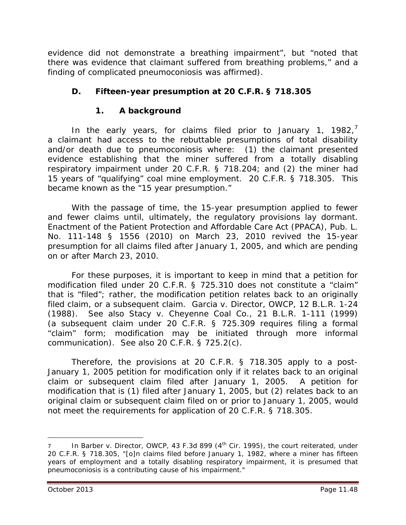evidence did not demonstrate a breathing impairment", but "noted that there was evidence that claimant suffered from breathing problems," and a finding of complicated pneumoconiosis was affirmed).

### **D. Fifteen-year presumption at 20 C.F.R. § 718.305**

### **1. A background**

In the early years, for claims filed prior to January 1, 1982, $<sup>7</sup>$  $<sup>7</sup>$  $<sup>7</sup>$ </sup> a claimant had access to the rebuttable presumptions of total disability and/or death due to pneumoconiosis where: (1) the claimant presented evidence establishing that the miner suffered from a totally disabling respiratory impairment under 20 C.F.R. § 718.204; and (2) the miner had 15 years of "qualifying" coal mine employment. 20 C.F.R. § 718.305. This became known as the "15 year presumption."

With the passage of time, the 15-year presumption applied to fewer and fewer claims until, ultimately, the regulatory provisions lay dormant. Enactment of the Patient Protection and Affordable Care Act (PPACA), Pub. L. No. 111-148 § 1556 (2010) on March 23, 2010 revived the 15-year presumption for all claims filed after January 1, 2005, and which are pending on or after March 23, 2010.

For these purposes, it is important to keep in mind that a petition for modification filed under 20 C.F.R. § 725.310 does not constitute a "claim" that is "filed"; rather, the modification petition *relates back to* an originally filed claim, or a subsequent claim. *Garcia v. Director, OWCP*, 12 B.L.R. 1-24 (1988). *See also Stacy v. Cheyenne Coal Co.*, 21 B.L.R. 1-111 (1999) (a subsequent claim under 20 C.F.R. § 725.309 requires filing a formal "claim" form; modification may be initiated through more informal communication). *See also* 20 C.F.R. § 725.2(c).

Therefore, the provisions at 20 C.F.R. § 718.305 apply to a post-January 1, 2005 petition for modification only if it *relates back to* an original claim or subsequent claim filed after January 1, 2005. A petition for modification that is (1) filed *after* January 1, 2005, but (2) *relates back* to an original claim or subsequent claim filed *on or prior to* January 1, 2005, would not meet the requirements for application of 20 C.F.R. § 718.305.

 $\overline{a}$ 

<span id="page-47-0"></span>In *Barber v. Director, OWCP*, 43 F.3d 899 (4<sup>th</sup> Cir. 1995), the court reiterated, under 20 C.F.R. § 718.305, "[o]n claims filed before January 1, 1982, where a miner has fifteen years of employment and a totally disabling respiratory impairment, it is presumed that pneumoconiosis is a contributing cause of his impairment."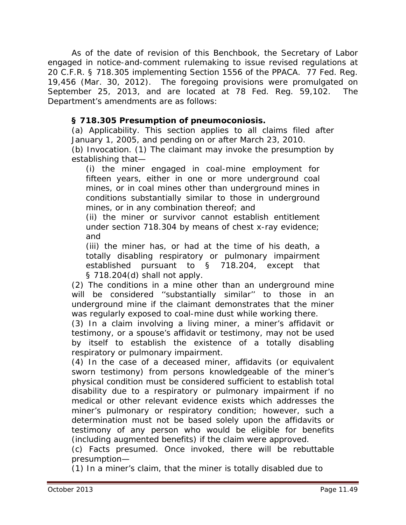As of the date of revision of this *Benchbook*, the Secretary of Labor engaged in notice-and-comment rulemaking to issue revised regulations at 20 C.F.R. § 718.305 implementing Section 1556 of the PPACA. 77 Fed. Reg. 19,456 (Mar. 30, 2012). The foregoing provisions were promulgated on September 25, 2013, and are located at 78 Fed. Reg. 59,102. The Department's amendments are as follows:

### **§ 718.305 Presumption of pneumoconiosis.**

(a) *Applicability.* This section applies to all claims filed after January 1, 2005, and pending on or after March 23, 2010. (b) *Invocation.* (1) The claimant may invoke the presumption by establishing that—

(i) the miner engaged in coal-mine employment for fifteen years, either in one or more underground coal mines, or in coal mines other than underground mines in conditions substantially similar to those in underground mines, or in any combination thereof; and

(ii) the miner or survivor cannot establish entitlement under section 718.304 by means of chest x-ray evidence; and

(iii) the miner has, or had at the time of his death, a totally disabling respiratory or pulmonary impairment established pursuant to § 718.204, except that § 718.204(d) shall not apply.

(2) The conditions in a mine other than an underground mine will be considered ''substantially similar'' to those in an underground mine if the claimant demonstrates that the miner was regularly exposed to coal-mine dust while working there.

(3) In a claim involving a living miner, a miner's affidavit or testimony, or a spouse's affidavit or testimony, may not be used by itself to establish the existence of a totally disabling respiratory or pulmonary impairment.

(4) In the case of a deceased miner, affidavits (or equivalent sworn testimony) from persons knowledgeable of the miner's physical condition must be considered sufficient to establish total disability due to a respiratory or pulmonary impairment if no medical or other relevant evidence exists which addresses the miner's pulmonary or respiratory condition; however, such a determination must not be based solely upon the affidavits or testimony of any person who would be eligible for benefits (including augmented benefits) if the claim were approved.

(c) *Facts presumed.* Once invoked, there will be rebuttable presumption—

(1) In a miner's claim, that the miner is totally disabled due to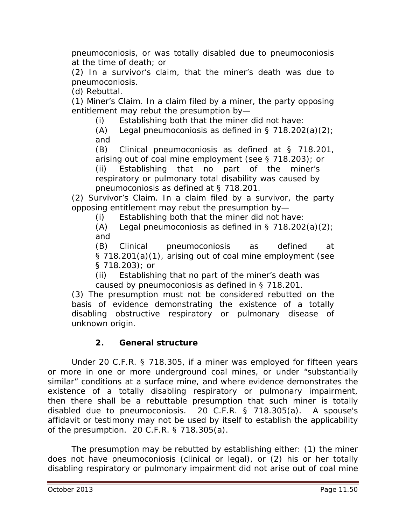pneumoconiosis, or was totally disabled due to pneumoconiosis at the time of death; or

(2) In a survivor's claim, that the miner's death was due to pneumoconiosis.

(d) *Rebuttal.* 

(1) *Miner's Claim.* In a claim filed by a miner, the party opposing entitlement may rebut the presumption by—

(i) Establishing both that the miner did not have:

(A) Legal pneumoconiosis as defined in  $\S$  718.202(a)(2); and

(B) Clinical pneumoconiosis as defined at § 718.201, arising out of coal mine employment (*see* § 718.203); or

(ii) Establishing that no part of the miner's respiratory or pulmonary total disability was caused by pneumoconiosis as defined at § 718.201.

(2) *Survivor's Claim.* In a claim filed by a survivor, the party opposing entitlement may rebut the presumption by—

(i) Establishing both that the miner did not have:

(A) Legal pneumoconiosis as defined in  $\S$  718.202(a)(2); and

(B) Clinical pneumoconiosis as defined at § 718.201(a)(1), arising out of coal mine employment (*see* § 718.203); or

(ii) Establishing that no part of the miner's death was caused by pneumoconiosis as defined in § 718.201.

(3) The presumption must not be considered rebutted on the basis of evidence demonstrating the existence of a totally disabling obstructive respiratory or pulmonary disease of

# **2. General structure**

unknown origin.

Under 20 C.F.R. § 718.305, if a miner was employed for fifteen years or more in one or more underground coal mines, or under "substantially similar" conditions at a surface mine, and where evidence demonstrates the existence of a totally disabling respiratory or pulmonary impairment, then there shall be a rebuttable presumption that such miner is totally disabled due to pneumoconiosis. 20 C.F.R. § 718.305(a). A spouse's affidavit or testimony may not be used by itself to establish the applicability of the presumption. 20 C.F.R. § 718.305(a).

The presumption may be rebutted by establishing either: (1) the miner does not have pneumoconiosis (clinical or legal), or (2) his or her totally disabling respiratory or pulmonary impairment did not arise out of coal mine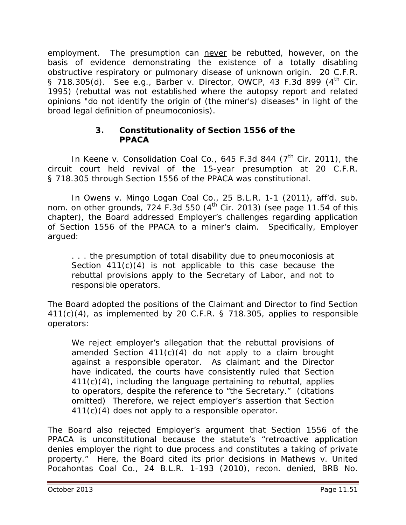employment. The presumption can never be rebutted, however, on the basis of evidence demonstrating the existence of a totally disabling obstructive respiratory or pulmonary disease of *unknown* origin. 20 C.F.R. § 718.305(d). *See e.g., Barber v. Director, OWCP*, 43 F.3d 899 (4<sup>th</sup> Cir. 1995) (rebuttal was not established where the autopsy report and related opinions "do not identify the origin of (the miner's) diseases" in light of the broad legal definition of pneumoconiosis).

### **3. Constitutionality of Section 1556 of the PPACA**

In *Keene v. Consolidation Coal Co.*, 645 F.3d 844 (7<sup>th</sup> Cir. 2011), the circuit court held revival of the 15-year presumption at 20 C.F.R. § 718.305 through Section 1556 of the PPACA was constitutional.

In *Owens v. Mingo Logan Coal Co.*, 25 B.L.R. 1-1 (2011), *aff'd. sub. nom. on other grounds,* 724 F.3d 550 (4th Cir. 2013) (*see* page 11.54 of this chapter), the Board addressed Employer's challenges regarding application of Section 1556 of the PPACA to a miner's claim. Specifically, Employer argued:

. . . the presumption of total disability due to pneumoconiosis at Section 411(c)(4) is not applicable to this case because the rebuttal provisions apply to the Secretary of Labor, and not to responsible operators.

The Board adopted the positions of the Claimant and Director to find Section 411(c)(4), as implemented by 20 C.F.R. § 718.305, applies to responsible operators:

We reject employer's allegation that the rebuttal provisions of amended Section  $411(c)(4)$  do not apply to a claim brought against a responsible operator. As claimant and the Director have indicated, the courts have consistently ruled that Section 411(c)(4), including the language pertaining to rebuttal, applies to operators, despite the reference to "the Secretary." (citations omitted) Therefore, we reject employer's assertion that Section 411(c)(4) does not apply to a responsible operator.

The Board also rejected Employer's argument that Section 1556 of the PPACA is unconstitutional because the statute's "retroactive application denies employer the right to due process and constitutes a taking of private property." Here, the Board cited its prior decisions in *Mathews v. United Pocahontas Coal Co.*, 24 B.L.R. 1-193 (2010), *recon. denied*, BRB No.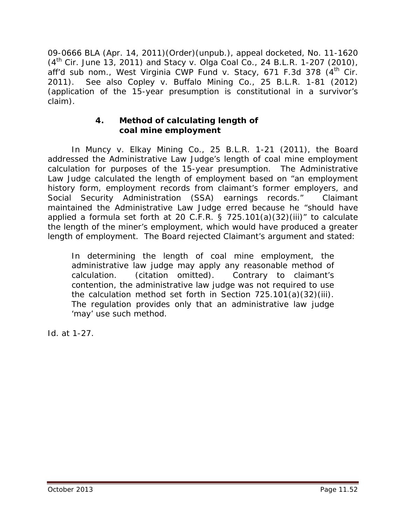09-0666 BLA (Apr. 14, 2011)(Order)(unpub.), *appeal docketed*, No. 11-1620 (4th Cir. June 13, 2011) and *Stacy v. Olga Coal Co.*, 24 B.L.R. 1-207 (2010), aff'd sub nom., West Virginia CWP Fund v. Stacy, 671 F.3d 378 (4<sup>th</sup> Cir. 2011). *See also Copley v. Buffalo Mining Co.*, 25 B.L.R. 1-81 (2012) (application of the 15-year presumption is constitutional in a survivor's claim).

### **4. Method of calculating length of coal mine employment**

In *Muncy v. Elkay Mining Co.*, 25 B.L.R. 1-21 (2011), the Board addressed the Administrative Law Judge's length of coal mine employment calculation for purposes of the 15-year presumption. The Administrative Law Judge calculated the length of employment based on "an employment history form, employment records from claimant's former employers, and Social Security Administration (SSA) earnings records." Claimant maintained the Administrative Law Judge erred because he "should have applied a formula set forth at 20 C.F.R.  $\frac{5}{9}$  725.101(a)(32)(iii)" to calculate the length of the miner's employment, which would have produced a greater length of employment. The Board rejected Claimant's argument and stated:

In determining the length of coal mine employment, the administrative law judge may apply any reasonable method of calculation. (citation omitted). Contrary to claimant's calculation. (citation omitted). Contrary to claimant's contention, the administrative law judge was not required to use the calculation method set forth in Section 725.101(a)(32)(iii). The regulation provides only that an administrative law judge 'may' use such method.

*Id.* at 1-27.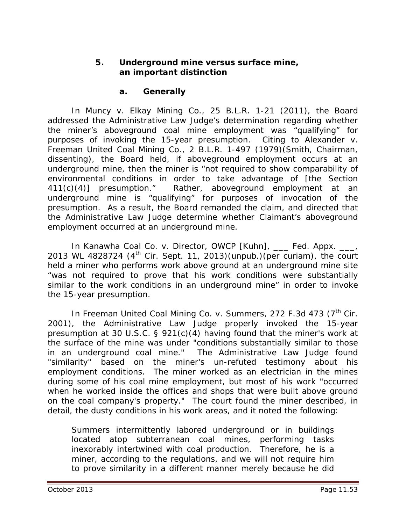#### **5. Underground mine versus surface mine, an important distinction**

#### **a. Generally**

In *Muncy v. Elkay Mining Co.*, 25 B.L.R. 1-21 (2011), the Board addressed the Administrative Law Judge's determination regarding whether the miner's aboveground coal mine employment was "qualifying" for purposes of invoking the 15-year presumption. Citing to *Alexander v. Freeman United Coal Mining Co.*, 2 B.L.R. 1-497 (1979)(Smith, Chairman, dissenting), the Board held, if aboveground employment occurs at an underground mine, then the miner is "not required to show comparability of environmental conditions in order to take advantage of [the Section 411(c)(4)] presumption." Rather, aboveground employment at an underground mine is "qualifying" for purposes of invocation of the presumption. As a result, the Board remanded the claim, and directed that the Administrative Law Judge determine whether Claimant's aboveground employment occurred at an underground mine.

In *Kanawha Coal Co. v. Director, OWCP [Kuhn]*, \_\_\_ Fed. Appx. \_\_\_, 2013 WL 4828724  $(4<sup>th</sup>$  Cir. Sept. 11, 2013) (unpub.) (per curiam), the court held a miner who performs work above ground at an underground mine site "was not required to prove that his work conditions were substantially similar to the work conditions in an underground mine" in order to invoke the 15-year presumption.

In *Freeman United Coal Mining Co. v. Summers*, 272 F.3d 473 (7<sup>th</sup> Cir. 2001), the Administrative Law Judge properly invoked the 15-year presumption at 30 U.S.C. § 921(c)(4) having found that the miner's work at the surface of the mine was under "conditions substantially similar to those in an underground coal mine." The Administrative Law Judge found "similarity" based on the miner's un-refuted testimony about his employment conditions. The miner worked as an electrician in the mines during some of his coal mine employment, but most of his work "occurred when he worked inside the offices and shops that were built above ground on the coal company's property." The court found the miner described, in detail, the dusty conditions in his work areas, and it noted the following:

Summers intermittently labored underground or in buildings located atop subterranean coal mines, performing tasks inexorably intertwined with coal production. Therefore, he is a miner, according to the regulations, and we will not require him to prove similarity in a different manner merely because he did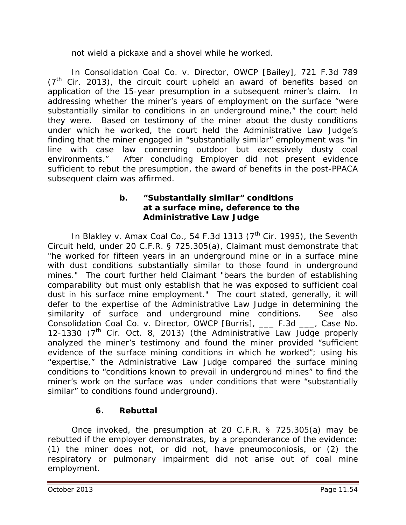not wield a pickaxe and a shovel while he worked.

In *Consolidation Coal Co. v. Director, OWCP [Bailey]*, 721 F.3d 789  $(7<sup>th</sup>$  Cir. 2013), the circuit court upheld an award of benefits based on application of the 15-year presumption in a subsequent miner's claim. In addressing whether the miner's years of employment on the surface "were substantially similar to conditions in an underground mine," the court held they were. Based on testimony of the miner about the dusty conditions under which he worked, the court held the Administrative Law Judge's finding that the miner engaged in "substantially similar" employment was "in line with case law concerning outdoor but excessively dusty coal environments." After concluding Employer did not present evidence sufficient to rebut the presumption, the award of benefits in the post-PPACA subsequent claim was affirmed.

### **b. "Substantially similar" conditions at a surface mine, deference to the Administrative Law Judge**

In *Blakley v. Amax Coal Co.*, 54 F.3d 1313 (7<sup>th</sup> Cir. 1995), the Seventh Circuit held, under 20 C.F.R. § 725.305(a), Claimant must demonstrate that "he worked for fifteen years in an underground mine or in a surface mine with dust conditions substantially similar to those found in underground mines." The court further held Claimant "bears the burden of establishing comparability but must only establish that he was exposed to sufficient coal dust in his surface mine employment." The court stated, generally, it will defer to the expertise of the Administrative Law Judge in determining the similarity of surface and underground mine conditions. *See also Consolidation Coal Co. v. Director, OWCP [Burris]*, \_\_\_ F.3d \_\_\_, Case No. 12-1330  $(7<sup>th</sup>$  Cir. Oct. 8, 2013) (the Administrative Law Judge properly analyzed the miner's testimony and found the miner provided "sufficient evidence of the surface mining conditions in which he worked"; using his "expertise," the Administrative Law Judge compared the surface mining conditions to "conditions known to prevail in underground mines" to find the miner's work on the surface was under conditions that were "substantially similar" to conditions found underground).

# **6. Rebuttal**

Once invoked, the presumption at 20 C.F.R. § 725.305(a) may be rebutted if the employer demonstrates, by a preponderance of the evidence: (1) the miner does not, or did not, have pneumoconiosis, or (2) the respiratory or pulmonary impairment did not arise out of coal mine employment.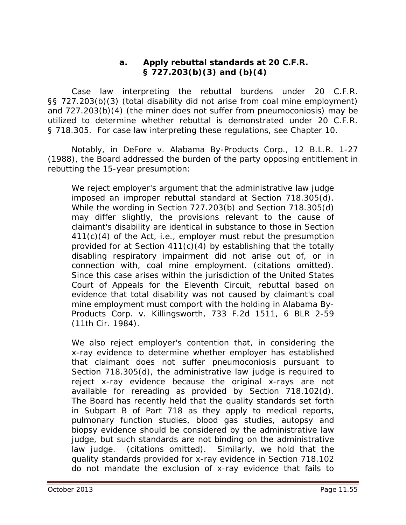#### **a. Apply rebuttal standards at 20 C.F.R. § 727.203(b)(3) and (b)(4)**

Case law interpreting the rebuttal burdens under 20 C.F.R. §§ 727.203(b)(3) (total disability did not arise from coal mine employment) and 727.203(b)(4) (the miner does not suffer from pneumoconiosis) may be utilized to determine whether rebuttal is demonstrated under 20 C.F.R. § 718.305. For case law interpreting these regulations, *see* Chapter 10.

Notably, in *DeFore v. Alabama By-Products Corp.*, 12 B.L.R. 1-27 (1988), the Board addressed the burden of the party opposing entitlement in rebutting the 15-year presumption:

We reject employer's argument that the administrative law judge imposed an improper rebuttal standard at Section 718.305(d). While the wording in Section 727.203(b) and Section 718.305(d) may differ slightly, the provisions relevant to the cause of claimant's disability are identical in substance to those in Section 411(c)(4) of the Act, *i.e.*, employer must rebut the presumption provided for at Section 411(c)(4) by establishing that the totally disabling respiratory impairment did not arise out of, or in connection with, coal mine employment. (citations omitted). Since this case arises within the jurisdiction of the United States Court of Appeals for the Eleventh Circuit, rebuttal based on evidence that total disability was not caused by claimant's coal mine employment must comport with the holding in *Alabama By-Products Corp. v. Killingsworth*, 733 F.2d 1511, 6 BLR 2-59 (11th Cir. 1984).

We also reject employer's contention that, in considering the x-ray evidence to determine whether employer has established that claimant does not suffer pneumoconiosis pursuant to Section 718.305(d), the administrative law judge is required to reject x-ray evidence because the original x-rays are not available for rereading as provided by Section 718.102(d). The Board has recently held that the quality standards set forth in Subpart B of Part 718 as they apply to medical reports, pulmonary function studies, blood gas studies, autopsy and biopsy evidence should be considered by the administrative law judge, but such standards are not binding on the administrative law judge. (citations omitted). Similarly, we hold that the quality standards provided for x-ray evidence in Section 718.102 do not mandate the exclusion of x-ray evidence that fails to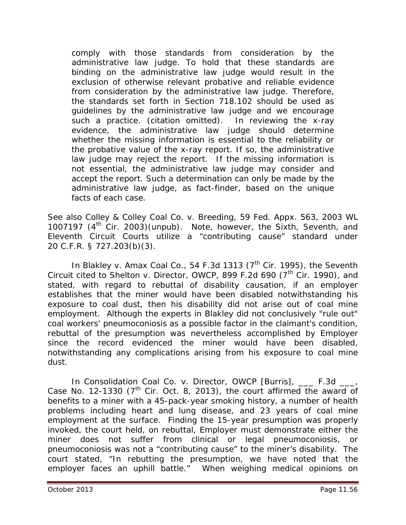comply with those standards from consideration by the administrative law judge. To hold that these standards are binding on the administrative law judge would result in the exclusion of otherwise relevant probative and reliable evidence from consideration by the administrative law judge. Therefore, the standards set forth in Section 718.102 should be used as guidelines by the administrative law judge and we encourage such a practice. (citation omitted). In reviewing the x-ray evidence, the administrative law judge should determine whether the missing information is essential to the reliability or the probative value of the x-ray report. If so, the administrative law judge may reject the report. If the missing information is not essential, the administrative law judge may consider and accept the report. Such a determination can only be made by the administrative law judge, as fact-finder, based on the unique facts of each case.

*See also Colley & Colley Coal Co. v. Breeding*, 59 Fed. Appx. 563, 2003 WL 1007197  $(4<sup>th</sup>$  Cir. 2003)(unpub). Note, however, the Sixth, Seventh, and Eleventh Circuit Courts utilize a "contributing cause" standard under 20 C.F.R. § 727.203(b)(3).

In *Blakley v. Amax Coal Co.*, 54 F.3d 1313 (7<sup>th</sup> Cir. 1995), the Seventh Circuit cited to *Shelton v. Director, OWCP*, 899 F.2d 690 (7<sup>th</sup> Cir. 1990), and stated, with regard to rebuttal of disability causation, if an employer establishes that the miner would have been disabled notwithstanding his exposure to coal dust, then his disability did not arise out of coal mine employment. Although the experts in *Blakley* did not conclusively "rule out" coal workers' pneumoconiosis as a possible factor in the claimant's condition, rebuttal of the presumption was nevertheless accomplished by Employer since the record evidenced the miner would have been disabled, notwithstanding any complications arising from his exposure to coal mine dust.

In *Consolidation Coal Co. v. Director, OWCP [Burris]*, \_\_\_ F.3d \_\_\_, Case No. 12-1330 ( $7<sup>th</sup>$  Cir. Oct. 8, 2013), the court affirmed the award of benefits to a miner with a 45-pack-year smoking history, a number of health problems including heart and lung disease, and 23 years of coal mine employment at the surface. Finding the 15-year presumption was properly invoked, the court held, on rebuttal, Employer must demonstrate either the miner does not suffer from clinical or legal pneumoconiosis, or pneumoconiosis was not a "contributing cause" to the miner's disability. The court stated, "In rebutting the presumption, we have noted that the employer faces an uphill battle." When weighing medical opinions on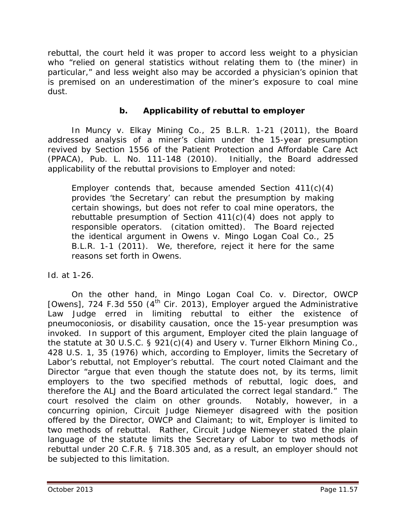rebuttal, the court held it was proper to accord less weight to a physician who "relied on general statistics without relating them to (the miner) in particular," and less weight also may be accorded a physician's opinion that is premised on an underestimation of the miner's exposure to coal mine dust.

### **b. Applicability of rebuttal to employer**

In *Muncy v. Elkay Mining Co.*, 25 B.L.R. 1-21 (2011), the Board addressed analysis of a miner's claim under the 15-year presumption revived by Section 1556 of the Patient Protection and Affordable Care Act (PPACA), Pub. L. No. 111-148 (2010). Initially, the Board addressed applicability of the rebuttal provisions to Employer and noted:

Employer contends that, because amended Section 411(c)(4) provides 'the Secretary' can rebut the presumption by making certain showings, but does not refer to coal mine operators, the rebuttable presumption of Section 411(c)(4) does not apply to responsible operators. (citation omitted). The Board rejected the identical argument in *Owens v. Mingo Logan Coal Co.*, 25 B.L.R. 1-1 (2011). We, therefore, reject it here for the same reasons set forth in *Owens*.

*Id.* at 1-26.

On the other hand, in *Mingo Logan Coal Co. v. Director, OWCP [Owens]*, 724 F.3d 550 (4<sup>th</sup> Cir. 2013), Employer argued the Administrative Law Judge erred in limiting rebuttal to either the existence of pneumoconiosis, or disability causation, once the 15-year presumption was invoked. In support of this argument, Employer cited the plain language of the statute at 30 U.S.C. § 921(c)(4) and *Usery v. Turner Elkhorn Mining Co.*, 428 U.S. 1, 35 (1976) which, according to Employer, limits the Secretary of Labor's rebuttal, not Employer's rebuttal. The court noted Claimant and the Director "argue that even though the statute does not, by its terms, limit employers to the two specified methods of rebuttal, logic does, and therefore the ALJ and the Board articulated the correct legal standard." The court resolved the claim on other grounds. Notably, however, in a concurring opinion, Circuit Judge Niemeyer disagreed with the position offered by the Director, OWCP and Claimant; *to wit*, Employer is limited to two methods of rebuttal. Rather, Circuit Judge Niemeyer stated the plain language of the statute limits the *Secretary of Labor* to two methods of rebuttal under 20 C.F.R. § 718.305 and, as a result, an employer should not be subjected to this limitation.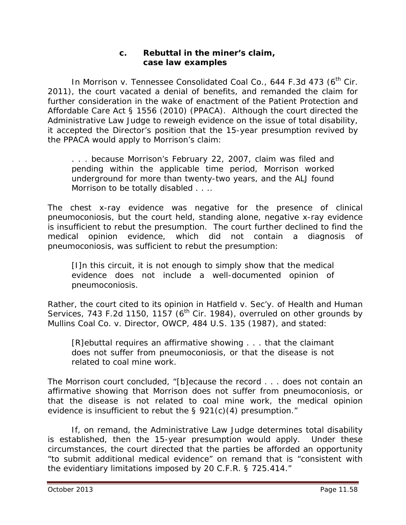#### **c. Rebuttal in the miner's claim, case law examples**

In *Morrison v. Tennessee Consolidated Coal Co.*, 644 F.3d 473 (6<sup>th</sup> Cir. 2011), the court vacated a denial of benefits, and remanded the claim for further consideration in the wake of enactment of the Patient Protection and Affordable Care Act § 1556 (2010) (PPACA). Although the court directed the Administrative Law Judge to reweigh evidence on the issue of total disability, it accepted the Director's position that the 15-year presumption revived by the PPACA would apply to Morrison's claim:

. . . because Morrison's February 22, 2007, claim was filed and pending within the applicable time period, Morrison worked underground for more than twenty-two years, and the ALJ found Morrison to be totally disabled . . ..

The chest x-ray evidence was negative for the presence of clinical pneumoconiosis, but the court held, standing alone, negative x-ray evidence is insufficient to rebut the presumption. The court further declined to find the medical opinion evidence, which did not contain a diagnosis of pneumoconiosis, was sufficient to rebut the presumption:

[I]n this circuit, it is not enough to simply show that the medical evidence does not include a well-documented opinion of pneumoconiosis.

Rather, the court cited to its opinion in *Hatfield v. Sec'y. of Health and Human Services*, 743 F.2d 1150, 1157 (6<sup>th</sup> Cir. 1984), *overruled on other grounds by Mullins Coal Co. v. Director, OWCP*, 484 U.S. 135 (1987), and stated:

[R]ebuttal requires an affirmative showing . . . that the claimant does *not* suffer from pneumoconiosis, or that the disease is not related to coal mine work.

The *Morrison* court concluded, "[b]ecause the record . . . does not contain an affirmative showing that Morrison does *not* suffer from pneumoconiosis, or that the disease is not related to coal mine work, the medical opinion evidence is insufficient to rebut the § 921(c)(4) presumption."

If, on remand, the Administrative Law Judge determines total disability is established, then the 15-year presumption would apply. Under these circumstances, the court directed that the parties be afforded an opportunity "to submit additional medical evidence" on remand that is "consistent with the evidentiary limitations imposed by 20 C.F.R. § 725.414."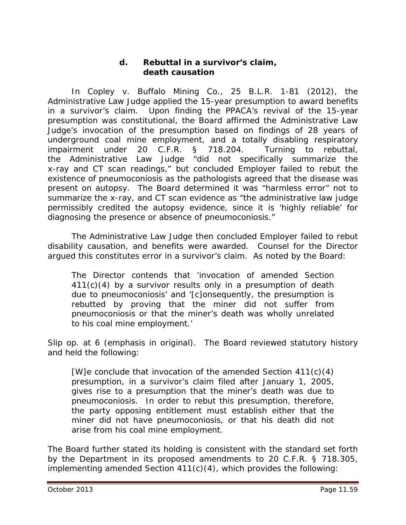#### **d. Rebuttal in a survivor's claim, death causation**

In *Copley v. Buffalo Mining Co.*, 25 B.L.R. 1-81 (2012), the Administrative Law Judge applied the 15-year presumption to award benefits in a survivor's claim. Upon finding the PPACA's revival of the 15-year presumption was constitutional, the Board affirmed the Administrative Law Judge's invocation of the presumption based on findings of 28 years of underground coal mine employment, and a totally disabling respiratory impairment under 20 C.F.R. § 718.204. Turning to rebuttal, the Administrative Law Judge "did not specifically summarize the x-ray and CT scan readings," but concluded Employer failed to rebut the existence of pneumoconiosis as the pathologists agreed that the disease was present on autopsy. The Board determined it was "harmless error" not to summarize the x-ray, and CT scan evidence as "the administrative law judge permissibly credited the autopsy evidence, since it is 'highly reliable' for diagnosing the presence or absence of pneumoconiosis."

The Administrative Law Judge then concluded Employer failed to rebut disability causation, and benefits were awarded. Counsel for the Director argued this constitutes error in a survivor's claim. As noted by the Board:

The Director contends that 'invocation of amended Section 411(c)(4) by a survivor results *only* in a presumption of death due to pneumoconiosis' and '[c]onsequently, the presumption is rebutted by proving that the miner did not suffer from pneumoconiosis or that the miner's death was wholly unrelated to his coal mine employment.'

*Slip op*. at 6 (emphasis in original). The Board reviewed statutory history and held the following:

[W]e conclude that invocation of the amended Section 411(c)(4) presumption, in a survivor's claim filed after January 1, 2005, gives rise to a presumption that the miner's death was due to pneumoconiosis. In order to rebut this presumption, therefore, the party opposing entitlement must establish either that the miner did not have pneumoconiosis, or that his death did not arise from his coal mine employment.

The Board further stated its holding is consistent with the standard set forth by the Department in its *proposed* amendments to 20 C.F.R. § 718.305, implementing amended Section 411(c)(4), which provides the following: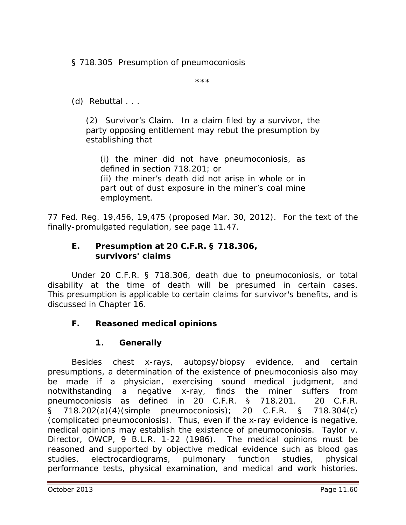§ 718.305 Presumption of pneumoconiosis

\*\*\*

(d) Rebuttal . . .

(2) Survivor's Claim. In a claim filed by a survivor, the party opposing entitlement may rebut the presumption by establishing that

(i) the miner did not have pneumoconiosis, as defined in section 718.201; or (ii) the miner's death did not arise in whole or in part out of dust exposure in the miner's coal mine employment.

77 Fed. Reg. 19,456, 19,475 (proposed Mar. 30, 2012). For the text of the finally-promulgated regulation, *see* page 11.47.

#### **E. Presumption at 20 C.F.R. § 718.306, survivors' claims**

Under 20 C.F.R. § 718.306, death due to pneumoconiosis, or total disability at the time of death will be presumed in certain cases. This presumption is applicable to certain claims for survivor's benefits, and is discussed in Chapter 16*.*

### **F. Reasoned medical opinions**

#### **1. Generally**

Besides chest x-rays, autopsy/biopsy evidence, and certain presumptions, a determination of the existence of pneumoconiosis also may be made if a physician, exercising sound medical judgment, and notwithstanding a negative x-ray, finds the miner suffers from pneumoconiosis as defined in 20 C.F.R. § 718.201. 20 C.F.R. § 718.202(a)(4)(simple pneumoconiosis); 20 C.F.R. § 718.304(c) (complicated pneumoconiosis). Thus, even if the x-ray evidence is negative, medical opinions may establish the existence of pneumoconiosis. *Taylor v. Director, OWCP*, 9 B.L.R. 1-22 (1986). The medical opinions must be reasoned and supported by objective medical evidence such as blood gas studies, electrocardiograms, pulmonary function studies, physical performance tests, physical examination, and medical and work histories.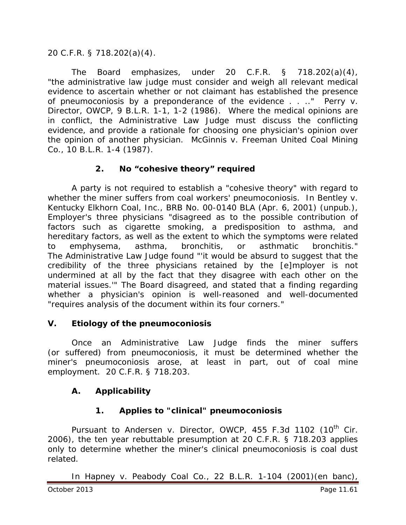### 20 C.F.R. § 718.202(a)(4).

The Board emphasizes, under 20 C.F.R. § 718.202(a)(4), "the administrative law judge must consider and weigh all relevant medical evidence to ascertain whether or not claimant has established the presence of pneumoconiosis by a preponderance of the evidence . . .." *Perry v. Director, OWCP*, 9 B.L.R. 1-1, 1-2 (1986). Where the medical opinions are in conflict, the Administrative Law Judge must discuss the conflicting evidence, and provide a rationale for choosing one physician's opinion over the opinion of another physician. *McGinnis v. Freeman United Coal Mining Co.*, 10 B.L.R. 1-4 (1987).

### **2. No "cohesive theory" required**

A party is not required to establish a "cohesive theory" with regard to whether the miner suffers from coal workers' pneumoconiosis. In *Bentley v. Kentucky Elkhorn Coal, Inc.*, BRB No. 00-0140 BLA (Apr. 6, 2001) (unpub.), Employer's three physicians "disagreed as to the possible contribution of factors such as cigarette smoking, a predisposition to asthma, and hereditary factors, as well as the extent to which the symptoms were related to emphysema, asthma, bronchitis, or asthmatic bronchitis." The Administrative Law Judge found "'it would be absurd to suggest that the credibility of the three physicians retained by the [e]mployer is not undermined at all by the fact that they disagree with each other on the material issues.'" The Board disagreed, and stated that a finding regarding whether a physician's opinion is well-reasoned and well-documented "requires analysis of the document within its four corners."

#### **V. Etiology of the pneumoconiosis**

Once an Administrative Law Judge finds the miner suffers (or suffered) from pneumoconiosis, it must be determined whether the miner's pneumoconiosis arose, at least in part, out of coal mine employment. 20 C.F.R. § 718.203.

### **A. Applicability**

### **1. Applies to "clinical" pneumoconiosis**

Pursuant to *Andersen v. Director, OWCP*, 455 F.3d 1102 (10<sup>th</sup> Cir. 2006), the ten year rebuttable presumption at 20 C.F.R. § 718.203 applies only to determine whether the miner's *clinical* pneumoconiosis is coal dust related.

In *Hapney v. Peabody Coal Co.*, 22 B.L.R. 1-104 (2001)(en banc),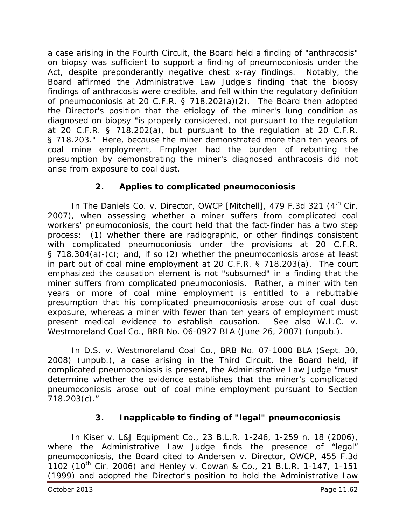a case arising in the Fourth Circuit, the Board held a finding of "anthracosis" on biopsy was sufficient to support a finding of pneumoconiosis under the Act, despite preponderantly negative chest x-ray findings. Notably, the Board affirmed the Administrative Law Judge's finding that the biopsy findings of anthracosis were credible, and fell within the regulatory definition of pneumoconiosis at 20 C.F.R. § 718.202(a)(2). The Board then adopted the Director's position that the etiology of the miner's lung condition as diagnosed on biopsy "is properly considered, not pursuant to the regulation at 20 C.F.R. § 718.202(a), but pursuant to the regulation at 20 C.F.R. § 718.203." Here, because the miner demonstrated more than ten years of coal mine employment, Employer had the burden of rebutting the presumption by demonstrating the miner's diagnosed anthracosis did not arise from exposure to coal dust.

# **2. Applies to complicated pneumoconiosis**

In *The Daniels Co. v. Director, OWCP [Mitchell]*, 479 F.3d 321 (4<sup>th</sup> Cir. 2007), when assessing whether a miner suffers from complicated coal workers' pneumoconiosis, the court held that the fact-finder has a two step process: (1) whether there are radiographic, or other findings consistent with complicated pneumoconiosis under the provisions at 20 C.F.R. § 718.304(a)-(c); and, if so (2) whether the pneumoconiosis arose at least in part out of coal mine employment at 20 C.F.R. § 718.203(a). The court emphasized the causation element is not "subsumed" in a finding that the miner suffers from complicated pneumoconiosis. Rather, a miner with ten years or more of coal mine employment is entitled to a rebuttable presumption that his complicated pneumoconiosis arose out of coal dust exposure, whereas a miner with fewer than ten years of employment must present medical evidence to establish causation. *See also W.L.C. v. Westmoreland Coal Co.*, BRB No. 06-0927 BLA (June 26, 2007) (unpub.).

In *D.S. v. Westmoreland Coal Co.*, BRB No. 07-1000 BLA (Sept. 30, 2008) (unpub.), a case arising in the Third Circuit, the Board held, if complicated pneumoconiosis is present, the Administrative Law Judge "must determine whether the evidence establishes that the miner's complicated pneumoconiosis arose out of coal mine employment pursuant to Section 718.203(c)."

# **3. Inapplicable to finding of "legal" pneumoconiosis**

In *Kiser v. L&J Equipment Co.*, 23 B.L.R. 1-246, 1-259 n. 18 (2006), where the Administrative Law Judge finds the presence of "legal" pneumoconiosis, the Board cited to *Andersen v. Director, OWCP*, 455 F.3d 1102 (10th Cir. 2006) and *Henley v. Cowan & Co.*, 21 B.L.R. 1-147, 1-151 (1999) and adopted the Director's position to hold the Administrative Law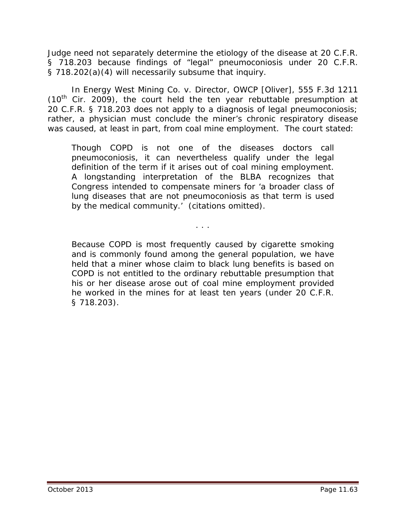Judge need not separately determine the etiology of the disease at 20 C.F.R. § 718.203 because findings of "legal" pneumoconiosis under 20 C.F.R. § 718.202(a)(4) will necessarily subsume that inquiry.

In *Energy West Mining Co. v. Director, OWCP [Oliver]*, 555 F.3d 1211  $(10<sup>th</sup>$  Cir. 2009), the court held the ten year rebuttable presumption at 20 C.F.R. § 718.203 does not apply to a diagnosis of legal pneumoconiosis; rather, a physician must conclude the miner's chronic respiratory disease was caused, at least in part, from coal mine employment. The court stated:

Though COPD is not one of the diseases doctors call pneumoconiosis, it can nevertheless qualify under the legal definition of the term if it arises out of coal mining employment. A longstanding interpretation of the BLBA recognizes that Congress intended to compensate miners for 'a broader class of lung diseases that are not pneumoconiosis as that term is used by the medical community.' (citations omitted).

. . .

Because COPD is most frequently caused by cigarette smoking and is commonly found among the general population, we have held that a miner whose claim to black lung benefits is based on COPD is not entitled to the ordinary rebuttable presumption that his or her disease arose out of coal mine employment provided he worked in the mines for at least ten years (under 20 C.F.R. § 718.203).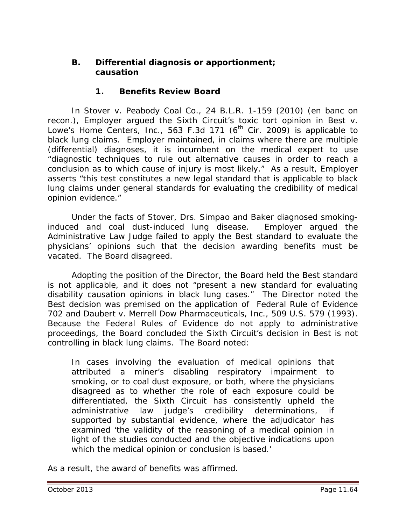### **B. Differential diagnosis or apportionment; causation**

### **1. Benefits Review Board**

 In *Stover v. Peabody Coal Co.*, 24 B.L.R. 1-159 (2010) (en banc on recon.), Employer argued the Sixth Circuit's toxic tort opinion in *Best v.*  Lowe's Home Centers, Inc., 563 F.3d 171 (6<sup>th</sup> Cir. 2009) is applicable to black lung claims. Employer maintained, in claims where there are multiple (differential) diagnoses, it is incumbent on the medical expert to use "diagnostic techniques to rule out alternative causes in order to reach a conclusion as to which cause of injury is most likely." As a result, Employer asserts "this test constitutes a new legal standard that is applicable to black lung claims under general standards for evaluating the credibility of medical opinion evidence."

Under the facts of *Stover,* Drs. Simpao and Baker diagnosed smokinginduced and coal dust-induced lung disease. Employer argued the Administrative Law Judge failed to apply the *Best* standard to evaluate the physicians' opinions such that the decision awarding benefits must be vacated. The Board disagreed.

Adopting the position of the Director, the Board held the *Best* standard is not applicable, and it does not "present a new standard for evaluating disability causation opinions in black lung cases." The Director noted the *Best* decision was premised on the application of Federal Rule of Evidence 702 and *Daubert v. Merrell Dow Pharmaceuticals, Inc.*, 509 U.S. 579 (1993). Because the Federal Rules of Evidence do not apply to administrative proceedings, the Board concluded the Sixth Circuit's decision in *Best* is not controlling in black lung claims. The Board noted:

In cases involving the evaluation of medical opinions that attributed a miner's disabling respiratory impairment to smoking, or to coal dust exposure, or both, where the physicians disagreed as to whether the role of each exposure could be differentiated, the Sixth Circuit has consistently upheld the administrative law judge's credibility determinations, if supported by substantial evidence, where the adjudicator has examined 'the validity of the reasoning of a medical opinion in light of the studies conducted and the objective indications upon which the medical opinion or conclusion is based.'

As a result, the award of benefits was affirmed.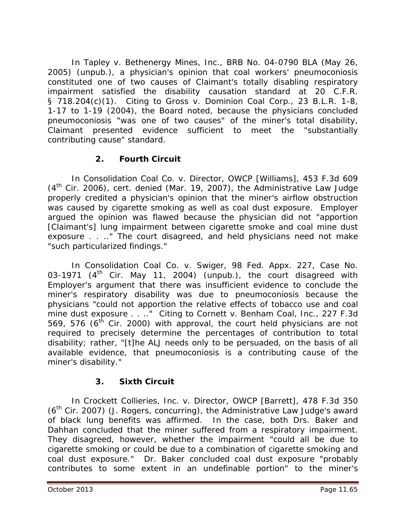In *Tapley v. Bethenergy Mines, Inc.*, BRB No. 04-0790 BLA (May 26, 2005) (unpub.), a physician's opinion that coal workers' pneumoconiosis constituted one of two causes of Claimant's totally disabling respiratory impairment satisfied the disability causation standard at 20 C.F.R. § 718.204(c)(1). Citing to *Gross v. Dominion Coal Corp.*, 23 B.L.R. 1-8, 1-17 to 1-19 (2004), the Board noted, because the physicians concluded pneumoconiosis "was one of two causes" of the miner's total disability, Claimant presented evidence sufficient to meet the "substantially contributing cause" standard.

## **2. Fourth Circuit**

In *Consolidation Coal Co. v. Director, OWCP [Williams]*, 453 F.3d 609 (4th Cir. 2006), *cert. denied* (Mar. 19, 2007), the Administrative Law Judge properly credited a physician's opinion that the miner's airflow obstruction was caused by cigarette smoking as well as coal dust exposure. Employer argued the opinion was flawed because the physician did not "apportion [Claimant's] lung impairment between cigarette smoke and coal mine dust exposure . . .." The court disagreed, and held physicians need not make "such particularized findings."

In *Consolidation Coal Co. v. Swiger*, 98 Fed. Appx. 227, Case No. 03-1971 ( $4<sup>th</sup>$  Cir. May 11, 2004) (unpub.), the court disagreed with Employer's argument that there was insufficient evidence to conclude the miner's respiratory disability was due to pneumoconiosis because the physicians "could not apportion the relative effects of tobacco use and coal mine dust exposure . . .." Citing to *Cornett v. Benham Coal, Inc.,* 227 F.3d 569, 576 ( $6<sup>th</sup>$  Cir. 2000) with approval, the court held physicians are not required to precisely determine the percentages of contribution to total disability; rather, "[t]he ALJ needs only to be persuaded, on the basis of all available evidence, that pneumoconiosis is a contributing cause of the miner's disability."

# **3. Sixth Circuit**

In *Crockett Collieries, Inc. v. Director, OWCP [Barrett]*, 478 F.3d 350  $(6<sup>th</sup> Cir. 2007)$  (J. Rogers, concurring), the Administrative Law Judge's award of black lung benefits was affirmed. In the case, both Drs. Baker and Dahhan concluded that the miner suffered from a respiratory impairment. They disagreed, however, whether the impairment "could all be due to cigarette smoking or could be due to a combination of cigarette smoking and coal dust exposure." Dr. Baker concluded coal dust exposure "probably contributes to some extent in an undefinable portion" to the miner's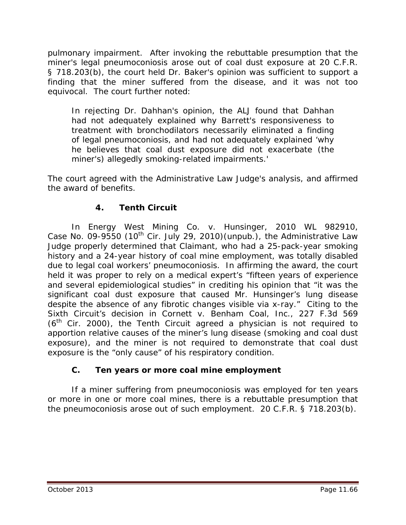pulmonary impairment. After invoking the rebuttable presumption that the miner's legal pneumoconiosis arose out of coal dust exposure at 20 C.F.R. § 718.203(b), the court held Dr. Baker's opinion was sufficient to support a finding that the miner suffered from the disease, and it was not too equivocal. The court further noted:

In rejecting Dr. Dahhan's opinion, the ALJ found that Dahhan had not adequately explained why Barrett's responsiveness to treatment with bronchodilators necessarily eliminated a finding of legal pneumoconiosis, and had not adequately explained 'why he believes that coal dust exposure did not exacerbate (the miner's) allegedly smoking-related impairments.'

The court agreed with the Administrative Law Judge's analysis, and affirmed the award of benefits.

# **4. Tenth Circuit**

In *Energy West Mining Co. v. Hunsinger,* 2010 WL 982910, Case No. 09-9550 (10<sup>th</sup> Cir. July 29, 2010) (unpub.), the Administrative Law Judge properly determined that Claimant, who had a 25-pack-year smoking history and a 24-year history of coal mine employment, was totally disabled due to legal coal workers' pneumoconiosis. In affirming the award, the court held it was proper to rely on a medical expert's "fifteen years of experience and several epidemiological studies" in crediting his opinion that "it was the significant coal dust exposure that caused Mr. Hunsinger's lung disease despite the absence of any fibrotic changes visible via x-ray." Citing to the Sixth Circuit's decision in *Cornett v. Benham Coal, Inc.*, 227 F.3d 569  $(6<sup>th</sup>$  Cir. 2000), the Tenth Circuit agreed a physician is not required to apportion relative causes of the miner's lung disease (smoking and coal dust exposure), and the miner is not required to demonstrate that coal dust exposure is the "only cause" of his respiratory condition.

### **C. Ten years or more coal mine employment**

If a miner suffering from pneumoconiosis was employed for ten years or more in one or more coal mines, there is a rebuttable presumption that the pneumoconiosis arose out of such employment. 20 C.F.R. § 718.203(b).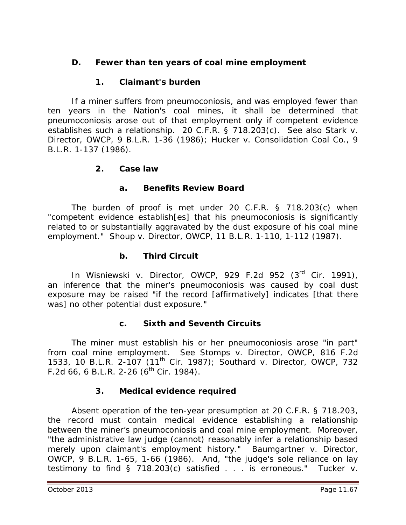# **D. Fewer than ten years of coal mine employment**

### **1. Claimant's burden**

If a miner suffers from pneumoconiosis, and was employed fewer than ten years in the Nation's coal mines, it shall be determined that pneumoconiosis arose out of that employment only if competent evidence establishes such a relationship. 20 C.F.R. § 718.203(c). *See also Stark v. Director, OWCP*, 9 B.L.R. 1-36 (1986); *Hucker v. Consolidation Coal Co.*, 9 B.L.R. 1-137 (1986).

#### **2. Case law**

#### **a. Benefits Review Board**

The burden of proof is met under 20 C.F.R. § 718.203(c) when "competent evidence establish[es] that his pneumoconiosis is significantly related to or substantially aggravated by the dust exposure of his coal mine employment." *Shoup v. Director, OWCP*, 11 B.L.R. 1-110, 1-112 (1987).

#### **b. Third Circuit**

In *Wisniewski v. Director, OWCP*, 929 F.2d 952 (3rd Cir. 1991), an inference that the miner's pneumoconiosis was caused by coal dust exposure may be raised "if the record [affirmatively] indicates [that there was] no other potential dust exposure."

#### **c. Sixth and Seventh Circuits**

The miner must establish his or her pneumoconiosis arose "in part" from coal mine employment. *See Stomps v. Director, OWCP*, 816 F.2d 1533, 10 B.L.R. 2-107 (11th Cir. 1987); *Southard v. Director, OWCP*, 732 F.2d 66, 6 B.L.R. 2-26 ( $6^{th}$  Cir. 1984).

#### **3. Medical evidence required**

Absent operation of the ten-year presumption at 20 C.F.R. § 718.203, the record must contain *medical* evidence establishing a relationship between the miner's pneumoconiosis and coal mine employment. Moreover, "the administrative law judge (cannot) reasonably infer a relationship based merely upon claimant's employment history." *Baumgartner v. Director, OWCP*, 9 B.L.R. 1-65, 1-66 (1986). And, "the judge's sole reliance on lay testimony to find § 718.203(c) satisfied . . . is erroneous." *Tucker v.*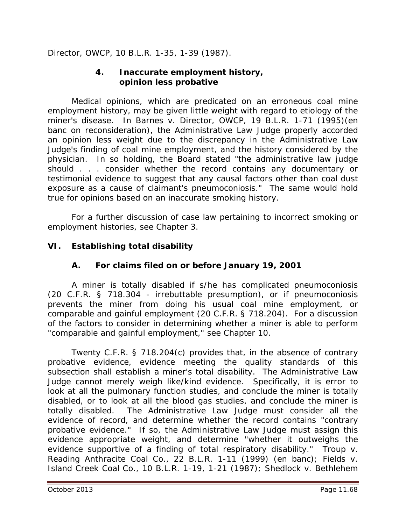*Director, OWCP*, 10 B.L.R. 1-35, 1-39 (1987).

#### **4. Inaccurate employment history, opinion less probative**

Medical opinions, which are predicated on an erroneous coal mine employment history, may be given little weight with regard to etiology of the miner's disease. In *Barnes v. Director, OWCP*, 19 B.L.R. 1-71 (1995)(en banc on reconsideration), the Administrative Law Judge properly accorded an opinion less weight due to the discrepancy in the Administrative Law Judge's finding of coal mine employment, and the history considered by the physician. In so holding, the Board stated "the administrative law judge should . . . consider whether the record contains any documentary or testimonial evidence to suggest that any causal factors other than coal dust exposure as a cause of claimant's pneumoconiosis." The same would hold true for opinions based on an inaccurate smoking history.

For a further discussion of case law pertaining to incorrect smoking or employment histories, *see* Chapter 3.

### **VI. Establishing total disability**

### **A. For claims filed on or before January 19, 2001**

A miner is totally disabled if s/he has complicated pneumoconiosis (20 C.F.R. § 718.304 - irrebuttable presumption), or if pneumoconiosis prevents the miner from doing his usual coal mine employment, or comparable and gainful employment (20 C.F.R. § 718.204). For a discussion of the factors to consider in determining whether a miner is able to perform "comparable and gainful employment," *see* Chapter 10.

Twenty C.F.R. § 718.204(c) provides that, *in the absence of contrary probative evidence*, evidence meeting the quality standards of this subsection shall establish a miner's total disability. The Administrative Law Judge cannot merely weigh like/kind evidence. Specifically, it is error to look at all the pulmonary function studies, and conclude the miner is totally disabled, or to look at all the blood gas studies, and conclude the miner is totally disabled. The Administrative Law Judge must consider all the evidence of record, and determine whether the record contains "contrary probative evidence." If so, the Administrative Law Judge must assign this evidence appropriate weight, and determine "whether it outweighs the evidence supportive of a finding of total respiratory disability." *Troup v. Reading Anthracite Coal Co.*, 22 B.L.R. 1-11 (1999) (en banc); *Fields v. Island Creek Coal Co.*, 10 B.L.R. 1-19, 1-21 (1987); *Shedlock v. Bethlehem*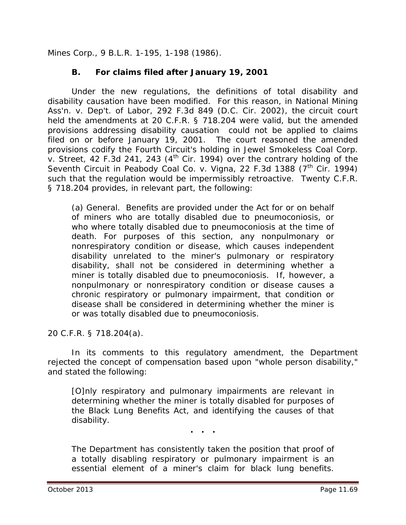*Mines Corp.*, 9 B.L.R. 1-195, 1-198 (1986).

### **B. For claims filed after January 19, 2001**

Under the new regulations, the definitions of total disability and disability causation have been modified. For this reason, in *National Mining Ass'n. v. Dep't. of Labor*, 292 F.3d 849 (D.C. Cir. 2002), the circuit court held the amendments at 20 C.F.R. § 718.204 were valid, but the amended provisions addressing disability causation could not be applied to claims filed on or before January 19, 2001. The court reasoned the amended provisions codify the Fourth Circuit's holding in *Jewel Smokeless Coal Corp. v. Street*, 42 F.3d 241, 243 (4<sup>th</sup> Cir. 1994) over the contrary holding of the Seventh Circuit in *Peabody Coal Co. v. Vigna*, 22 F.3d 1388 (7<sup>th</sup> Cir. 1994) such that the regulation would be impermissibly retroactive. Twenty C.F.R. § 718.204 provides, in relevant part, the following:

(a) General. Benefits are provided under the Act for or on behalf of miners who are totally disabled due to pneumoconiosis, or who where totally disabled due to pneumoconiosis at the time of death. For purposes of this section, any nonpulmonary or nonrespiratory condition or disease, which causes independent disability unrelated to the miner's pulmonary or respiratory disability, shall not be considered in determining whether a miner is totally disabled due to pneumoconiosis. If, however, a nonpulmonary or nonrespiratory condition or disease causes a chronic respiratory or pulmonary impairment, that condition or disease shall be considered in determining whether the miner is or was totally disabled due to pneumoconiosis.

20 C.F.R. § 718.204(a).

In its comments to this regulatory amendment, the Department rejected the concept of compensation based upon "whole person disability," and stated the following:

[O]nly respiratory and pulmonary impairments are relevant in determining whether the miner is totally disabled for purposes of the Black Lung Benefits Act, and identifying the causes of that disability.

**. . .**

The Department has consistently taken the position that proof of a totally disabling respiratory or pulmonary impairment is an essential element of a miner's claim for black lung benefits.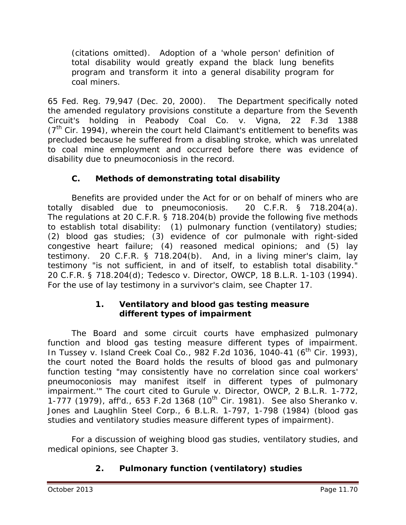(citations omitted). Adoption of a 'whole person' definition of total disability would greatly expand the black lung benefits program and transform it into a general disability program for coal miners.

65 Fed. Reg. 79,947 (Dec. 20, 2000). The Department specifically noted the amended regulatory provisions constitute a departure from the Seventh Circuit's holding in *Peabody Coal Co. v. Vigna*, 22 F.3d 1388  $(7<sup>th</sup>$  Cir. 1994), wherein the court held Claimant's entitlement to benefits was precluded because he suffered from a disabling stroke, which was unrelated to coal mine employment and occurred before there was evidence of disability due to pneumoconiosis in the record.

# **C. Methods of demonstrating total disability**

Benefits are provided under the Act for or on behalf of miners who are totally disabled due to pneumoconiosis. 20 C.F.R. § 718.204(a). The regulations at 20 C.F.R. § 718.204(b) provide the following five methods to establish total disability: (1) pulmonary function (ventilatory) studies; (2) blood gas studies; (3) evidence of cor pulmonale with right-sided congestive heart failure; (4) reasoned medical opinions; and (5) lay testimony. 20 C.F.R. § 718.204(b). And, in a living miner's claim, lay testimony "is not sufficient, in and of itself, to establish total disability." 20 C.F.R. § 718.204(d); *Tedesco v. Director, OWCP*, 18 B.L.R. 1-103 (1994). For the use of lay testimony in a survivor's claim, *see* Chapter 17.

### **1. Ventilatory and blood gas testing measure different types of impairment**

The Board and some circuit courts have emphasized pulmonary function and blood gas testing measure different types of impairment. In *Tussey v. Island Creek Coal Co.*, 982 F.2d 1036, 1040-41 (6<sup>th</sup> Cir. 1993), the court noted the Board holds the results of blood gas and pulmonary function testing "may consistently have no correlation since coal workers' pneumoconiosis may manifest itself in different types of pulmonary impairment.'" The court cited to *Gurule v. Director, OWCP*, 2 B.L.R. 1-772, 1-777 (1979), *aff'd.*, 653 F.2d 1368 (10th Cir. 1981). *See also Sheranko v. Jones and Laughlin Steel Corp*., 6 B.L.R. 1-797, 1-798 (1984) (blood gas studies and ventilatory studies measure different types of impairment).

For a discussion of weighing blood gas studies, ventilatory studies, and medical opinions, *see* Chapter 3.

# **2. Pulmonary function (ventilatory) studies**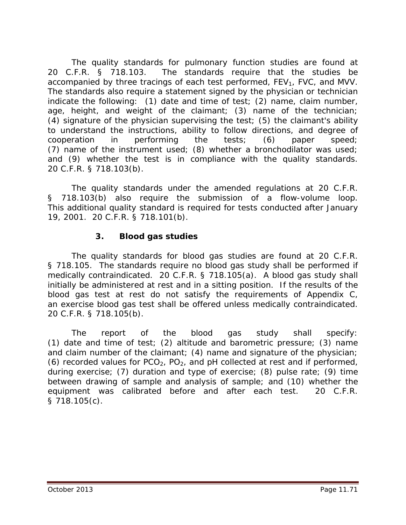The quality standards for pulmonary function studies are found at 20 C.F.R. § 718.103. The standards require that the studies be accompanied by three tracings of each test performed, FEV<sub>1</sub>, FVC, and MVV. The standards also require a statement signed by the physician or technician indicate the following: (1) date and time of test; (2) name, claim number, age, height, and weight of the claimant; (3) name of the technician; (4) signature of the physician supervising the test; (5) the claimant's ability to understand the instructions, ability to follow directions, and degree of cooperation in performing the tests; (6) paper speed; (7) name of the instrument used; (8) whether a bronchodilator was used; and (9) whether the test is in compliance with the quality standards. 20 C.F.R. § 718.103(b).

The quality standards under the amended regulations at 20 C.F.R. § 718.103(b) also require the submission of a flow-volume loop. This additional quality standard is required for tests conducted after January 19, 2001. 20 C.F.R. § 718.101(b).

### **3. Blood gas studies**

The quality standards for blood gas studies are found at 20 C.F.R. § 718.105. The standards require no blood gas study shall be performed if medically contraindicated. 20 C.F.R. § 718.105(a). A blood gas study shall initially be administered at rest and in a sitting position. If the results of the blood gas test at rest do not satisfy the requirements of Appendix C, an exercise blood gas test shall be offered unless medically contraindicated. 20 C.F.R. § 718.105(b).

The report of the blood gas study shall specify: (1) date and time of test; (2) altitude and barometric pressure; (3) name and claim number of the claimant; (4) name and signature of the physician; (6) recorded values for  $PCO<sub>2</sub>$ ,  $PO<sub>2</sub>$ , and pH collected at rest and if performed, during exercise; (7) duration and type of exercise; (8) pulse rate; (9) time between drawing of sample and analysis of sample; and (10) whether the equipment was calibrated before and after each test. 20 C.F.R. § 718.105(c).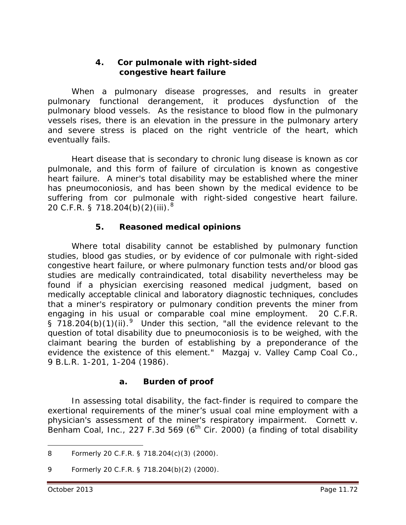#### **4. Cor pulmonale with right-sided congestive heart failure**

When a pulmonary disease progresses, and results in greater pulmonary functional derangement, it produces dysfunction of the pulmonary blood vessels. As the resistance to blood flow in the pulmonary vessels rises, there is an elevation in the pressure in the pulmonary artery and severe stress is placed on the right ventricle of the heart, which eventually fails.

Heart disease that is secondary to chronic lung disease is known as cor pulmonale, and this form of failure of circulation is known as congestive heart failure. A miner's total disability may be established where the miner has pneumoconiosis, and has been shown by the medical evidence to be suffering from cor pulmonale with right-sided congestive heart failure. 20 C.F.R. § 71[8](#page-71-0).204(b)(2)(iii). $^8$ 

## **5. Reasoned medical opinions**

Where total disability cannot be established by pulmonary function studies, blood gas studies, or by evidence of cor pulmonale with right-sided congestive heart failure, or where pulmonary function tests and/or blood gas studies are medically contraindicated, total disability nevertheless may be found if a physician exercising reasoned medical judgment, based on medically acceptable clinical and laboratory diagnostic techniques, concludes that a miner's respiratory or pulmonary condition prevents the miner from engaging in his usual or comparable coal mine employment. 20 C.F.R. § 718.204(b)(1)(ii).<sup>[9](#page-71-1)</sup> Under this section, "all the evidence relevant to the question of total disability due to pneumoconiosis is to be weighed, with the claimant bearing the burden of establishing by a preponderance of the evidence the existence of this element." *Mazgaj v. Valley Camp Coal Co.*, 9 B.L.R. 1-201, 1-204 (1986).

### **a. Burden of proof**

In assessing total disability, the fact-finder is required to compare the exertional requirements of the miner's usual coal mine employment with a physician's assessment of the miner's respiratory impairment. *Cornett v. Benham Coal, Inc.*, 227 F.3d 569 (6<sup>th</sup> Cir. 2000) (a finding of total disability

<span id="page-71-0"></span><sup>8</sup> Formerly 20 C.F.R. § 718.204(c)(3) (2000).  $\overline{a}$ 

<span id="page-71-1"></span><sup>9</sup> Formerly 20 C.F.R. § 718.204(b)(2) (2000).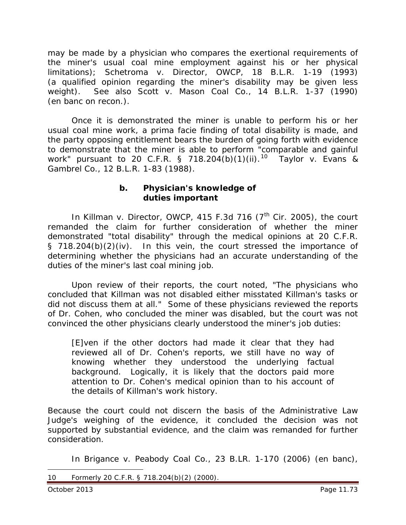may be made by a physician who compares the exertional requirements of the miner's usual coal mine employment against his or her physical limitations); *Schetroma v. Director, OWCP*, 18 B.L.R. 1-19 (1993) (a qualified opinion regarding the miner's disability may be given less weight). *See also Scott v. Mason Coal Co.*, 14 B.L.R. 1-37 (1990) (en banc on recon.).

Once it is demonstrated the miner is unable to perform his or her usual coal mine work, a *prima facie* finding of total disability is made, and the party opposing entitlement bears the burden of going forth with evidence to demonstrate that the miner is able to perform "comparable and gainful work" pursuant to 20 C.F.R. § 718.204(b)(1)(ii).<sup>10</sup> [10](#page-72-0) *Taylor v. Evans & Gambrel Co.*, 12 B.L.R. 1-83 (1988).

#### **b. Physician's knowledge of duties important**

In *Killman v. Director, OWCP*, 415 F.3d 716 (7<sup>th</sup> Cir. 2005), the court remanded the claim for further consideration of whether the miner demonstrated "total disability" through the medical opinions at 20 C.F.R. § 718.204(b)(2)(iv). In this vein, the court stressed the importance of determining whether the physicians had an accurate understanding of the duties of the miner's last coal mining job.

Upon review of their reports, the court noted, "The physicians who concluded that Killman was not disabled either misstated Killman's tasks or did not discuss them at all." Some of these physicians reviewed the reports of Dr. Cohen, who concluded the miner was disabled, but the court was not convinced the other physicians clearly understood the miner's job duties:

[E]ven if the other doctors had made it clear that they had reviewed all of Dr. Cohen's reports, we still have no way of knowing whether they understood the underlying factual background. Logically, it is likely that the doctors paid more attention to Dr. Cohen's medical opinion than to his account of the details of Killman's work history.

Because the court could not discern the basis of the Administrative Law Judge's weighing of the evidence, it concluded the decision was not supported by substantial evidence, and the claim was remanded for further consideration.

In *Brigance v. Peabody Coal Co.*, 23 B.LR. 1-170 (2006) (en banc),

<span id="page-72-0"></span><sup>10</sup> Formerly 20 C.F.R. § 718.204(b)(2) (2000).  $\overline{a}$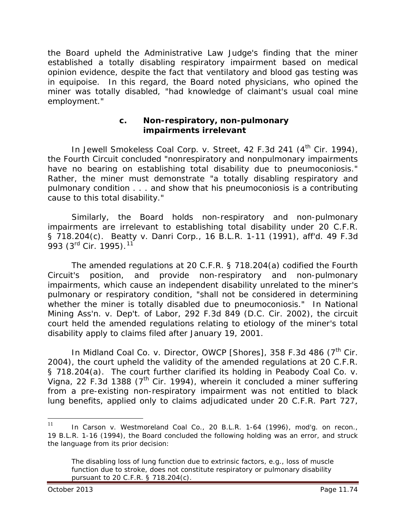the Board upheld the Administrative Law Judge's finding that the miner established a totally disabling respiratory impairment based on medical opinion evidence, despite the fact that ventilatory and blood gas testing was in equipoise. In this regard, the Board noted physicians, who opined the miner was totally disabled, "had knowledge of claimant's usual coal mine employment."

#### **c. Non-respiratory, non-pulmonary impairments irrelevant**

In *Jewell Smokeless Coal Corp. v. Street*, 42 F.3d 241 (4<sup>th</sup> Cir. 1994), the Fourth Circuit concluded "nonrespiratory and nonpulmonary impairments have no bearing on establishing total disability due to pneumoconiosis." Rather, the miner must demonstrate "a totally disabling respiratory and pulmonary condition . . . and show that his pneumoconiosis is a contributing cause to this total disability."

Similarly, the Board holds non-respiratory and non-pulmonary impairments are irrelevant to establishing total disability under 20 C.F.R. § 718.204(c). *Beatty v. Danri Corp.*, 16 B.L.R. 1-11 (1991), *aff'd.* 49 F.3d 993 (3<sup>rd</sup> Cir. 1995).<sup>[11](#page-73-0)</sup>

The amended regulations at 20 C.F.R. § 718.204(a) codified the Fourth Circuit's position, and provide non-respiratory and non-pulmonary impairments, which cause an independent disability unrelated to the miner's pulmonary or respiratory condition, "shall not be considered in determining whether the miner is totally disabled due to pneumoconiosis." In *National Mining Ass'n. v. Dep't. of Labor*, 292 F.3d 849 (D.C. Cir. 2002), the circuit court held the amended regulations relating to etiology of the miner's total disability apply to claims filed after January 19, 2001.

In *Midland Coal Co. v. Director, OWCP [Shores]*, 358 F.3d 486 (7<sup>th</sup> Cir. 2004), the court upheld the validity of the amended regulations at 20 C.F.R. § 718.204(a). The court further clarified its holding in *Peabody Coal Co. v.*  Vigna, 22 F.3d 1388 (7<sup>th</sup> Cir. 1994), wherein it concluded a miner suffering from a pre-existing non-respiratory impairment was not entitled to black lung benefits, applied only to claims adjudicated under 20 C.F.R. Part 727,

<span id="page-73-0"></span><sup>11</sup> In *Carson v. Westmoreland Coal Co.*, 20 B.L.R. 1-64 (1996), *mod'g. on recon.*, 19 B.L.R. 1-16 (1994), the Board concluded the following holding was an error, and struck the language from its prior decision:  $11<sup>1</sup>$ 

The disabling loss of lung function due to extrinsic factors, *e.g.*, loss of muscle function due to stroke, does not constitute respiratory or pulmonary disability pursuant to 20 C.F.R. § 718.204(c).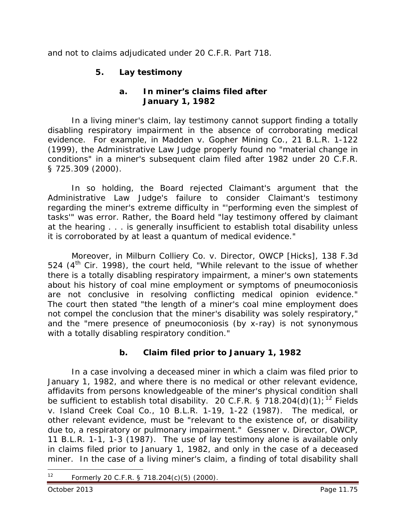and not to claims adjudicated under 20 C.F.R. Part 718.

## **5. Lay testimony**

### **a. In miner's claims filed after January 1, 1982**

In a living miner's claim, lay testimony cannot support finding a totally disabling respiratory impairment in the absence of corroborating medical evidence. For example, in *Madden v. Gopher Mining Co.*, 21 B.L.R. 1-122 (1999), the Administrative Law Judge properly found no "material change in conditions" in a miner's subsequent claim filed after 1982 under 20 C.F.R. § 725.309 (2000).

In so holding, the Board rejected Claimant's argument that the Administrative Law Judge's failure to consider Claimant's testimony regarding the miner's extreme difficulty in "'performing even the simplest of tasks'" was error. Rather, the Board held "lay testimony offered by claimant at the hearing . . . is generally insufficient to establish total disability unless it is corroborated by at least a quantum of medical evidence."

Moreover, in *Milburn Colliery Co. v. Director, OWCP [Hicks]*, 138 F.3d 524  $(4<sup>th</sup>$  Cir. 1998), the court held, "While relevant to the issue of whether there is a totally disabling respiratory impairment, a miner's own statements about his history of coal mine employment or symptoms of pneumoconiosis are not conclusive in resolving conflicting medical opinion evidence." The court then stated "the length of a miner's coal mine employment does not compel the conclusion that the miner's disability was solely respiratory," and the "mere presence of pneumoconiosis (by x-ray) is not synonymous with a totally disabling respiratory condition."

# **b. Claim filed prior to January 1, 1982**

In a case involving a deceased miner in which a claim was filed prior to January 1, 1982, and where there is no medical or other relevant evidence, affidavits from persons knowledgeable of the miner's physical condition shall be sufficient to establish total disability. 20 C.F.R. § 718.204(d)(1);<sup>[12](#page-74-0)</sup> *Fields v. Island Creek Coal Co.*, 10 B.L.R. 1-19, 1-22 (1987). The medical, or other relevant evidence, must be "relevant to the existence of, or disability due to, a respiratory or pulmonary impairment." *Gessner v. Director, OWCP*, 11 B.L.R. 1-1, 1-3 (1987). The use of lay testimony alone is available only in claims filed prior to January 1, 1982, and only in the case of a deceased miner. In the case of a living miner's claim, a finding of total disability shall

<span id="page-74-0"></span>Formerly 20 C.F.R. § 718.204(c)(5) (2000).  $12$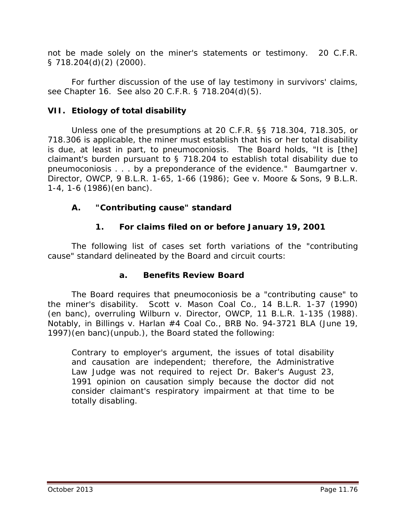not be made solely on the miner's statements or testimony. 20 C.F.R. § 718.204(d)(2) (2000).

For further discussion of the use of lay testimony in survivors' claims, *see* Chapter 16. *See also* 20 C.F.R. § 718.204(d)(5).

## **VII. Etiology of total disability**

Unless one of the presumptions at 20 C.F.R. §§ 718.304, 718.305, or 718.306 is applicable, the miner must establish that his or her total disability is due, at least in part, to pneumoconiosis. The Board holds, "It is [the] claimant's burden pursuant to § 718.204 to establish total disability due to pneumoconiosis . . . by a preponderance of the evidence." *Baumgartner v. Director, OWCP*, 9 B.L.R. 1-65, 1-66 (1986); *Gee v. Moore & Sons*, 9 B.L.R. 1-4, 1-6 (1986)(en banc).

## **A. "Contributing cause" standard**

## **1. For claims filed on or before January 19, 2001**

The following list of cases set forth variations of the "contributing cause" standard delineated by the Board and circuit courts:

## **a. Benefits Review Board**

The Board requires that pneumoconiosis be a "contributing cause" to the miner's disability. *Scott v. Mason Coal Co.*, 14 B.L.R. 1-37 (1990) (*en banc*), *overruling Wilburn v. Director, OWCP*, 11 B.L.R. 1-135 (1988). Notably, in *Billings v. Harlan #4 Coal Co.*, BRB No. 94-3721 BLA (June 19, 1997)(en banc)(unpub.), the Board stated the following:

Contrary to employer's argument, the issues of total disability and causation are independent; therefore, the Administrative Law Judge was not required to reject Dr. Baker's August 23, 1991 opinion on causation simply because the doctor did not consider claimant's respiratory impairment at that time to be totally disabling.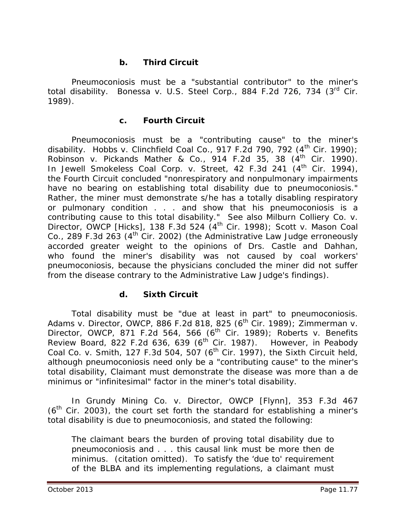### **b. Third Circuit**

Pneumoconiosis must be a "substantial contributor" to the miner's total disability. *Bonessa v. U.S. Steel Corp.*, 884 F.2d 726, 734 (3rd Cir. 1989).

#### **c. Fourth Circuit**

Pneumoconiosis must be a "contributing cause" to the miner's disability. *Hobbs v. Clinchfield Coal Co.*, 917 F.2d 790, 792  $(4<sup>th</sup>$  Cir. 1990); *Robinson v. Pickands Mather & Co.*, 914 F.2d 35, 38 (4th Cir. 1990). In *Jewell Smokeless Coal Corp. v. Street*, 42 F.3d 241 (4<sup>th</sup> Cir. 1994), the Fourth Circuit concluded "nonrespiratory and nonpulmonary impairments have no bearing on establishing total disability due to pneumoconiosis." Rather, the miner must demonstrate s/he has a totally disabling respiratory or pulmonary condition . . . and show that his pneumoconiosis is a contributing cause to this total disability." *See also Milburn Colliery Co. v. Director, OWCP [Hicks]*, 138 F.3d 524 (4th Cir. 1998); *Scott v. Mason Coal*   $Co.$ , 289 F.3d 263 (4<sup>th</sup> Cir. 2002) (the Administrative Law Judge erroneously accorded greater weight to the opinions of Drs. Castle and Dahhan, who found the miner's disability was not caused by coal workers' pneumoconiosis, because the physicians concluded the miner did not suffer from the disease contrary to the Administrative Law Judge's findings).

#### **d. Sixth Circuit**

Total disability must be "due at least in part" to pneumoconiosis. *Adams v. Director, OWCP*, 886 F.2d 818, 825 (6th Cir. 1989); *Zimmerman v. Director, OWCP*, 871 F.2d 564, 566 (6<sup>th</sup> Cir. 1989); *Roberts v. Benefits Review Board*, 822 F.2d 636, 639 (6th Cir. 1987). However, in *Peabody Coal Co. v. Smith*, 127 F.3d 504, 507 (6<sup>th</sup> Cir. 1997), the Sixth Circuit held, although pneumoconiosis need only be a "contributing cause" to the miner's total disability, Claimant must demonstrate the disease was more than a *de minimus* or "infinitesimal" factor in the miner's total disability.

In *Grundy Mining Co. v. Director, OWCP [Flynn]*, 353 F.3d 467  $(6<sup>th</sup>$  Cir. 2003), the court set forth the standard for establishing a miner's total disability is due to pneumoconiosis, and stated the following:

The claimant bears the burden of proving total disability due to pneumoconiosis and . . . this causal link must be more then *de minimus*. (citation omitted). To satisfy the 'due to' requirement of the BLBA and its implementing regulations, a claimant must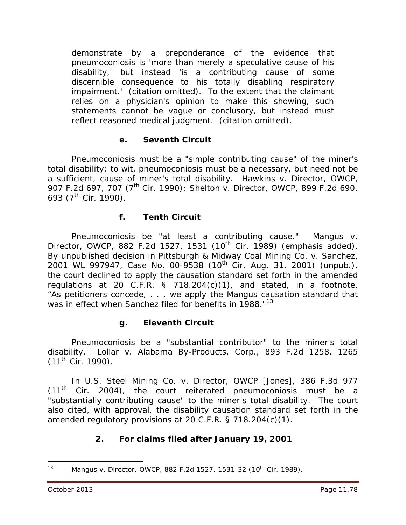demonstrate by a preponderance of the evidence that pneumoconiosis is 'more than merely a speculative cause of his disability,' but instead 'is a contributing cause of some discernible consequence to his totally disabling respiratory impairment.' (citation omitted). To the extent that the claimant relies on a physician's opinion to make this showing, such statements cannot be vague or conclusory, but instead must reflect reasoned medical judgment. (citation omitted).

### **e. Seventh Circuit**

Pneumoconiosis must be a "simple contributing cause" of the miner's total disability; *to wit*, pneumoconiosis must be a necessary, but need not be a sufficient, cause of miner's total disability. *Hawkins v. Director, OWCP*, 907 F.2d 697, 707 (7th Cir. 1990); *Shelton v. Director, OWCP*, 899 F.2d 690, 693 ( $7^{\text{th}}$  Cir. 1990).

### **f. Tenth Circuit**

Pneumoconiosis be "at least a contributing cause." *Mangus v. Director, OWCP*, 882 F.2d 1527, 1531 (10<sup>th</sup> Cir. 1989) (emphasis added). By unpublished decision in *Pittsburgh & Midway Coal Mining Co. v. Sanchez*, 2001 WL 997947, Case No. 00-9538 (10<sup>th</sup> Cir. Aug. 31, 2001) (unpub.), the court declined to apply the causation standard set forth in the amended regulations at 20 C.F.R. § 718.204(c)(1), and stated, in a footnote, "As petitioners concede, . . . we apply the *Mangus* causation standard that was in effect when Sanchez filed for benefits in 1988."<sup>[13](#page-77-0)</sup>

#### **g. Eleventh Circuit**

Pneumoconiosis be a "substantial contributor" to the miner's total disability. *Lollar v. Alabama By-Products, Corp.*, 893 F.2d 1258, 1265  $(11^{th}$  Cir. 1990).

In *U.S. Steel Mining Co. v. Director, OWCP [Jones]*, 386 F.3d 977  $(11<sup>th</sup>$  Cir. 2004), the court reiterated pneumoconiosis must be a "substantially contributing cause" to the miner's total disability. The court also cited, with approval, the disability causation standard set forth in the amended regulatory provisions at 20 C.F.R. § 718.204(c)(1).

## **2. For claims filed after January 19, 2001**

<span id="page-77-0"></span>Mangus v. Director, OWCP, 882 F.2d 1527, 1531-32 (10<sup>th</sup> Cir. 1989).  $13$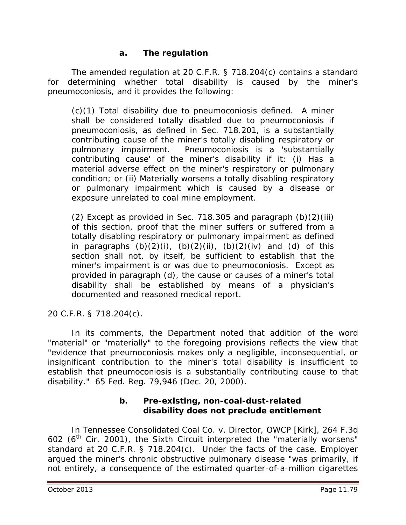### **a. The regulation**

The amended regulation at 20 C.F.R. § 718.204(c) contains a standard for determining whether total disability is caused by the miner's pneumoconiosis, and it provides the following:

(c)(1) Total disability due to pneumoconiosis defined. A miner shall be considered totally disabled due to pneumoconiosis if pneumoconiosis, as defined in Sec. 718.201, is a substantially contributing cause of the miner's totally disabling respiratory or pulmonary impairment. Pneumoconiosis is a 'substantially contributing cause' of the miner's disability if it: (i) Has a material adverse effect on the miner's respiratory or pulmonary condition; or (ii) Materially worsens a totally disabling respiratory or pulmonary impairment which is caused by a disease or exposure unrelated to coal mine employment.

(2) Except as provided in Sec. 718.305 and paragraph (b)(2)(iii) of this section, proof that the miner suffers or suffered from a totally disabling respiratory or pulmonary impairment as defined in paragraphs  $(b)(2)(i)$ ,  $(b)(2)(ii)$ ,  $(b)(2)(iv)$  and  $(d)$  of this section shall not, by itself, be sufficient to establish that the miner's impairment is or was due to pneumoconiosis. Except as provided in paragraph (d), the cause or causes of a miner's total disability shall be established by means of a physician's documented and reasoned medical report.

20 C.F.R. § 718.204(c).

In its comments, the Department noted that addition of the word "material" or "materially" to the foregoing provisions reflects the view that "evidence that pneumoconiosis makes only a negligible, inconsequential, or insignificant contribution to the miner's total disability is insufficient to establish that pneumoconiosis is a substantially contributing cause to that disability." 65 Fed. Reg. 79,946 (Dec. 20, 2000).

### **b. Pre-existing, non-coal-dust-related disability does not preclude entitlement**

In *Tennessee Consolidated Coal Co. v. Director, OWCP [Kirk]*, 264 F.3d 602 ( $6<sup>th</sup>$  Cir. 2001), the Sixth Circuit interpreted the "materially worsens" standard at 20 C.F.R. § 718.204(c). Under the facts of the case, Employer argued the miner's chronic obstructive pulmonary disease "was primarily, if not entirely, a consequence of the estimated quarter-of-a-million cigarettes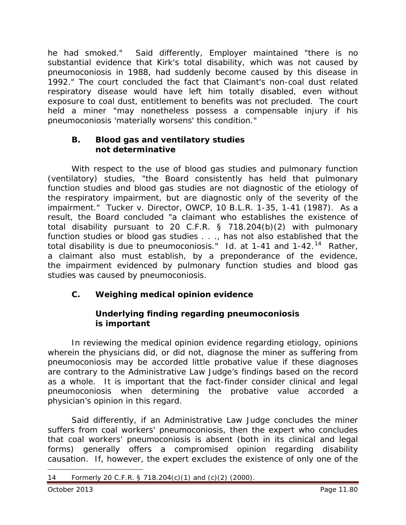he had smoked." Said differently, Employer maintained "there is no substantial evidence that Kirk's total disability, which was not caused by pneumoconiosis in 1988, had suddenly become caused by this disease in 1992." The court concluded the fact that Claimant's non-coal dust related respiratory disease would have left him totally disabled, even without exposure to coal dust, entitlement to benefits was not precluded. The court held a miner "may nonetheless possess a compensable injury if his pneumoconiosis 'materially worsens' this condition."

### **B. Blood gas and ventilatory studies not determinative**

With respect to the use of blood gas studies and pulmonary function (ventilatory) studies, "the Board consistently has held that pulmonary function studies and blood gas studies are not diagnostic of the etiology of the respiratory impairment, but are diagnostic only of the severity of the impairment." *Tucker v. Director, OWCP*, 10 B.L.R. 1-35, 1-41 (1987). As a result, the Board concluded "a claimant who establishes the existence of total disability pursuant to 20 C.F.R. § 718.204(b)(2) with pulmonary function studies or blood gas studies . . ., has not also established that the total disability is due to pneumoconiosis." *Id*. at 1-41 and 1-42.[14](#page-79-0) Rather, a claimant also must establish, by a preponderance of the evidence, the impairment evidenced by pulmonary function studies and blood gas studies was caused by pneumoconiosis.

# **C. Weighing medical opinion evidence**

## **Underlying finding regarding pneumoconiosis is important**

In reviewing the medical opinion evidence regarding etiology, opinions wherein the physicians did, or did not, diagnose the miner as suffering from pneumoconiosis may be accorded little probative value if these diagnoses are contrary to the Administrative Law Judge's findings based on the record as a whole. It is important that the fact-finder consider clinical and legal pneumoconiosis when determining the probative value accorded a physician's opinion in this regard.

Said differently, if an Administrative Law Judge concludes the miner suffers from coal workers' pneumoconiosis, then the expert who concludes that coal workers' pneumoconiosis is absent (both in its clinical and legal forms) generally offers a compromised opinion regarding disability causation. If, however, the expert excludes the existence of only one of the

<span id="page-79-0"></span><sup>14</sup> Formerly 20 C.F.R. § 718.204(c)(1) and (c)(2) (2000).  $\overline{a}$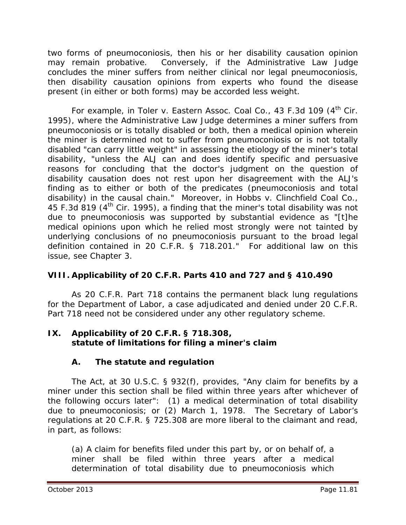two forms of pneumoconiosis, then his or her disability causation opinion may remain probative. Conversely, if the Administrative Law Judge concludes the miner suffers from neither clinical nor legal pneumoconiosis, then disability causation opinions from experts who found the disease present (in either or both forms) may be accorded less weight.

For example, in *Toler v. Eastern Assoc. Coal Co.*, 43 F.3d 109 (4th Cir. 1995), where the Administrative Law Judge determines a miner suffers from pneumoconiosis or is totally disabled or both, then a medical opinion wherein the miner is determined not to suffer from pneumoconiosis or is not totally disabled "can carry little weight" in assessing the etiology of the miner's total disability, "unless the ALJ can and does identify specific and persuasive reasons for concluding that the doctor's judgment on the question of disability causation does not rest upon her disagreement with the ALJ's finding as to either or both of the predicates (pneumoconiosis and total disability) in the causal chain." Moreover, in *Hobbs v. Clinchfield Coal Co.*, 45 F.3d 819 (4<sup>th</sup> Cir. 1995), a finding that the miner's total disability was not due to pneumoconiosis was supported by substantial evidence as "[t]he medical opinions upon which he relied most strongly were not tainted by underlying conclusions of no pneumoconiosis pursuant to the broad legal definition contained in 20 C.F.R. § 718.201." For additional law on this issue, *see* Chapter 3.

# **VIII. Applicability of 20 C.F.R. Parts 410 and 727 and § 410.490**

As 20 C.F.R. Part 718 contains the permanent black lung regulations for the Department of Labor, a case adjudicated and denied under 20 C.F.R. Part 718 need not be considered under any other regulatory scheme.

#### **IX. Applicability of 20 C.F.R. § 718.308, statute of limitations for filing a miner's claim**

## **A. The statute and regulation**

The Act, at 30 U.S.C. § 932(f), provides, "Any claim for benefits by a miner under this section shall be filed within three years after whichever of the following occurs later": (1) a medical determination of total disability due to pneumoconiosis; or (2) March 1, 1978. The Secretary of Labor's regulations at 20 C.F.R. § 725.308 are more liberal to the claimant and read, in part, as follows:

(a) A claim for benefits filed under this part by, or on behalf of, a miner shall be filed within three years after a medical determination of total disability due to pneumoconiosis which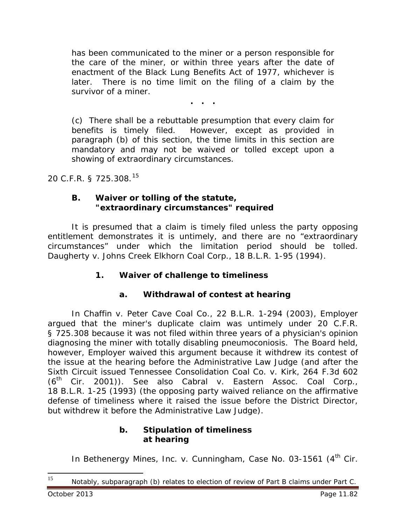has been communicated to the miner or a person responsible for the care of the miner, or within three years after the date of enactment of the Black Lung Benefits Act of 1977, whichever is later. There is no time limit on the filing of a claim by the survivor of a miner.

**. . .**

(c) There shall be a rebuttable presumption that every claim for benefits is timely filed. However, except as provided in paragraph (b) of this section, the time limits in this section are mandatory and may not be waived or tolled except upon a showing of extraordinary circumstances.

20 C.F.R. § 725.308.[15](#page-81-0)

#### **B. Waiver or tolling of the statute, "extraordinary circumstances" required**

It is presumed that a claim is timely filed unless the party opposing entitlement demonstrates it is untimely, and there are no "extraordinary circumstances" under which the limitation period should be tolled. *Daugherty v. Johns Creek Elkhorn Coal Corp.*, 18 B.L.R. 1-95 (1994).

#### **1. Waiver of challenge to timeliness**

#### **a. Withdrawal of contest at hearing**

In *Chaffin v. Peter Cave Coal Co.*, 22 B.L.R. 1-294 (2003), Employer argued that the miner's duplicate claim was untimely under 20 C.F.R. § 725.308 because it was not filed within three years of a physician's opinion diagnosing the miner with totally disabling pneumoconiosis. The Board held, however, Employer waived this argument because it withdrew its contest of the issue at the hearing before the Administrative Law Judge (and after the Sixth Circuit issued *Tennessee Consolidation Coal Co. v. Kirk*, 264 F.3d 602 (6th Cir. 2001)). *See also Cabral v. Eastern Assoc. Coal Corp.*, 18 B.L.R. 1-25 (1993) (the opposing party waived reliance on the affirmative defense of timeliness where it raised the issue before the District Director, but withdrew it before the Administrative Law Judge).

#### **b. Stipulation of timeliness at hearing**

In *Bethenergy Mines, Inc. v. Cunningham*, Case No. 03-1561 (4<sup>th</sup> Cir.

<span id="page-81-0"></span>Notably, subparagraph (b) relates to election of review of Part B claims under Part C. 15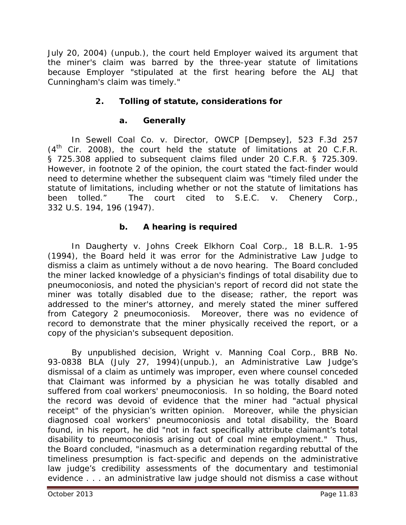July 20, 2004) (unpub.), the court held Employer waived its argument that the miner's claim was barred by the three-year statute of limitations because Employer "stipulated at the first hearing before the ALJ that Cunningham's claim was timely."

# **2. Tolling of statute, considerations for**

## **a. Generally**

In *Sewell Coal Co. v. Director, OWCP [Dempsey]*, 523 F.3d 257  $(4<sup>th</sup>$  Cir. 2008), the court held the statute of limitations at 20 C.F.R. § 725.308 applied to subsequent claims filed under 20 C.F.R. § 725.309. However, in footnote 2 of the opinion, the court stated the fact-finder would need to determine whether the subsequent claim was "timely filed under the statute of limitations, including whether or not the statute of limitations has been tolled." The court cited to *S.E.C. v. Chenery Corp.*, 332 U.S. 194, 196 (1947).

# **b. A hearing is required**

In *Daugherty v. Johns Creek Elkhorn Coal Corp.*, 18 B.L.R. 1-95 (1994), the Board held it was error for the Administrative Law Judge to dismiss a claim as untimely without a *de novo* hearing. The Board concluded the miner lacked knowledge of a physician's findings of total disability due to pneumoconiosis, and noted the physician's report of record did not state the miner was totally disabled due to the disease; rather, the report was addressed to the miner's attorney, and merely stated the miner suffered from Category 2 pneumoconiosis. Moreover, there was no evidence of record to demonstrate that the miner physically received the report, or a copy of the physician's subsequent deposition.

By unpublished decision, *Wright v. Manning Coal Corp.*, BRB No. 93-0838 BLA (July 27, 1994)(unpub.), an Administrative Law Judge's dismissal of a claim as untimely was improper, even where counsel conceded that Claimant was informed by a physician he was totally disabled and suffered from coal workers' pneumoconiosis. In so holding, the Board noted the record was devoid of evidence that the miner had "actual physical receipt" of the physician's written opinion. Moreover, while the physician diagnosed coal workers' pneumoconiosis and total disability, the Board found, in his report, he did "not in fact specifically attribute claimant's total disability to pneumoconiosis arising out of coal mine employment." Thus, the Board concluded, "inasmuch as a determination regarding rebuttal of the timeliness presumption is fact-specific and depends on the administrative law judge's credibility assessments of the documentary and testimonial evidence . . . an administrative law judge should not dismiss a case without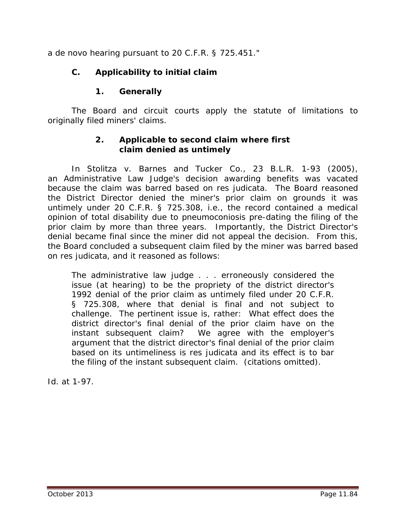a *de novo* hearing pursuant to 20 C.F.R. § 725.451."

# **C. Applicability to initial claim**

# **1. Generally**

The Board and circuit courts apply the statute of limitations to originally filed miners' claims.

### **2. Applicable to second claim where first claim denied as untimely**

In *Stolitza v. Barnes and Tucker Co.*, 23 B.L.R. 1-93 (2005), an Administrative Law Judge's decision awarding benefits was vacated because the claim was barred based on *res judicata*. The Board reasoned the District Director denied the miner's prior claim on grounds it was untimely under 20 C.F.R. § 725.308, *i.e.*, the record contained a medical opinion of total disability due to pneumoconiosis pre-dating the filing of the prior claim by more than three years. Importantly, the District Director's denial became final since the miner did not appeal the decision. From this, the Board concluded a subsequent claim filed by the miner was barred based on *res judicata*, and it reasoned as follows:

The administrative law judge . . . erroneously considered the issue (at hearing) to be the propriety of the district director's 1992 denial of the prior claim as untimely filed under 20 C.F.R. § 725.308, where that denial is final and not subject to challenge. The pertinent issue is, rather: What effect does the district director's final denial of the prior claim have on the instant subsequent claim? We agree with the employer's argument that the district director's final denial of the prior claim based on its untimeliness is *res judicata* and its effect is to bar the filing of the instant subsequent claim. (citations omitted).

*Id.* at 1-97.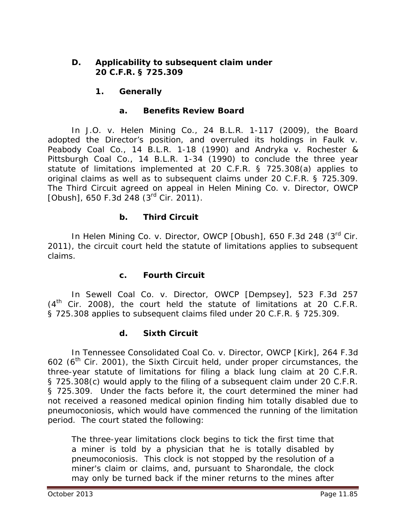### **D. Applicability to subsequent claim under 20 C.F.R. § 725.309**

## **1. Generally**

### **a. Benefits Review Board**

In *J.O. v. Helen Mining Co.*, 24 B.L.R. 1-117 (2009), the Board adopted the Director's position, and overruled its holdings in *Faulk v. Peabody Coal Co.*, 14 B.L.R. 1-18 (1990) and *Andryka v. Rochester & Pittsburgh Coal Co.*, 14 B.L.R. 1-34 (1990) to conclude the three year statute of limitations implemented at 20 C.F.R. § 725.308(a) applies to original claims *as well as* to subsequent claims under 20 C.F.R. § 725.309. The Third Circuit agreed on appeal in *Helen Mining Co. v. Director, OWCP [Obush]*, 650 F.3d 248 (3rd Cir. 2011).

## **b. Third Circuit**

In *Helen Mining Co. v. Director, OWCP [Obush]*, 650 F.3d 248 (3rd Cir. 2011), the circuit court held the statute of limitations applies to subsequent claims.

## **c. Fourth Circuit**

In *Sewell Coal Co. v. Director, OWCP [Dempsey]*, 523 F.3d 257  $(4<sup>th</sup>$  Cir. 2008), the court held the statute of limitations at 20 C.F.R. § 725.308 applies to subsequent claims filed under 20 C.F.R. § 725.309.

## **d. Sixth Circuit**

In *Tennessee Consolidated Coal Co. v. Director, OWCP [Kirk]*, 264 F.3d 602 ( $6<sup>th</sup>$  Cir. 2001), the Sixth Circuit held, under proper circumstances, the three-year statute of limitations for filing a black lung claim at 20 C.F.R. § 725.308(c) would apply to the filing of a subsequent claim under 20 C.F.R. § 725.309. Under the facts before it, the court determined the miner had not received a reasoned medical opinion finding him totally disabled due to pneumoconiosis, which would have commenced the running of the limitation period. The court stated the following:

The three-year limitations clock begins to tick the first time that a miner is told by a physician that he is totally disabled by pneumoconiosis. This clock is not stopped by the resolution of a miner's claim or claims, and, pursuant to *Sharondale*, the clock may only be turned back if the miner returns to the mines after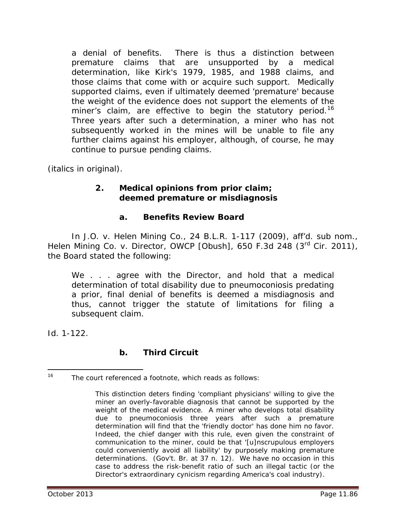a denial of benefits. There is thus a distinction between premature claims that are unsupported by a medical determination, like Kirk's 1979, 1985, and 1988 claims, and those claims that come with or acquire such support. Medically supported claims, even if ultimately deemed 'premature' because the weight of the evidence does not support the elements of the miner's claim, are effective to begin the statutory period.<sup>[16](#page-85-0)</sup> Three years after such a determination, a miner who has not subsequently worked in the mines will be unable to file any further claims against his employer, although, of course, he may continue to pursue pending claims.

(italics in original).

### **2. Medical opinions from prior claim; deemed premature or misdiagnosis**

### **a. Benefits Review Board**

In *J.O. v. Helen Mining Co.*, 24 B.L.R. 1-117 (2009), *aff'd. sub nom., Helen Mining Co. v. Director, OWCP [Obush]*, 650 F.3d 248 (3<sup>rd</sup> Cir. 2011), the Board stated the following:

We . . . agree with the Director, and hold that a medical determination of total disability due to pneumoconiosis predating a prior, final denial of benefits is deemed a misdiagnosis and thus, cannot trigger the statute of limitations for filing a subsequent claim.

*Id.* 1-122.

## **b. Third Circuit**

<span id="page-85-0"></span><sup>&</sup>lt;sup>16</sup> The court referenced a footnote, which reads as follows:  $\overline{a}$ 

This distinction deters finding 'compliant physicians' willing to give the miner an overly-favorable diagnosis that cannot be supported by the weight of the medical evidence. A miner who develops total disability due to pneumoconiosis three years after such a premature determination will find that the 'friendly doctor' has done him no favor. Indeed, the chief danger with this rule, even given the constraint of communication to the miner, could be that '[u]nscrupulous employers could conveniently avoid all liability' by purposely making premature determinations. (Gov't. Br. at 37 n. 12). We have no occasion in this case to address the risk-benefit ratio of such an illegal tactic (or the Director's extraordinary cynicism regarding America's coal industry).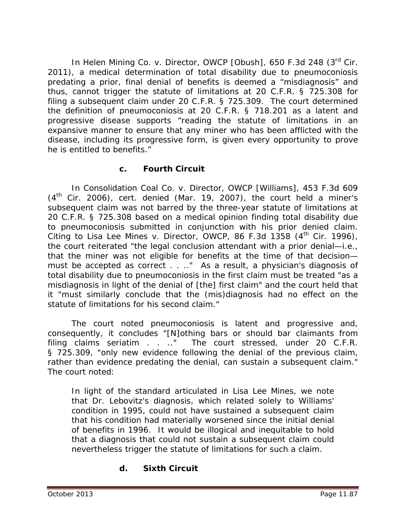In *Helen Mining Co. v. Director, OWCP [Obush]*, 650 F.3d 248 (3rd Cir. 2011), a medical determination of total disability due to pneumoconiosis predating a prior, final denial of benefits is deemed a "misdiagnosis" and thus, cannot trigger the statute of limitations at 20 C.F.R. § 725.308 for filing a subsequent claim under 20 C.F.R. § 725.309. The court determined the definition of pneumoconiosis at 20 C.F.R. § 718.201 as a latent and progressive disease supports "reading the statute of limitations in an expansive manner to ensure that any miner who has been afflicted with the disease, including its progressive form, is given every opportunity to prove he is entitled to benefits."

### **c. Fourth Circuit**

In *Consolidation Coal Co. v. Director, OWCP [Williams]*, 453 F.3d 609 (4th Cir. 2006), *cert. denied* (Mar. 19, 2007), the court held a miner's subsequent claim was not barred by the three-year statute of limitations at 20 C.F.R. § 725.308 based on a medical opinion finding total disability due to pneumoconiosis submitted in conjunction with his prior denied claim. Citing to *Lisa Lee Mines v. Director, OWCP*, 86 F.3d 1358 (4<sup>th</sup> Cir. 1996), the court reiterated "the legal conclusion attendant with a prior denial—*i.e.,* that the miner was not eligible for benefits at the time of that decision must be accepted as correct . . .." As a result, a physician's diagnosis of total disability due to pneumoconiosis in the first claim must be treated "as a misdiagnosis in light of the denial of [the] first claim" and the court held that it "must similarly conclude that the (mis)diagnosis had no effect on the statute of limitations for his second claim."

The court noted pneumoconiosis is latent and progressive and, consequently, it concludes "[N]othing bars or should bar claimants from filing claims *seriatim* . . .." The court stressed, under 20 C.F.R. § 725.309, "only new evidence *following* the denial of the previous claim, rather than evidence predating the denial, can sustain a subsequent claim." The court noted:

In light of the standard articulated in *Lisa Lee Mines*, we note that Dr. Lebovitz's diagnosis, which related solely to Williams' condition in 1995, could not have sustained a subsequent claim that his condition had materially worsened since the initial denial of benefits in 1996. It would be illogical and inequitable to hold that a diagnosis that could not sustain a subsequent claim could nevertheless trigger the statute of limitations for such a claim.

# **d. Sixth Circuit**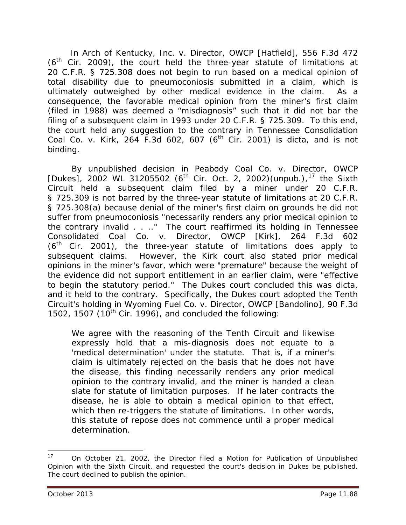In *Arch of Kentucky, Inc. v. Director, OWCP [Hatfield]*, 556 F.3d 472  $(6<sup>th</sup>$  Cir. 2009), the court held the three-year statute of limitations at 20 C.F.R. § 725.308 does not begin to run based on a medical opinion of total disability due to pneumoconiosis submitted in a claim, which is ultimately outweighed by other medical evidence in the claim. As a consequence, the favorable medical opinion from the miner's first claim (filed in 1988) was deemed a "misdiagnosis" such that it did not bar the filing of a subsequent claim in 1993 under 20 C.F.R. § 725.309. To this end, the court held any suggestion to the contrary in *Tennessee Consolidation Coal Co. v. Kirk*, 264 F.3d 602, 607 (6th Cir. 2001) is *dicta,* and is not binding.

By unpublished decision in *Peabody Coal Co. v. Director, OWCP*  [Dukes], 2002 WL 31205502 (6<sup>th</sup> Cir. Oct. 2, 2002)(unpub.),<sup>[17](#page-87-0)</sup> the Sixth Circuit held a subsequent claim filed by a miner under 20 C.F.R. § 725.309 is not barred by the three-year statute of limitations at 20 C.F.R. § 725.308(a) because denial of the miner's first claim on grounds he did not suffer from pneumoconiosis "necessarily renders any prior medical opinion to the contrary invalid . . .." The court reaffirmed its holding in *Tennessee Consolidated Coal Co. v. Director, OWCP [Kirk]*, 264 F.3d 602  $(6<sup>th</sup>$  Cir. 2001), the three-year statute of limitations does apply to subsequent claims. However, the *Kirk* court also stated prior medical opinions in the miner's favor, which were "premature" because the weight of the evidence did not support entitlement in an earlier claim, were "effective to begin the statutory period." The *Dukes* court concluded this was dicta, and it held to the contrary. Specifically, the *Dukes* court adopted the Tenth Circuit's holding in *Wyoming Fuel Co. v. Director, OWCP [Bandolino]*, 90 F.3d 1502, 1507  $(10^{th}$  Cir. 1996), and concluded the following:

We agree with the reasoning of the Tenth Circuit and likewise expressly hold that a mis-diagnosis does not equate to a 'medical determination' under the statute. That is, if a miner's claim is ultimately rejected on the basis that he does not have the disease, this finding necessarily renders any prior medical opinion to the contrary invalid, and the miner is handed a clean slate for statute of limitation purposes. If he later contracts the disease, he is able to obtain a medical opinion to that effect, which then re-triggers the statute of limitations. In other words, this statute of repose does not commence until a proper medical determination.

<span id="page-87-0"></span><sup>17</sup> On October 21, 2002, the Director filed a *Motion for Publication of Unpublished Opinion* with the Sixth Circuit, and requested the court's decision in *Dukes* be published. The court declined to publish the opinion.  $\overline{a}$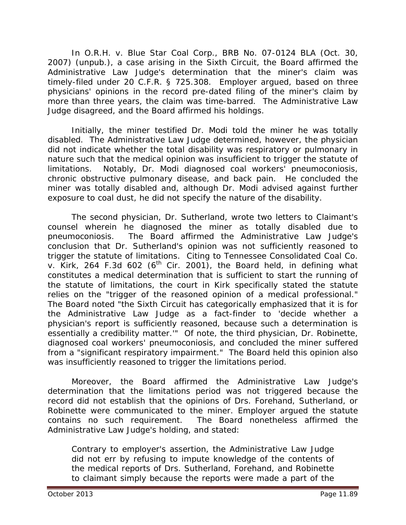In *O.R.H. v. Blue Star Coal Corp.*, BRB No. 07-0124 BLA (Oct. 30, 2007) (unpub.), a case arising in the Sixth Circuit, the Board affirmed the Administrative Law Judge's determination that the miner's claim was timely-filed under 20 C.F.R. § 725.308. Employer argued, based on three physicians' opinions in the record pre-dated filing of the miner's claim by more than three years, the claim was time-barred. The Administrative Law Judge disagreed, and the Board affirmed his holdings.

Initially, the miner testified Dr. Modi told the miner he was totally disabled. The Administrative Law Judge determined, however, the physician did not indicate whether the total disability was respiratory or pulmonary in nature such that the medical opinion was insufficient to trigger the statute of limitations. Notably, Dr. Modi diagnosed coal workers' pneumoconiosis, chronic obstructive pulmonary disease, and back pain. He concluded the miner was totally disabled and, although Dr. Modi advised against further exposure to coal dust, he did not specify the nature of the disability.

The second physician, Dr. Sutherland, wrote two letters to Claimant's counsel wherein he diagnosed the miner as totally disabled due to pneumoconiosis. The Board affirmed the Administrative Law Judge's conclusion that Dr. Sutherland's opinion was not sufficiently reasoned to trigger the statute of limitations. Citing to *Tennessee Consolidated Coal Co.*   $v.$  Kirk, 264 F.3d 602 (6<sup>th</sup> Cir. 2001), the Board held, in defining what constitutes a medical determination that is sufficient to start the running of the statute of limitations, the court in *Kirk* specifically stated the statute relies on the "trigger of the reasoned opinion of a medical professional." The Board noted "the Sixth Circuit has categorically emphasized that it is for the Administrative Law Judge as a fact-finder to 'decide whether a physician's report is sufficiently reasoned, because such a determination is essentially a credibility matter.'" Of note, the third physician, Dr. Robinette, diagnosed coal workers' pneumoconiosis, and concluded the miner suffered from a "significant respiratory impairment." The Board held this opinion also was insufficiently reasoned to trigger the limitations period.

Moreover, the Board affirmed the Administrative Law Judge's determination that the limitations period was not triggered because the record did not establish that the opinions of Drs. Forehand, Sutherland, or Robinette were *communicated to the miner*. Employer argued the statute contains no such requirement. The Board nonetheless affirmed the Administrative Law Judge's holding, and stated:

Contrary to employer's assertion, the Administrative Law Judge did not err by refusing to impute knowledge of the contents of the medical reports of Drs. Sutherland, Forehand, and Robinette to claimant simply because the reports were made a part of the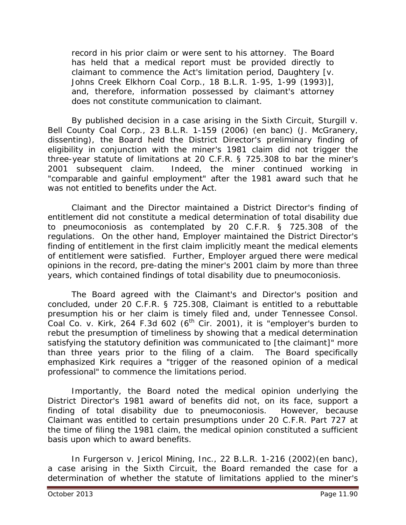record in his prior claim or were sent to his attorney. The Board has held that a medical report must be provided directly to claimant to commence the Act's limitation period, *Daughtery* [*v. Johns Creek Elkhorn Coal Corp.*, 18 B.L.R. 1-95, 1-99 (1993)], and, therefore, information possessed by claimant's attorney does not constitute communication to claimant.

By published decision in a case arising in the Sixth Circuit, *Sturgill v. Bell County Coal Corp.*, 23 B.L.R. 1-159 (2006) (en banc) (J. McGranery, dissenting), the Board held the District Director's preliminary finding of eligibility in conjunction with the miner's 1981 claim did not trigger the three-year statute of limitations at 20 C.F.R. § 725.308 to bar the miner's 2001 subsequent claim. Indeed, the miner continued working in "comparable and gainful employment" after the 1981 award such that he was not entitled to benefits under the Act.

Claimant and the Director maintained a District Director's finding of entitlement did not constitute a medical determination of total disability due to pneumoconiosis as contemplated by 20 C.F.R. § 725.308 of the regulations. On the other hand, Employer maintained the District Director's finding of entitlement in the first claim implicitly meant the medical elements of entitlement were satisfied. Further, Employer argued there were medical opinions in the record, pre-dating the miner's 2001 claim by more than three years, which contained findings of total disability due to pneumoconiosis.

The Board agreed with the Claimant's and Director's position and concluded, under 20 C.F.R. § 725.308, Claimant is entitled to a rebuttable presumption his or her claim is timely filed and, under *Tennessee Consol. Coal Co. v. Kirk,* 264 F.3d 602 (6th Cir. 2001), it is "employer's burden to rebut the presumption of timeliness by showing that a medical determination satisfying the statutory definition was communicated to [the claimant]" more than three years prior to the filing of a claim. The Board specifically emphasized *Kirk* requires a "trigger of the reasoned opinion of a medical professional" to commence the limitations period.

Importantly, the Board noted the medical opinion underlying the District Director's 1981 award of benefits did not, on its face, support a finding of total disability due to pneumoconiosis. However, because Claimant was entitled to certain presumptions under 20 C.F.R. Part 727 at the time of filing the 1981 claim, the medical opinion constituted a sufficient basis upon which to award benefits.

In *Furgerson v. Jericol Mining, Inc.*, 22 B.L.R. 1-216 (2002)(en banc), a case arising in the Sixth Circuit, the Board remanded the case for a determination of whether the statute of limitations applied to the miner's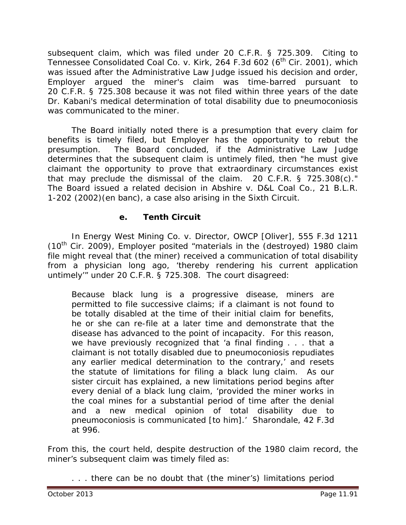subsequent claim, which was filed under 20 C.F.R. § 725.309. Citing to *Tennessee Consolidated Coal Co. v. Kirk*, 264 F.3d 602 (6<sup>th</sup> Cir. 2001), which was issued after the Administrative Law Judge issued his decision and order, Employer argued the miner's claim was time-barred pursuant to 20 C.F.R. § 725.308 because it was not filed within three years of the date Dr. Kabani's medical determination of total disability due to pneumoconiosis was communicated to the miner.

The Board initially noted there is a presumption that every claim for benefits is timely filed, but Employer has the opportunity to rebut the presumption. The Board concluded, if the Administrative Law Judge determines that the subsequent claim is untimely filed, then "he must give claimant the opportunity to prove that extraordinary circumstances exist that may preclude the dismissal of the claim. 20 C.F.R. § 725.308(c)." The Board issued a related decision in *Abshire v. D&L Coal Co.*, 21 B.L.R. 1-202 (2002)(en banc), a case also arising in the Sixth Circuit.

## **e. Tenth Circuit**

In *Energy West Mining Co. v. Director, OWCP [Oliver]*, 555 F.3d 1211  $(10^{th}$  Cir. 2009), Employer posited "materials in the (destroyed) 1980 claim file might reveal that (the miner) received a communication of total disability from a physician long ago, 'thereby rendering his current application untimely'" under 20 C.F.R. § 725.308. The court disagreed:

Because black lung is a progressive disease, miners are permitted to file successive claims; if a claimant is not found to be totally disabled at the time of their initial claim for benefits, he or she can re-file at a later time and demonstrate that the disease has advanced to the point of incapacity. For this reason, we have previously recognized that 'a final finding . . . that a claimant is not totally disabled due to pneumoconiosis repudiates any earlier medical determination to the contrary,' and resets the statute of limitations for filing a black lung claim. As our sister circuit has explained, a new limitations period begins after every denial of a black lung claim, 'provided the miner works in the coal mines for a substantial period of time after the denial and a new medical opinion of total disability due to pneumoconiosis is communicated [to him].' *Sharondale,* 42 F.3d at 996.

From this, the court held, despite destruction of the 1980 claim record, the miner's subsequent claim was timely filed as:

. . . there can be no doubt that (the miner's) limitations period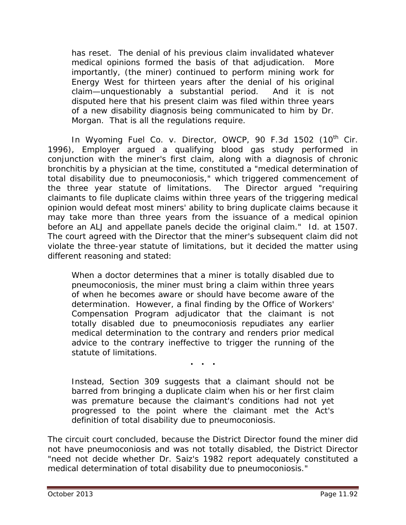has reset. The denial of his previous claim invalidated whatever medical opinions formed the basis of that adjudication. More importantly, (the miner) continued to perform mining work for Energy West for thirteen years after the denial of his original claim—unquestionably a substantial period. And it is not disputed here that his present claim was filed within three years of a new disability diagnosis being communicated to him by Dr. Morgan. That is all the regulations require.

In Wyoming Fuel Co. v. Director, OWCP, 90 F.3d 1502 (10<sup>th</sup> Cir. 1996), Employer argued a qualifying blood gas study performed in conjunction with the miner's first claim, along with a diagnosis of chronic bronchitis by a physician at the time, constituted a "medical determination of total disability due to pneumoconiosis," which triggered commencement of the three year statute of limitations. The Director argued "requiring claimants to file duplicate claims within three years of the triggering medical opinion would defeat most miners' ability to bring duplicate claims because it may take more than three years from the issuance of a medical opinion before an ALJ and appellate panels decide the original claim." *Id.* at 1507. The court agreed with the Director that the miner's subsequent claim did not violate the three-year statute of limitations, but it decided the matter using different reasoning and stated:

When a doctor determines that a miner is totally disabled due to pneumoconiosis, the miner must bring a claim within three years of when he becomes aware or should have become aware of the determination. However, a final finding by the Office of Workers' Compensation Program adjudicator that the claimant is not totally disabled due to pneumoconiosis repudiates any earlier medical determination to the contrary and renders prior medical advice to the contrary ineffective to trigger the running of the statute of limitations.

**. . .**

Instead, Section 309 suggests that a claimant should not be barred from bringing a duplicate claim when his or her first claim was premature because the claimant's conditions had not yet progressed to the point where the claimant met the Act's definition of total disability due to pneumoconiosis.

The circuit court concluded, because the District Director found the miner did not have pneumoconiosis and was not totally disabled, the District Director "need not decide whether Dr. Saiz's 1982 report adequately constituted a medical determination of total disability due to pneumoconiosis."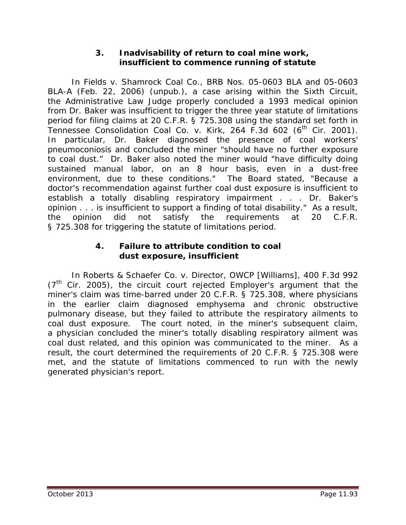### **3. Inadvisability of return to coal mine work, insufficient to commence running of statute**

In *Fields v. Shamrock Coal Co.*, BRB Nos. 05-0603 BLA and 05-0603 BLA-A (Feb. 22, 2006) (unpub.), a case arising within the Sixth Circuit, the Administrative Law Judge properly concluded a 1993 medical opinion from Dr. Baker was insufficient to trigger the three year statute of limitations period for filing claims at 20 C.F.R. § 725.308 using the standard set forth in <sup>1</sup><br>Tennessee Consolidation Coal Co. v. Kirk, 264 F.3d 602 (6<sup>th</sup> Cir. 2001). In particular, Dr. Baker diagnosed the presence of coal workers' pneumoconiosis and concluded the miner "should have no further exposure to coal dust." Dr. Baker also noted the miner would "have difficulty doing sustained manual labor, on an 8 hour basis, even in a dust-free environment, due to these conditions." The Board stated, "Because a doctor's recommendation against further coal dust exposure is insufficient to establish a totally disabling respiratory impairment . . . Dr. Baker's opinion . . . is insufficient to support a finding of total disability." As a result, the opinion did not satisfy the requirements at 20 C.F.R. § 725.308 for triggering the statute of limitations period.

### **4. Failure to attribute condition to coal dust exposure, insufficient**

In *Roberts & Schaefer Co. v. Director, OWCP [Williams]*, 400 F.3d 992  $(7<sup>th</sup>$  Cir. 2005), the circuit court rejected Employer's argument that the miner's claim was time-barred under 20 C.F.R. § 725.308, where physicians in the earlier claim diagnosed emphysema and chronic obstructive pulmonary disease, but they failed to attribute the respiratory ailments to coal dust exposure. The court noted, in the miner's subsequent claim, a physician concluded the miner's totally disabling respiratory ailment was coal dust related, and this opinion was communicated to the miner. As a result, the court determined the requirements of 20 C.F.R. § 725.308 were met, and the statute of limitations commenced to run with the newly generated physician's report.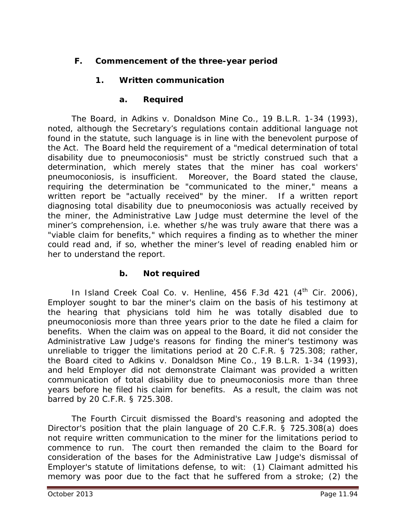## **F. Commencement of the three-year period**

## **1. Written communication**

### **a. Required**

The Board, in *Adkins v. Donaldson Mine Co.*, 19 B.L.R. 1-34 (1993), noted, although the Secretary's regulations contain additional language not found in the statute, such language is in line with the benevolent purpose of the Act. The Board held the requirement of a "medical determination of total disability due to pneumoconiosis" must be strictly construed such that a determination, which merely states that the miner has coal workers' pneumoconiosis, is insufficient. Moreover, the Board stated the clause, requiring the determination be "communicated to the miner," means a written report be "actually received" by the miner. If a written report diagnosing total disability due to pneumoconiosis was actually received by the miner, the Administrative Law Judge must determine the level of the miner's comprehension, *i.e.* whether s/he was truly aware that there was a "viable claim for benefits," which requires a finding as to whether the miner could read and, if so, whether the miner's level of reading enabled him or her to understand the report.

#### **b. Not required**

In *Island Creek Coal Co. v. Henline*, 456 F.3d 421 (4<sup>th</sup> Cir. 2006), Employer sought to bar the miner's claim on the basis of his testimony at the hearing that physicians told him he was totally disabled due to pneumoconiosis more than three years prior to the date he filed a claim for benefits. When the claim was on appeal to the Board, it did not consider the Administrative Law Judge's reasons for finding the miner's testimony was unreliable to trigger the limitations period at 20 C.F.R. § 725.308; rather, the Board cited to *Adkins v. Donaldson Mine Co.*, 19 B.L.R. 1-34 (1993), and held Employer did not demonstrate Claimant was provided a *written*  communication of total disability due to pneumoconiosis more than three years before he filed his claim for benefits. As a result, the claim was not barred by 20 C.F.R. § 725.308.

The Fourth Circuit dismissed the Board's reasoning and adopted the Director's position that the plain language of 20 C.F.R. § 725.308(a) does not require *written* communication to the miner for the limitations period to commence to run. The court then remanded the claim to the Board for consideration of the bases for the Administrative Law Judge's dismissal of Employer's statute of limitations defense, *to wit*: (1) Claimant admitted his memory was poor due to the fact that he suffered from a stroke; (2) the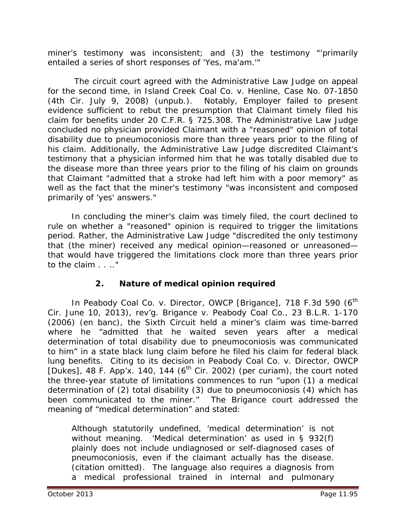miner's testimony was inconsistent; and (3) the testimony "'primarily entailed a series of short responses of 'Yes, ma'am.'"

 The circuit court agreed with the Administrative Law Judge on appeal for the second time, in *Island Creek Coal Co. v. Henline*, Case No. 07-1850 (4th Cir. July 9, 2008) (unpub.). Notably, Employer failed to present evidence sufficient to rebut the presumption that Claimant timely filed his claim for benefits under 20 C.F.R. § 725.308. The Administrative Law Judge concluded no physician provided Claimant with a "reasoned" opinion of total disability due to pneumoconiosis more than three years prior to the filing of his claim. Additionally, the Administrative Law Judge discredited Claimant's testimony that a physician informed him that he was totally disabled due to the disease more than three years prior to the filing of his claim on grounds that Claimant "admitted that a stroke had left him with a poor memory" as well as the fact that the miner's testimony "was inconsistent and composed primarily of 'yes' answers."

 In concluding the miner's claim was timely filed, the court declined to rule on whether a "reasoned" opinion is required to trigger the limitations period. Rather, the Administrative Law Judge "discredited the only testimony that (the miner) received any medical opinion—reasoned or unreasoned that would have triggered the limitations clock more than three years prior to the claim . . .."

## **2. Nature of medical opinion required**

In *Peabody Coal Co. v. Director, OWCP [Brigance]*, 718 F.3d 590 (6<sup>th</sup> Cir. June 10, 2013), *rev'g. Brigance v. Peabody Coal Co.*, 23 B.L.R. 1-170 (2006) (en banc), the Sixth Circuit held a miner's claim was time-barred where he "admitted that he waited seven years after a medical determination of total disability due to pneumoconiosis was communicated to him" in a state black lung claim before he filed his claim for federal black lung benefits. Citing to its decision in *Peabody Coal Co. v. Director, OWCP*   $[Dukes]$ , 48 F. App'x. 140, 144 (6<sup>th</sup> Cir. 2002) (per curiam), the court noted the three-year statute of limitations commences to run "upon (1) a medical determination of (2) total disability (3) due to pneumoconiosis (4) which has been communicated to the miner." The *Brigance* court addressed the meaning of "medical determination" and stated:

Although statutorily undefined, 'medical determination' is not without meaning. 'Medical determination' as used in § 932(f) plainly does not include undiagnosed or self-diagnosed cases of pneumoconiosis, even if the claimant actually has the disease. (citation omitted). The language also requires a diagnosis from a medical professional trained in internal and pulmonary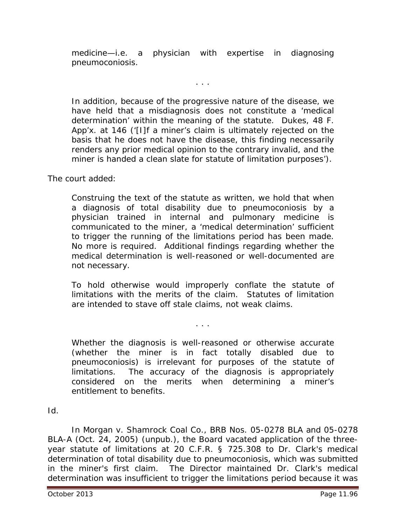medicine—*i.e.* a physician with expertise in diagnosing pneumoconiosis.

. . .

In addition, because of the progressive nature of the disease, we have held that a misdiagnosis does not constitute a 'medical determination' within the meaning of the statute. *Dukes*, 48 F. App'x. at 146 ('[I]f a miner's claim is ultimately rejected on the basis that he does not have the disease, this finding necessarily renders any prior medical opinion to the contrary invalid, and the miner is handed a clean slate for statute of limitation purposes').

The court added:

Construing the text of the statute as written, we hold that when a diagnosis of total disability due to pneumoconiosis by a physician trained in internal and pulmonary medicine is communicated to the miner, a 'medical determination' sufficient to trigger the running of the limitations period has been made. No more is required. Additional findings regarding whether the medical determination is well-reasoned or well-documented are not necessary.

To hold otherwise would improperly conflate the statute of limitations with the merits of the claim. Statutes of limitation are intended to stave off stale claims, not weak claims.

. . .

Whether the diagnosis is well-reasoned or otherwise accurate (whether the miner is *in fact* totally disabled due to pneumoconiosis) is irrelevant for purposes of the statute of limitations. The accuracy of the diagnosis is appropriately considered on the merits when determining a miner's entitlement to benefits.

## *Id*.

In *Morgan v. Shamrock Coal Co.*, BRB Nos. 05-0278 BLA and 05-0278 BLA-A (Oct. 24, 2005) (unpub.), the Board vacated application of the threeyear statute of limitations at 20 C.F.R. § 725.308 to Dr. Clark's medical determination of total disability due to pneumoconiosis, which was submitted in the miner's first claim. The Director maintained Dr. Clark's medical determination was insufficient to trigger the limitations period because it was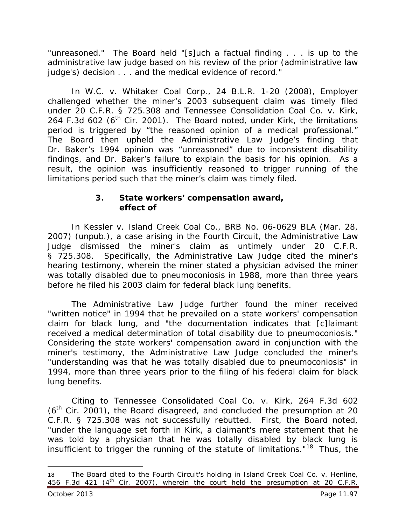"unreasoned." The Board held "[s]uch a factual finding . . . is up to the administrative law judge based on his review of the prior (administrative law judge's) decision . . . and the medical evidence of record."

In *W.C. v. Whitaker Coal Corp.*, 24 B.L.R. 1-20 (2008), Employer challenged whether the miner's 2003 subsequent claim was timely filed under 20 C.F.R. § 725.308 and *Tennessee Consolidation Coal Co. v. Kirk*, 264 F.3d 602 (6<sup>th</sup> Cir. 2001). The Board noted, under *Kirk*, the limitations period is triggered by "the reasoned opinion of a medical professional." The Board then upheld the Administrative Law Judge's finding that Dr. Baker's 1994 opinion was "unreasoned" due to inconsistent disability findings, and Dr. Baker's failure to explain the basis for his opinion. As a result, the opinion was insufficiently reasoned to trigger running of the limitations period such that the miner's claim was timely filed.

### **3. State workers' compensation award, effect of**

In *Kessler v. Island Creek Coal Co.,* BRB No. 06-0629 BLA (Mar. 28, 2007) (unpub.), a case arising in the Fourth Circuit, the Administrative Law Judge dismissed the miner's claim as untimely under 20 C.F.R. § 725.308. Specifically, the Administrative Law Judge cited the miner's hearing testimony, wherein the miner stated a physician advised the miner was totally disabled due to pneumoconiosis in 1988, more than three years before he filed his 2003 claim for federal black lung benefits.

The Administrative Law Judge further found the miner received "written notice" in 1994 that he prevailed on a state workers' compensation claim for black lung, and "the documentation indicates that [c]laimant received a medical determination of total disability due to pneumoconiosis." Considering the state workers' compensation award in conjunction with the miner's testimony, the Administrative Law Judge concluded the miner's "understanding was that he was totally disabled due to pneumoconiosis" in 1994, more than three years prior to the filing of his federal claim for black lung benefits.

Citing to *Tennessee Consolidated Coal Co. v. Kirk*, 264 F.3d 602  $(6<sup>th</sup>$  Cir. 2001), the Board disagreed, and concluded the presumption at 20 C.F.R. § 725.308 was not successfully rebutted. First, the Board noted, "under the language set forth in *Kirk*, a claimant's mere statement that he was told by a physician that he was totally disabled by black lung is insufficient to trigger the running of the statute of limitations."[18](#page-96-0) Thus, the

 $\overline{a}$ 

<span id="page-96-0"></span><sup>18</sup> The Board cited to the Fourth Circuit's holding in *Island Creek Coal Co. v. Henline*, 456 F.3d 421 (4<sup>th</sup> Cir. 2007), wherein the court held the presumption at 20 C.F.R.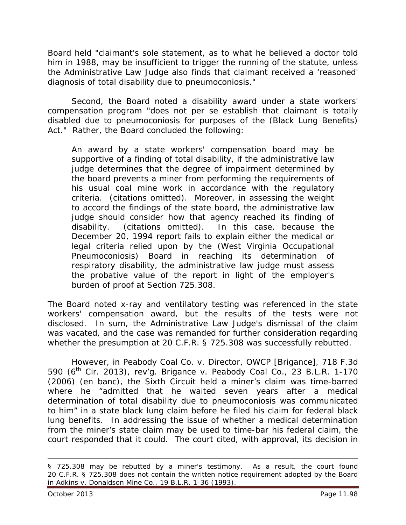Board held "claimant's sole statement, as to what he believed a doctor told him in 1988, may be insufficient to trigger the running of the statute, unless the Administrative Law Judge also finds that claimant received a 'reasoned' diagnosis of total disability due to pneumoconiosis."

Second, the Board noted a disability award under a state workers' compensation program "does not *per se* establish that claimant is totally disabled due to pneumoconiosis for purposes of the (Black Lung Benefits) Act." Rather, the Board concluded the following:

An award by a state workers' compensation board may be supportive of a finding of total disability, if the administrative law judge determines that the degree of impairment determined by the board prevents a miner from performing the requirements of his usual coal mine work in accordance with the regulatory criteria. (citations omitted). Moreover, in assessing the weight to accord the findings of the state board, the administrative law judge should consider how that agency reached its finding of disability. (citations omitted). In this case, because the December 20, 1994 report fails to explain either the medical or legal criteria relied upon by the (West Virginia Occupational Pneumoconiosis) Board in reaching its determination of respiratory disability, the administrative law judge must assess the probative value of the report in light of the employer's burden of proof at Section 725.308.

The Board noted x-ray and ventilatory testing was referenced in the state workers' compensation award, but the results of the tests were not disclosed. In sum, the Administrative Law Judge's dismissal of the claim was vacated, and the case was remanded for further consideration regarding whether the presumption at 20 C.F.R. § 725.308 was successfully rebutted.

However, in *Peabody Coal Co. v. Director, OWCP [Brigance]*, 718 F.3d 590 (6th Cir. 2013), *rev'g. Brigance v. Peabody Coal Co.*, 23 B.L.R. 1-170 (2006) (en banc), the Sixth Circuit held a miner's claim was time-barred where he "admitted that he waited seven years after a medical determination of total disability due to pneumoconiosis was communicated to him" in a state black lung claim before he filed his claim for federal black lung benefits. In addressing the issue of whether a medical determination from the miner's state claim may be used to time-bar his federal claim, the court responded that it could. The court cited, with approval, its decision in

 $\overline{a}$ 

<sup>§ 725.308</sup> may be rebutted by a miner's testimony. As a result, the court found 20 C.F.R. § 725.308 does not contain the written notice requirement adopted by the Board in *Adkins v. Donaldson Mine Co.*, 19 B.L.R. 1-36 (1993).